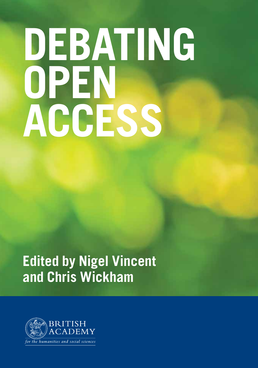# **Debating Open Access**

### **Edited by Nigel Vincent and Chris Wickham**

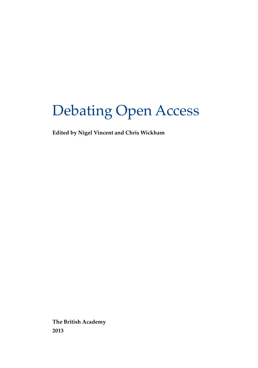### Debating Open Access

**Edited by Nigel Vincent and Chris Wickham**

**The British Academy 2013**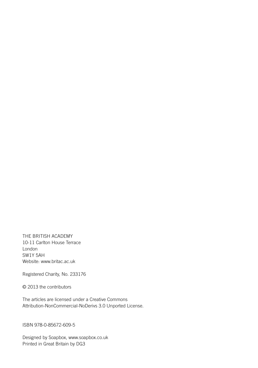THE BRITISH ACADEMY 10-11 Carlton House Terrace London SW1Y 5AH Website: www.britac.ac.uk

Registered Charity, No. 233176

© 2013 the contributors

The articles are licensed under a Creative Commons Attribution-NonCommercial-NoDerivs 3.0 Unported License.

ISBN 978-0-85672-609-5

Designed by Soapbox, www.soapbox.co.uk Printed in Great Britain by DG3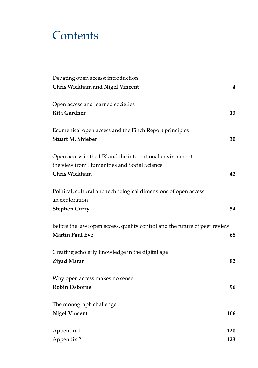### **Contents**

| Debating open access: introduction                                         |     |
|----------------------------------------------------------------------------|-----|
| Chris Wickham and Nigel Vincent                                            | 4   |
| Open access and learned societies                                          |     |
| <b>Rita Gardner</b>                                                        | 13  |
| Ecumenical open access and the Finch Report principles                     |     |
| <b>Stuart M. Shieber</b>                                                   | 30  |
| Open access in the UK and the international environment:                   |     |
| the view from Humanities and Social Science                                |     |
| Chris Wickham                                                              | 42  |
| Political, cultural and technological dimensions of open access:           |     |
| an exploration                                                             |     |
| <b>Stephen Curry</b>                                                       | 54  |
| Before the law: open access, quality control and the future of peer review |     |
| <b>Martin Paul Eve</b>                                                     | 68  |
| Creating scholarly knowledge in the digital age                            |     |
| Ziyad Marar                                                                | 82  |
| Why open access makes no sense                                             |     |
| <b>Robin Osborne</b>                                                       | 96  |
| The monograph challenge                                                    |     |
| <b>Nigel Vincent</b>                                                       | 106 |
| Appendix 1                                                                 | 120 |
| Appendix 2                                                                 | 123 |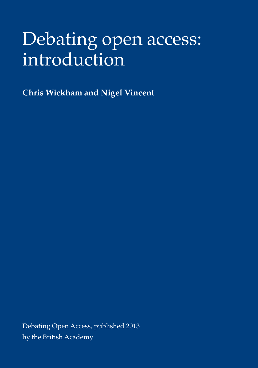## Debating open access: introduction

**Chris Wickham and Nigel Vincent**

Debating Open Access, published 2013 by the British Academy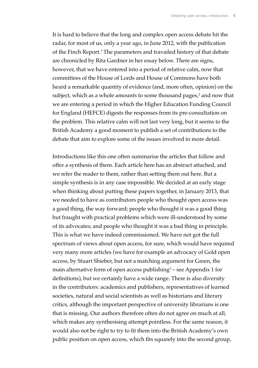It is hard to believe that the long and complex open access debate hit the radar, for most of us, only a year ago, in June 2012, with the publication of the Finch Report.<sup>1</sup> The parameters and travailed history of that debate are chronicled by Rita Gardner in her essay below. There are signs, however, that we have entered into a period of relative calm, now that committees of the House of Lords and House of Commons have both heard a remarkable quantity of evidence (and, more often, opinion) on the subject, which as a whole amounts to some thousand pages, $^{\scriptscriptstyle 2}$  and now that we are entering a period in which the Higher Education Funding Council for England (HEFCE) digests the responses from its pre-consultation on the problem. This relative calm will not last very long, but it seems to the British Academy a good moment to publish a set of contributions to the debate that aim to explore some of the issues involved in more detail.

Introductions like this one often summarise the articles that follow and offer a synthesis of them. Each article here has an abstract attached, and we refer the reader to them, rather than setting them out here. But a simple synthesis is in any case impossible. We decided at an early stage when thinking about putting these papers together, in January 2013, that we needed to have as contributors people who thought open access was a good thing, the way forward; people who thought it was a good thing but fraught with practical problems which were ill-understood by some of its advocates; and people who thought it was a bad thing in principle. This is what we have indeed commissioned. We have not got the full spectrum of views about open access, for sure, which would have required very many more articles (we have for example an advocacy of Gold open access, by Stuart Shieber, but not a matching argument for Green, the main alternative form of open access publishing $^3$  – see Appendix 1 for definitions), but we certainly have a wide range. There is also diversity in the contributors: academics and publishers, representatives of learned societies, natural and social scientists as well as historians and literary critics, although the important perspective of university librarians is one that is missing. Our authors therefore often do not agree on much at all, which makes any synthesising attempt pointless. For the same reason, it would also not be right to try to fit them into the British Academy's own public position on open access, which fits squarely into the second group,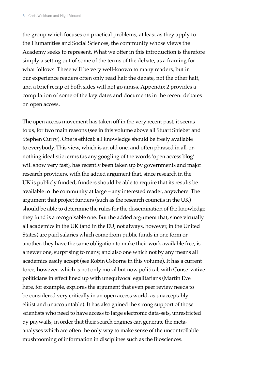the group which focuses on practical problems, at least as they apply to the Humanities and Social Sciences, the community whose views the Academy seeks to represent. What we offer in this introduction is therefore simply a setting out of some of the terms of the debate, as a framing for what follows. These will be very well-known to many readers, but in our experience readers often only read half the debate, not the other half, and a brief recap of both sides will not go amiss. Appendix 2 provides a compilation of some of the key dates and documents in the recent debates on open access.

The open access movement has taken off in the very recent past, it seems to us, for two main reasons (see in this volume above all Stuart Shieber and Stephen Curry). One is ethical: all knowledge should be freely available to everybody. This view, which is an old one, and often phrased in all-ornothing idealistic terms (as any googling of the words 'open access blog' will show very fast), has recently been taken up by governments and major research providers, with the added argument that, since research in the UK is publicly funded, funders should be able to require that its results be available to the community at large – any interested reader, anywhere. The argument that project funders (such as the research councils in the UK) should be able to determine the rules for the dissemination of the knowledge they fund is a recognisable one. But the added argument that, since virtually all academics in the UK (and in the EU; not always, however, in the United States) are paid salaries which come from public funds in one form or another, they have the same obligation to make their work available free, is a newer one, surprising to many, and also one which not by any means all academics easily accept (see Robin Osborne in this volume). It has a current force, however, which is not only moral but now political, with Conservative politicians in effect lined up with unequivocal egalitarians (Martin Eve here, for example, explores the argument that even peer review needs to be considered very critically in an open access world, as unacceptably elitist and unaccountable). It has also gained the strong support of those scientists who need to have access to large electronic data-sets, unrestricted by paywalls, in order that their search engines can generate the metaanalyses which are often the only way to make sense of the uncontrollable mushrooming of information in disciplines such as the Biosciences.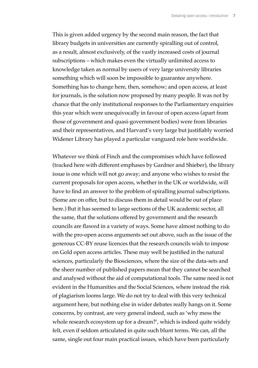This is given added urgency by the second main reason, the fact that library budgets in universities are currently spiralling out of control, as a result, almost exclusively, of the vastly increased costs of journal subscriptions – which makes even the virtually unlimited access to knowledge taken as normal by users of very large university libraries something which will soon be impossible to guarantee anywhere. Something has to change here, then, somehow; and open access, at least for journals, is the solution now proposed by many people. It was not by chance that the only institutional responses to the Parliamentary enquiries this year which were unequivocally in favour of open access (apart from those of government and quasi-government bodies) were from libraries and their representatives, and Harvard's very large but justifiably worried Widener Library has played a particular vanguard role here worldwide.

Whatever we think of Finch and the compromises which have followed (tracked here with different emphases by Gardner and Shieber), the library issue is one which will not go away; and anyone who wishes to resist the current proposals for open access, whether in the UK or worldwide, will have to find an answer to the problem of spiralling journal subscriptions. (Some are on offer, but to discuss them in detail would be out of place here.) But it has seemed to large sections of the UK academic sector, all the same, that the solutions offered by government and the research councils are flawed in a variety of ways. Some have almost nothing to do with the pro-open access arguments set out above, such as the issue of the generous CC-BY reuse licences that the research councils wish to impose on Gold open access articles. These may well be justified in the natural sciences, particularly the Biosciences, where the size of the data-sets and the sheer number of published papers mean that they cannot be searched and analysed without the aid of computational tools. The same need is not evident in the Humanities and the Social Sciences, where instead the risk of plagiarism looms large. We do not try to deal with this very technical argument here, but nothing else in wider debates really hangs on it. Some concerns, by contrast, are very general indeed, such as 'why mess the whole research ecosystem up for a dream?', which is indeed quite widely felt, even if seldom articulated in quite such blunt terms. We can, all the same, single out four main practical issues, which have been particularly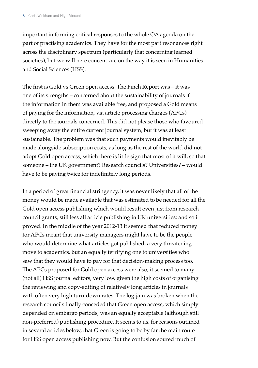important in forming critical responses to the whole OA agenda on the part of practising academics. They have for the most part resonances right across the disciplinary spectrum (particularly that concerning learned societies), but we will here concentrate on the way it is seen in Humanities and Social Sciences (HSS).

The first is Gold vs Green open access. The Finch Report was – it was one of its strengths – concerned about the sustainability of journals if the information in them was available free, and proposed a Gold means of paying for the information, via article processing charges (APCs) directly to the journals concerned. This did not please those who favoured sweeping away the entire current journal system, but it was at least sustainable. The problem was that such payments would inevitably be made alongside subscription costs, as long as the rest of the world did not adopt Gold open access, which there is little sign that most of it will; so that someone – the UK government? Research councils? Universities? – would have to be paying twice for indefinitely long periods.

In a period of great financial stringency, it was never likely that all of the money would be made available that was estimated to be needed for all the Gold open access publishing which would result even just from research council grants, still less all article publishing in UK universities; and so it proved. In the middle of the year 2012-13 it seemed that reduced money for APCs meant that university managers might have to be the people who would determine what articles got published, a very threatening move to academics, but an equally terrifying one to universities who saw that they would have to pay for that decision-making process too. The APCs proposed for Gold open access were also, it seemed to many (not all) HSS journal editors, very low, given the high costs of organising the reviewing and copy-editing of relatively long articles in journals with often very high turn-down rates. The log-jam was broken when the research councils finally conceded that Green open access, which simply depended on embargo periods, was an equally acceptable (although still non-preferred) publishing procedure. It seems to us, for reasons outlined in several articles below, that Green is going to be by far the main route for HSS open access publishing now. But the confusion soured much of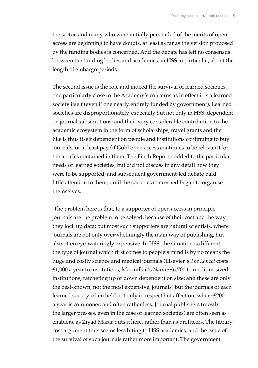the sector, and many who were initially persuaded of the merits of open access are beginning to have doubts, at least as far as the version proposed by the funding bodies is concerned. And the debate has left no consensus between the funding bodies and academics, in HSS in particular, about the length of embargo periods.

The second issue is the role and indeed the survival of learned societies, one particularly close to the Academy's concerns as in effect it is a learned society itself (even if one nearly entirely funded by government). Learned societies are disproportionately, especially but not only in HSS, dependent on journal subscriptions; and their very considerable contribution to the academic ecosystem in the form of scholarships, travel grants and the like is thus itself dependent on people and institutions continuing to buy journals, or at least pay (if Gold open access continues to be relevant) for the articles contained in them. The Finch Report nodded to the particular needs of learned societies, but did not discuss in any detail how they were to be supported; and subsequent government-led debate paid little attention to them, until the societies concerned began to organise themselves.

 The problem here is that, to a supporter of open access in principle, journals are the problem to be solved, because of their cost and the way they lock up data; but most such supporters are natural scientists, where journals are not only overwhelmingly the main way of publishing, but also often eye-wateringly expensive. In HSS, the situation is different; the type of journal which first comes to people's mind is by no means the huge and costly science and medical journals (Elsevier's *The Lancet* costs £1,000 a year to institutions, Macmillan's *Nature* £6,700 to medium-sized institutions, ratcheting up or down dependent on size; and these are only the best-known, not the most expensive, journals) but the journals of each learned society, often held not only in respect but affection, where £200 a year is commoner, and often rather less. Journal publishers (mostly the larger presses, even in the case of learned societies) are often seen as enablers, as Ziyad Marar puts it here, rather than as profiteers. The librarycost argument thus seems less biting to HSS academics, and the issue of the survival of such journals rather more important. The government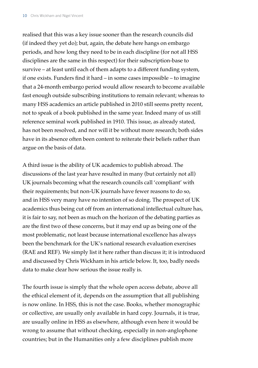realised that this was a key issue sooner than the research councils did (if indeed they yet do); but, again, the debate here hangs on embargo periods, and how long they need to be in each discipline (for not all HSS disciplines are the same in this respect) for their subscription-base to survive – at least until each of them adapts to a different funding system, if one exists. Funders find it hard – in some cases impossible – to imagine that a 24-month embargo period would allow research to become available fast enough outside subscribing institutions to remain relevant; whereas to many HSS academics an article published in 2010 still seems pretty recent, not to speak of a book published in the same year. Indeed many of us still reference seminal work published in 1910. This issue, as already stated, has not been resolved, and nor will it be without more research; both sides have in its absence often been content to reiterate their beliefs rather than argue on the basis of data.

A third issue is the ability of UK academics to publish abroad. The discussions of the last year have resulted in many (but certainly not all) UK journals becoming what the research councils call 'compliant' with their requirements; but non-UK journals have fewer reasons to do so, and in HSS very many have no intention of so doing. The prospect of UK academics thus being cut off from an international intellectual culture has, it is fair to say, not been as much on the horizon of the debating parties as are the first two of these concerns, but it may end up as being one of the most problematic, not least because international excellence has always been the benchmark for the UK's national research evaluation exercises (RAE and REF). We simply list it here rather than discuss it; it is introduced and discussed by Chris Wickham in his article below. It, too, badly needs data to make clear how serious the issue really is.

The fourth issue is simply that the whole open access debate, above all the ethical element of it, depends on the assumption that all publishing is now online. In HSS, this is not the case. Books, whether monographic or collective, are usually only available in hard copy. Journals, it is true, are usually online in HSS as elsewhere, although even here it would be wrong to assume that without checking, especially in non-anglophone countries; but in the Humanities only a few disciplines publish more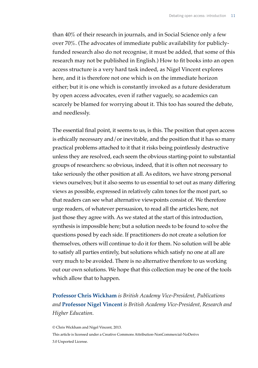than 40% of their research in journals, and in Social Science only a few over 70%. (The advocates of immediate public availability for publiclyfunded research also do not recognise, it must be added, that some of this research may not be published in English.) How to fit books into an open access structure is a very hard task indeed, as Nigel Vincent explores here, and it is therefore not one which is on the immediate horizon either; but it is one which is constantly invoked as a future desideratum by open access advocates, even if rather vaguely, so academics can scarcely be blamed for worrying about it. This too has soured the debate, and needlessly.

The essential final point, it seems to us, is this. The position that open access is ethically necessary and/or inevitable, and the position that it has so many practical problems attached to it that it risks being pointlessly destructive unless they are resolved, each seem the obvious starting-point to substantial groups of researchers: so obvious, indeed, that it is often not necessary to take seriously the other position at all. As editors, we have strong personal views ourselves; but it also seems to us essential to set out as many differing views as possible, expressed in relatively calm tones for the most part, so that readers can see what alternative viewpoints consist of. We therefore urge readers, of whatever persuasion, to read all the articles here, not just those they agree with. As we stated at the start of this introduction, synthesis is impossible here; but a solution needs to be found to solve the questions posed by each side. If practitioners do not create a solution for themselves, others will continue to do it for them. No solution will be able to satisfy all parties entirely, but solutions which satisfy no one at all are very much to be avoided. There is no alternative therefore to us working out our own solutions. We hope that this collection may be one of the tools which allow that to happen.

**Professor Chris Wickham** *is British Academy Vice-President, Publications and* **Professor Nigel Vincent** *is British Academy Vice-President, Research and Higher Education.*

© Chris Wickham and Nigel Vincent, 2013.

This article is licensed under a Creative Commons Attribution-NonCommercial-NoDerivs 3.0 Unported License.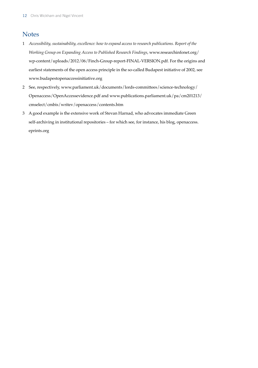#### **Notes**

- 1 *Accessibility, sustainability, excellence: how to expand access to research publications. Report of the Working Group on Expanding Access to Published Research Findings*, [www.researchinfonet.org/](http://www.researchinfonet.org/wp-content/uploads/2012/06/Finch-Group-report-FINAL-VERSION.pdf) [wp-content/uploads/2012/06/Finch-Group-report-FINAL-VERSION.pdf](http://www.researchinfonet.org/wp-content/uploads/2012/06/Finch-Group-report-FINAL-VERSION.pdf). For the origins and earliest statements of the open access principle in the so-called Budapest initiative of 2002, see [www.budapestopenaccessinitiative.org](http://www.budapestopenaccessinitiative.org/)
- 2 See, respectively, [www.parliament.uk/documents/lords-committees/science-technology/](http://www.parliament.uk/documents/lords-committees/science-technology/Openaccess/OpenAccessevidence.pdf) [Openaccess/OpenAccessevidence.pdf](http://www.parliament.uk/documents/lords-committees/science-technology/Openaccess/OpenAccessevidence.pdf) and [www.publications.parliament.uk/pa/cm201213/](http://www.publications.parliament.uk/pa/cm201213/cmselect/cmbis/writev/openaccess/contents.htm) [cmselect/cmbis/writev/openaccess/contents.htm](http://www.publications.parliament.uk/pa/cm201213/cmselect/cmbis/writev/openaccess/contents.htm)
- 3 A good example is the extensive work of Stevan Harnad, who advocates immediate Green self-archiving in institutional repositories – for which see, for instance, his blog, [openaccess.](http://openaccess.eprints.org/) [eprints.org](http://openaccess.eprints.org/)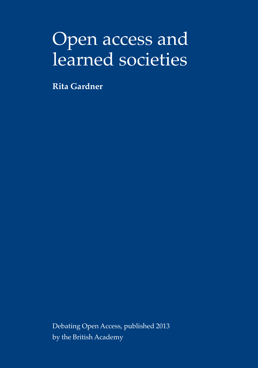### <span id="page-13-0"></span>Open access and learned societies

**Rita Gardner**

Debating Open Access, published 2013 by the British Academy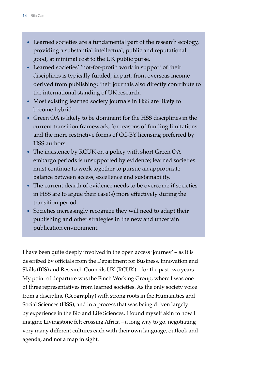- Learned societies are a fundamental part of the research ecology, providing a substantial intellectual, public and reputational good, at minimal cost to the UK public purse.
- Learned societies' 'not-for-profit' work in support of their disciplines is typically funded, in part, from overseas income derived from publishing; their journals also directly contribute to the international standing of UK research.
- Most existing learned society journals in HSS are likely to become hybrid.
- Green OA is likely to be dominant for the HSS disciplines in the current transition framework, for reasons of funding limitations and the more restrictive forms of CC-BY licensing preferred by HSS authors.
- The insistence by RCUK on a policy with short Green OA embargo periods is unsupported by evidence; learned societies must continue to work together to pursue an appropriate balance between access, excellence and sustainability.
- The current dearth of evidence needs to be overcome if societies in HSS are to argue their case(s) more effectively during the transition period.
- Societies increasingly recognize they will need to adapt their publishing and other strategies in the new and uncertain publication environment.

I have been quite deeply involved in the open access 'journey' – as it is described by officials from the Department for Business, Innovation and Skills (BIS) and Research Councils UK (RCUK) – for the past two years. My point of departure was the Finch Working Group, where I was one of three representatives from learned societies. As the only society voice from a discipline (Geography) with strong roots in the Humanities and Social Sciences (HSS), and in a process that was being driven largely by experience in the Bio and Life Sciences, I found myself akin to how I imagine Livingstone felt crossing Africa – a long way to go, negotiating very many different cultures each with their own language, outlook and agenda, and not a map in sight.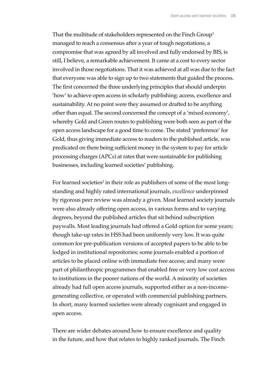That the multitude of stakeholders represented on the Finch Group<sup>1</sup> managed to reach a consensus after a year of tough negotiations, a compromise that was agreed by all involved and fully endorsed by BIS, is still, I believe, a remarkable achievement. It came at a cost to every sector involved in those negotiations. That it was achieved at all was due to the fact that everyone was able to sign up to two statements that guided the process. The first concerned the three underlying principles that should underpin 'how' to achieve open access in scholarly publishing: access, excellence and sustainability. At no point were they assumed or drafted to be anything other than equal. The second concerned the concept of a 'mixed economy', whereby Gold and Green routes to publishing were both seen as part of the open access landscape for a good time to come. The stated 'preference' for Gold, thus giving immediate access to readers to the published article, was predicated on there being sufficient money in the system to pay for article processing charges (APCs) at rates that were sustainable for publishing businesses, including learned societies' publishing.

For learned societies<sup>2</sup> in their role as publishers of some of the most longstanding and highly rated international journals, *excellence* underpinned by rigorous peer review was already a given. Most learned society journals were also already offering open access, in various forms and to varying degrees, beyond the published articles that sit behind subscription paywalls. Most leading journals had offered a Gold option for some years; though take-up rates in HSS had been uniformly very low. It was quite common for pre-publication versions of accepted papers to be able to be lodged in institutional repositories; some journals enabled a portion of articles to be placed online with immediate free access; and many were part of philanthropic programmes that enabled free or very low cost access to institutions in the poorer nations of the world. A minority of societies already had full open access journals, supported either as a non-incomegenerating collective, or operated with commercial publishing partners. In short, many learned societies were already cognisant and engaged in open access.

There are wider debates around how to ensure excellence and quality in the future, and how that relates to highly ranked journals. The Finch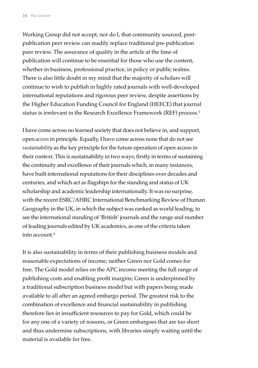Working Group did not accept, nor do I, that community sourced, postpublication peer review can readily replace traditional pre-publication peer review. The assurance of quality in the article at the time of publication will continue to be essential for those who use the content, whether in business, professional practice, in policy or public realms. There is also little doubt in my mind that the majority of scholars will continue to wish to publish in highly rated journals with well-developed international reputations and rigorous peer review, despite assertions by the Higher Education Funding Council for England (HEFCE) that journal status is irrelevant in the Research Excellence Framework (REF) process.3

I have come across no learned society that does not believe in, and support, open *access* in principle. Equally, I have come across none that do not see *sustainability* as the key principle for the future operation of open access in their context. This is sustainability in two ways; firstly in terms of sustaining the continuity and excellence of their journals which, in many instances, have built international reputations for their disciplines over decades and centuries, and which act as flagships for the standing and status of UK scholarship and academic leadership internationally. It was no surprise, with the recent ESRC/AHRC International Benchmarking Review of Human Geography in the UK, in which the subject was ranked as world leading, to see the international standing of 'British' journals and the range and number of leading journals edited by UK academics, as one of the criteria taken into account.4

It is also sustainability in terms of their publishing business models and reasonable expectations of income; neither Green nor Gold comes for free. The Gold model relies on the APC income meeting the full range of publishing costs and enabling profit margins; Green is underpinned by a traditional subscription business model but with papers being made available to all after an agreed embargo period. The greatest risk to the combination of excellence and financial sustainability in publishing therefore lies in insufficient resources to pay for Gold, which could be for any one of a variety of reasons, or Green embargoes that are too short and thus undermine subscriptions, with libraries simply waiting until the material is available for free.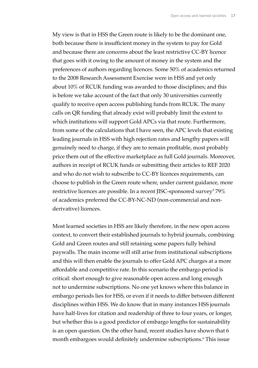My view is that in HSS the Green route is likely to be the dominant one, both because there is insufficient money in the system to pay for Gold and because there are concerns about the least restrictive CC-BY licence that goes with it owing to the amount of money in the system and the preferences of authors regarding licences. Some 50% of academics returned to the 2008 Research Assessment Exercise were in HSS and yet only about 10% of RCUK funding was awarded to those disciplines; and this is before we take account of the fact that only 30 universities currently qualify to receive open access publishing funds from RCUK. The many calls on QR funding that already exist will probably limit the extent to which institutions will support Gold APCs via that route. Furthermore, from some of the calculations that I have seen, the APC levels that existing leading journals in HSS with high rejection rates and lengthy papers will genuinely need to charge, if they are to remain profitable, most probably price them out of the effective marketplace as full Gold journals. Moreover, authors in receipt of RCUK funds or submitting their articles to REF 2020 and who do not wish to subscribe to CC-BY licences requirements, can choose to publish in the Green route where, under current guidance, more restrictive licences are possible. In a recent JISC-sponsored survey $^{5}$  79 $\%$ of academics preferred the CC-BY-NC-ND (non-commercial and nonderivative) licences.

Most learned societies in HSS are likely therefore, in the new open access context, to convert their established journals to hybrid journals, combining Gold and Green routes and still retaining some papers fully behind paywalls. The main income will still arise from institutional subscriptions and this will then enable the journals to offer Gold APC charges at a more affordable and competitive rate. In this scenario the embargo period is critical: short enough to give reasonable open access and long enough not to undermine subscriptions. No one yet knows where this balance in embargo periods lies for HSS, or even if it needs to differ between different disciplines within HSS. We do know that in many instances HSS journals have half-lives for citation and readership of three to four years, or longer, but whether this is a good predictor of embargo lengths for sustainability is an open question. On the other hand, recent studies have shown that 6 month embargoes would definitely undermine subscriptions.<sup>6</sup> This issue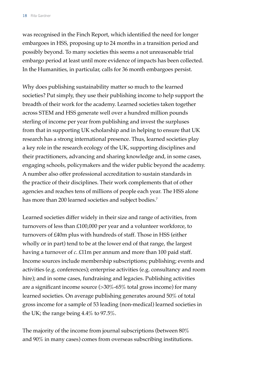was recognised in the Finch Report, which identified the need for longer embargoes in HSS, proposing up to 24 months in a transition period and possibly beyond. To many societies this seems a not unreasonable trial embargo period at least until more evidence of impacts has been collected. In the Humanities, in particular, calls for 36 month embargoes persist.

Why does publishing sustainability matter so much to the learned societies? Put simply, they use their publishing income to help support the breadth of their work for the academy. Learned societies taken together across STEM and HSS generate well over a hundred million pounds sterling of income per year from publishing and invest the surpluses from that in supporting UK scholarship and in helping to ensure that UK research has a strong international presence. Thus, learned societies play a key role in the research ecology of the UK, supporting disciplines and their practitioners, advancing and sharing knowledge and, in some cases, engaging schools, policymakers and the wider public beyond the academy. A number also offer professional accreditation to sustain standards in the practice of their disciplines. Their work complements that of other agencies and reaches tens of millions of people each year. The HSS alone has more than 200 learned societies and subject bodies.<sup>7</sup>

Learned societies differ widely in their size and range of activities, from turnovers of less than £100,000 per year and a volunteer workforce, to turnovers of £40m plus with hundreds of staff. Those in HSS (either wholly or in part) tend to be at the lower end of that range, the largest having a turnover of *c*. £11m per annum and more than 100 paid staff. Income sources include membership subscriptions; publishing; events and activities (e.g. conferences); enterprise activities (e.g. consultancy and room hire); and in some cases, fundraising and legacies. Publishing activities are a significant income source  $(>30\% - 65\%$  total gross income) for many learned societies. On average publishing generates around 50% of total gross income for a sample of 53 leading (non-medical) learned societies in the UK; the range being 4.4% to 97.5%.

The majority of the income from journal subscriptions (between 80% and 90% in many cases) comes from overseas subscribing institutions.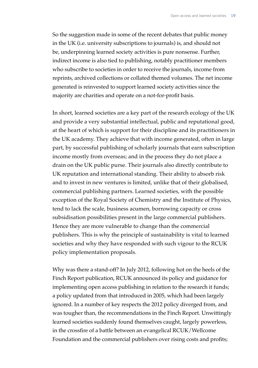So the suggestion made in some of the recent debates that public money in the UK (i.e. university subscriptions to journals) is, and should not be, underpinning learned society activities is pure nonsense. Further, indirect income is also tied to publishing, notably practitioner members who subscribe to societies in order to receive the journals, income from reprints, archived collections or collated themed volumes. The net income generated is reinvested to support learned society activities since the majority are charities and operate on a not-for-profit basis.

In short, learned societies are a key part of the research ecology of the UK and provide a very substantial intellectual, public and reputational good, at the heart of which is support for their discipline and its practitioners in the UK academy. They achieve that with income generated, often in large part, by successful publishing of scholarly journals that earn subscription income mostly from overseas; and in the process they do not place a drain on the UK public purse. Their journals also directly contribute to UK reputation and international standing. Their ability to absorb risk and to invest in new ventures is limited, unlike that of their globalised, commercial publishing partners. Learned societies, with the possible exception of the Royal Society of Chemistry and the Institute of Physics, tend to lack the scale, business acumen, borrowing capacity or cross subsidisation possibilities present in the large commercial publishers. Hence they are more vulnerable to change than the commercial publishers. This is why the principle of sustainability is vital to learned societies and why they have responded with such vigour to the RCUK policy implementation proposals.

Why was there a stand-off? In July 2012, following hot on the heels of the Finch Report publication, RCUK announced its policy and guidance for implementing open access publishing in relation to the research it funds; a policy updated from that introduced in 2005, which had been largely ignored. In a number of key respects the 2012 policy diverged from, and was tougher than, the recommendations in the Finch Report. Unwittingly learned societies suddenly found themselves caught, largely powerless, in the crossfire of a battle between an evangelical RCUK/Wellcome Foundation and the commercial publishers over rising costs and profits;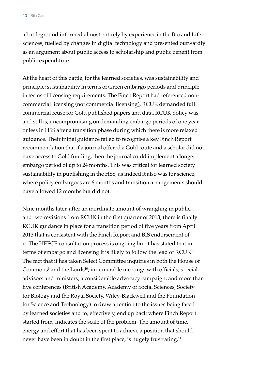a battleground informed almost entirely by experience in the Bio and Life sciences, fuelled by changes in digital technology and presented outwardly as an argument about public access to scholarship and public benefit from public expenditure.

At the heart of this battle, for the learned societies, was sustainability and principle: sustainability in terms of Green embargo periods and principle in terms of licensing requirements. The Finch Report had referenced noncommercial licensing (not commercial licensing), RCUK demanded full commercial reuse for Gold published papers and data. RCUK policy was, and still is, uncompromising on demanding embargo periods of one year or less in HSS after a transition phase during which there is more relaxed guidance. Their initial guidance failed to recognise a key Finch Report recommendation that if a journal offered a Gold route and a scholar did not have access to Gold funding, then the journal could implement a longer embargo period of up to 24 months. This was critical for learned society sustainability in publishing in the HSS, as indeed it also was for science, where policy embargoes are 6 months and transition arrangements should have allowed 12 months but did not.

Nine months later, after an inordinate amount of wrangling in public, and two revisions from RCUK in the first quarter of 2013, there is finally RCUK guidance in place for a transition period of five years from April 2013 that is consistent with the Finch Report and BIS endorsement of it. The HEFCE consultation process is ongoing but it has stated that in terms of embargo and licensing it is likely to follow the lead of RCUK.<sup>8</sup> The fact that it has taken Select Committee inquiries in both the House of Commons<sup>9</sup> and the Lords<sup>10</sup>; innumerable meetings with officials, special advisors and ministers; a considerable advocacy campaign; and more than five conferences (British Academy, Academy of Social Sciences, Society for Biology and the Royal Society, Wiley-Blackwell and the Foundation for Science and Technology) to draw attention to the issues being faced by learned societies and to, effectively, end up back where Finch Report started from, indicates the scale of the problem. The amount of time, energy and effort that has been spent to achieve a position that should never have been in doubt in the first place, is hugely frustrating.<sup>11</sup>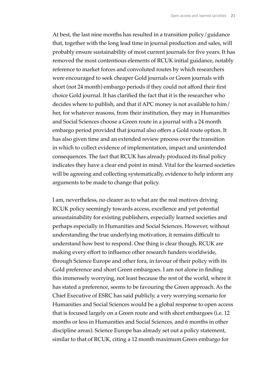At best, the last nine months has resulted in a transition policy/guidance that, together with the long lead time in journal production and sales, will probably ensure sustainability of most current journals for five years. It has removed the most contentious elements of RCUK initial guidance, notably reference to market forces and convoluted routes by which researchers were encouraged to seek cheaper Gold journals or Green journals with short (not 24 month) embargo periods if they could not afford their first choice Gold journal. It has clarified the fact that it is the researcher who decides where to publish, and that if APC money is not available to him/ her, for whatever reasons, from their institution, they may in Humanities and Social Sciences choose a Green route in a journal with a 24 month embargo period provided that journal also offers a Gold route option. It has also given time and an extended review process over the transition in which to collect evidence of implementation, impact and unintended consequences. The fact that RCUK has already produced its final policy indicates they have a clear end point in mind. Vital for the learned societies will be agreeing and collecting systematically, evidence to help inform any arguments to be made to change that policy.

I am, nevertheless, no clearer as to what are the real motives driving RCUK policy seemingly towards access, excellence and yet potential unsustainability for existing publishers, especially learned societies and perhaps especially in Humanities and Social Sciences. However, without understanding the true underlying motivation, it remains difficult to understand how best to respond. One thing is clear though, RCUK are making every effort to influence other research funders worldwide, through Science Europe and other fora, in favour of their policy with its Gold preference and short Green embargoes. I am not alone in finding this immensely worrying, not least because the rest of the world, where it has stated a preference, seems to be favouring the Green approach. As the Chief Executive of ESRC has said publicly, a very worrying scenario for Humanities and Social Sciences would be a global response to open access that is focused largely on a Green route and with short embargoes (i.e. 12 months or less in Humanities and Social Sciences, and 6 months in other discipline areas). Science Europe has already set out a policy statement, similar to that of RCUK, citing a 12 month maximum Green embargo for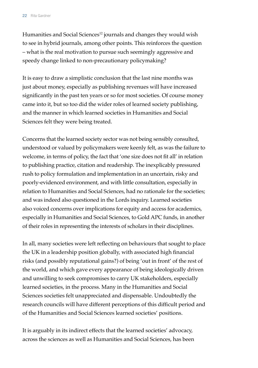Humanities and Social Sciences<sup>12</sup> journals and changes they would wish to see in hybrid journals, among other points. This reinforces the question – what is the real motivation to pursue such seemingly aggressive and speedy change linked to non-precautionary policymaking?

It is easy to draw a simplistic conclusion that the last nine months was just about money, especially as publishing revenues will have increased significantly in the past ten years or so for most societies. Of course money came into it, but so too did the wider roles of learned society publishing, and the manner in which learned societies in Humanities and Social Sciences felt they were being treated.

Concerns that the learned society sector was not being sensibly consulted, understood or valued by policymakers were keenly felt, as was the failure to welcome, in terms of policy, the fact that 'one size does not fit all' in relation to publishing practice, citation and readership. The inexplicably pressured rush to policy formulation and implementation in an uncertain, risky and poorly-evidenced environment, and with little consultation, especially in relation to Humanities and Social Sciences, had no rationale for the societies; and was indeed also questioned in the Lords inquiry. Learned societies also voiced concerns over implications for equity and access for academics, especially in Humanities and Social Sciences, to Gold APC funds, in another of their roles in representing the interests of scholars in their disciplines.

In all, many societies were left reflecting on behaviours that sought to place the UK in a leadership position globally, with associated high financial risks (and possibly reputational gains?) of being 'out in front' of the rest of the world, and which gave every appearance of being ideologically driven and unwilling to seek compromises to carry UK stakeholders, especially learned societies, in the process. Many in the Humanities and Social Sciences societies felt unappreciated and dispensable. Undoubtedly the research councils will have different perceptions of this difficult period and of the Humanities and Social Sciences learned societies' positions.

It is arguably in its indirect effects that the learned societies' advocacy, across the sciences as well as Humanities and Social Sciences, has been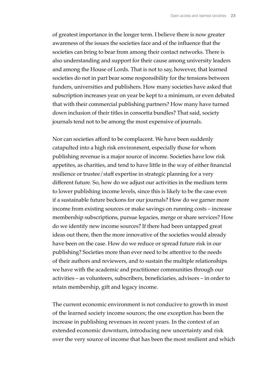of greatest importance in the longer term. I believe there is now greater awareness of the issues the societies face and of the influence that the societies can bring to bear from among their contact networks. There is also understanding and support for their cause among university leaders and among the House of Lords. That is not to say, however, that learned societies do not in part bear some responsibility for the tensions between funders, universities and publishers. How many societies have asked that subscription increases year on year be kept to a minimum, or even debated that with their commercial publishing partners? How many have turned down inclusion of their titles in consortia bundles? That said, society journals tend not to be among the most expensive of journals.

Nor can societies afford to be complacent. We have been suddenly catapulted into a high risk environment, especially those for whom publishing revenue is a major source of income. Societies have low risk appetites, as charities, and tend to have little in the way of either financial resilience or trustee/staff expertise in strategic planning for a very different future. So, how do we adjust our activities in the medium term to lower publishing income levels, since this is likely to be the case even if a sustainable future beckons for our journals? How do we garner more income from existing sources or make savings on running costs – increase membership subscriptions, pursue legacies, merge or share services? How do we identify new income sources? If there had been untapped great ideas out there, then the more innovative of the societies would already have been on the case. How do we reduce or spread future risk in our publishing? Societies more than ever need to be attentive to the needs of their authors and reviewers, and to sustain the multiple relationships we have with the academic and practitioner communities through our activities – as volunteers, subscribers, beneficiaries, advisors – in order to retain membership, gift and legacy income.

The current economic environment is not conducive to growth in most of the learned society income sources; the one exception has been the increase in publishing revenues in recent years. In the context of an extended economic downturn, introducing new uncertainty and risk over the very source of income that has been the most resilient and which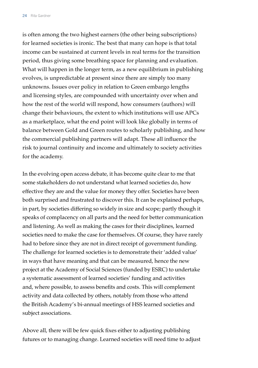is often among the two highest earners (the other being subscriptions) for learned societies is ironic. The best that many can hope is that total income can be sustained at current levels in real terms for the transition period, thus giving some breathing space for planning and evaluation. What will happen in the longer term, as a new equilibrium in publishing evolves, is unpredictable at present since there are simply too many unknowns. Issues over policy in relation to Green embargo lengths and licensing styles, are compounded with uncertainty over when and how the rest of the world will respond, how consumers (authors) will change their behaviours, the extent to which institutions will use APCs as a marketplace, what the end point will look like globally in terms of balance between Gold and Green routes to scholarly publishing, and how the commercial publishing partners will adapt. These all influence the risk to journal continuity and income and ultimately to society activities for the academy.

In the evolving open access debate, it has become quite clear to me that some stakeholders do not understand what learned societies do, how effective they are and the value for money they offer. Societies have been both surprised and frustrated to discover this. It can be explained perhaps, in part, by societies differing so widely in size and scope; partly though it speaks of complacency on all parts and the need for better communication and listening. As well as making the cases for their disciplines, learned societies need to make the case for themselves. Of course, they have rarely had to before since they are not in direct receipt of government funding. The challenge for learned societies is to demonstrate their 'added value' in ways that have meaning and that can be measured, hence the new project at the Academy of Social Sciences (funded by ESRC) to undertake a systematic assessment of learned societies' funding and activities and, where possible, to assess benefits and costs. This will complement activity and data collected by others, notably from those who attend the British Academy's bi-annual meetings of HSS learned societies and subject associations.

Above all, there will be few quick fixes either to adjusting publishing futures or to managing change. Learned societies will need time to adjust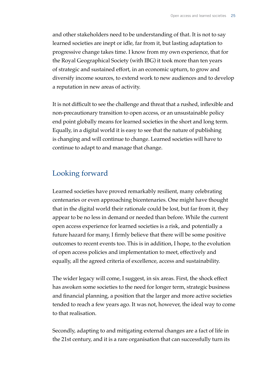and other stakeholders need to be understanding of that. It is not to say learned societies are inept or idle, far from it, but lasting adaptation to progressive change takes time. I know from my own experience, that for the Royal Geographical Society (with IBG) it took more than ten years of strategic and sustained effort, in an economic upturn, to grow and diversify income sources, to extend work to new audiences and to develop a reputation in new areas of activity.

It is not difficult to see the challenge and threat that a rushed, inflexible and non-precautionary transition to open access, or an unsustainable policy end point globally means for learned societies in the short and long term. Equally, in a digital world it is easy to see that the nature of publishing is changing and will continue to change. Learned societies will have to continue to adapt to and manage that change.

#### Looking forward

Learned societies have proved remarkably resilient, many celebrating centenaries or even approaching bicentenaries. One might have thought that in the digital world their rationale could be lost, but far from it, they appear to be no less in demand or needed than before. While the current open access experience for learned societies is a risk, and potentially a future hazard for many, I firmly believe that there will be some positive outcomes to recent events too. This is in addition, I hope, to the evolution of open access policies and implementation to meet, effectively and equally, all the agreed criteria of excellence, access and sustainability.

The wider legacy will come, I suggest, in six areas. First, the shock effect has awoken some societies to the need for longer term, strategic business and financial planning, a position that the larger and more active societies tended to reach a few years ago. It was not, however, the ideal way to come to that realisation.

Secondly, adapting to and mitigating external changes are a fact of life in the 21st century, and it is a rare organisation that can successfully turn its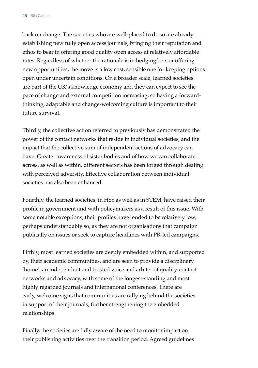back on change. The societies who are well-placed to do so are already establishing new fully open access journals, bringing their reputation and ethos to bear in offering good quality open access at relatively affordable rates. Regardless of whether the rationale is in hedging bets or offering new opportunities, the move is a low cost, sensible one for keeping options open under uncertain conditions. On a broader scale, learned societies are part of the UK's knowledge economy and they can expect to see the pace of change and external competition increasing, so having a forwardthinking, adaptable and change-welcoming culture is important to their future survival.

Thirdly, the collective action referred to previously has demonstrated the power of the contact networks that reside in individual societies, and the impact that the collective sum of independent actions of advocacy can have. Greater awareness of sister bodies and of how we can collaborate across, as well as within, different sectors has been forged through dealing with perceived adversity. Effective collaboration between individual societies has also been enhanced.

Fourthly, the learned societies, in HSS as well as in STEM, have raised their profile in government and with policymakers as a result of this issue. With some notable exceptions, their profiles have tended to be relatively low, perhaps understandably so, as they are not organisations that campaign publically on issues or seek to capture headlines with PR-led campaigns.

Fifthly, most learned societies are deeply embedded within, and supported by, their academic communities, and are seen to provide a disciplinary 'home', an independent and trusted voice and arbiter of quality, contact networks and advocacy, with some of the longest-standing and most highly regarded journals and international conferences. There are early, welcome signs that communities are rallying behind the societies in support of their journals, further strengthening the embedded relationships.

Finally, the societies are fully aware of the need to monitor impact on their publishing activities over the transition period. Agreed guidelines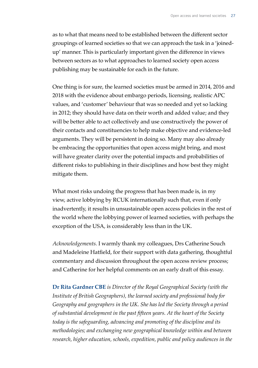as to what that means need to be established between the different sector groupings of learned societies so that we can approach the task in a 'joinedup' manner. This is particularly important given the difference in views between sectors as to what approaches to learned society open access publishing may be sustainable for each in the future.

One thing is for sure, the learned societies must be armed in 2014, 2016 and 2018 with the evidence about embargo periods, licensing, realistic APC values, and 'customer' behaviour that was so needed and yet so lacking in 2012; they should have data on their worth and added value; and they will be better able to act collectively and use constructively the power of their contacts and constituencies to help make objective and evidence-led arguments. They will be persistent in doing so. Many may also already be embracing the opportunities that open access might bring, and most will have greater clarity over the potential impacts and probabilities of different risks to publishing in their disciplines and how best they might mitigate them.

What most risks undoing the progress that has been made is, in my view, active lobbying by RCUK internationally such that, even if only inadvertently, it results in unsustainable open access policies in the rest of the world where the lobbying power of learned societies, with perhaps the exception of the USA, is considerably less than in the UK.

*Acknowledgements.* I warmly thank my colleagues, Drs Catherine Souch and Madeleine Hatfield, for their support with data gathering, thoughtful commentary and discussion throughout the open access review process; and Catherine for her helpful comments on an early draft of this essay.

**Dr Rita Gardner CBE** *is Director of the Royal Geographical Society (with the Institute of British Geographers), the learned society and professional body for Geography and geographers in the UK. She has led the Society through a period of substantial development in the past fifteen years. At the heart of the Society today is the safeguarding, advancing and promoting of the discipline and its methodologies; and exchanging new geographical knowledge within and between research, higher education, schools, expedition, public and policy audiences in the*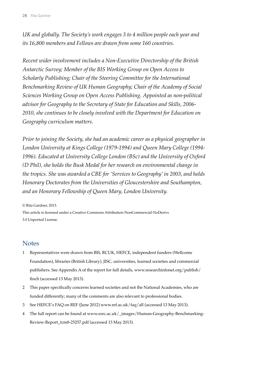*UK and globally. The Society's work engages 3 to 4 million people each year and its 16,800 members and Fellows are drawn from some 160 countries.* 

*Recent wider involvement includes a Non-Executive Directorship of the British Antarctic Survey; Member of the BIS Working Group on Open Access to Scholarly Publishing; Chair of the Steering Committee for the International Benchmarking Review of UK Human Geography; Chair of the Academy of Social Sciences Working Group on Open Access Publishing. Appointed as non-political advisor for Geography to the Secretary of State for Education and Skills, 2006- 2010, she continues to be closely involved with the Department for Education on Geography curriculum matters.* 

*Prior to joining the Society, she had an academic career as a physical geographer in London University at Kings College (1979-1994) and Queen Mary College (1994- 1996). Educated at University College London (BSc) and the University of Oxford (D Phil), she holds the Busk Medal for her research on environmental change in the tropics. She was awarded a CBE for 'Services to Geography' in 2003, and holds Honorary Doctorates from the Universities of Gloucestershire and Southampton, and an Honorary Fellowship of Queen Mary, London University.* 

#### © Rita Gardner, 2013.

This article is licensed under a Creative Commons Attribution-NonCommercial-NoDerivs 3.0 Unported License.

#### **Notes**

- 1 Representatives were drawn from BIS, RCUK, HEFCE, independent funders (Wellcome Foundation), libraries (British Library), JISC, universities, learned societies and commercial publishers. See Appendix A of the report for full details, [www.researchinfonet.org/publish/](http://www.researchinfonet.org/publish/finch/) [finch](http://www.researchinfonet.org/publish/finch/) (accessed 13 May 2013).
- 2 This paper specifically concerns learned societies and not the National Academies, who are funded differently; many of the comments are also relevant to professional bodies.
- 3 See HEFCE's FAQ on REF (June 2012) [www.ref.ac.uk/faq/all](http://www.ref.ac.uk/faq/all/) (accessed 13 May 2013).
- 4 The full report can be found at [www.esrc.ac.uk/\\_images/Human-Geography-Benchmarking-](http://www.esrc.ac.uk/_images/Human-Geography-Benchmarking-Review-Report_tcm8-25257.pdf)[Review-Report\\_tcm8-25257.pdf](http://www.esrc.ac.uk/_images/Human-Geography-Benchmarking-Review-Report_tcm8-25257.pdf) (accessed 13 May 2013).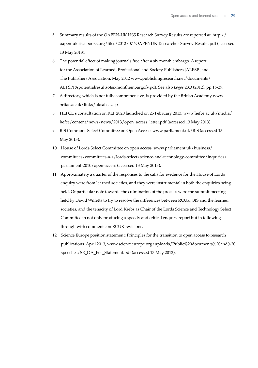- 5 Summary results of the OAPEN-UK HSS Research Survey Results are reported at: [http://](http://oapen-uk.jiscebooks.org/files/2012/07/OAPENUK-Researcher-Survey-Results.pdf) [oapen-uk.jiscebooks.org/files/2012/07/OAPENUK-Researcher-Survey-Results.pdf](http://oapen-uk.jiscebooks.org/files/2012/07/OAPENUK-Researcher-Survey-Results.pdf) (accessed 13 May 2013).
- 6 The potential effect of making journals free after a six month embargo. A report for the Association of Learned, Professional and Society Publishers [ALPSP] and The Publishers Association, May 2012 [www.publishingresearch.net/documents/](http://www.publishingresearch.net/documents/ALPSPPApotentialresultsofsixmonthembargofv.pdf) [ALPSPPApotentialresultsofsixmonthembargofv.pdf](http://www.publishingresearch.net/documents/ALPSPPApotentialresultsofsixmonthembargofv.pdf). See also *Logos* 23:3 (2012), pp.16-27.
- 7 A directory, which is not fully comprehensive, is provided by the British Academy www. britac.ac.uk/links/uksahss.asp
- 8 HEFCE's consultation on REF 2020 launched on 25 February 2013, [www.hefce.ac.uk/media/](http://www.hefce.ac.uk/media/hefce/content/news/news/2013/open_access_letter.pdf) [hefce/content/news/news/2013/open\\_access\\_letter.pdf](http://www.hefce.ac.uk/media/hefce/content/news/news/2013/open_access_letter.pdf) (accessed 13 May 2013).
- 9 BIS Commons Select Committee on Open Access: [www.parliament.uk/BIS](http://www.parliament.uk/BIS) (accessed 13 May 2013).
- 10 House of Lords Select Committee on open access, [www.parliament.uk/business/](http://www.parliament.uk/business/committees/committees-a-z/lords-select/science-and-technology-committee/inquiries/parliament-2010/open-access/) [committees/committees-a-z/lords-select/science-and-technology-committee/inquiries/](http://www.parliament.uk/business/committees/committees-a-z/lords-select/science-and-technology-committee/inquiries/parliament-2010/open-access/) [parliament-2010/open-access](http://www.parliament.uk/business/committees/committees-a-z/lords-select/science-and-technology-committee/inquiries/parliament-2010/open-access/) (accessed 13 May 2013).
- 11 Approximately a quarter of the responses to the calls for evidence for the House of Lords enquiry were from learned societies, and they were instrumental in both the enquiries being held. Of particular note towards the culmination of the process were the summit meeting held by David Willetts to try to resolve the differences between RCUK, BIS and the learned societies, and the tenacity of Lord Krebs as Chair of the Lords Science and Technology Select Committee in not only producing a speedy and critical enquiry report but in following through with comments on RCUK revisions.
- 12 Science Europe position statement: Principles for the transition to open access to research publications. April 2013, [www.scienceeurope.org/uploads/Public%20documents%20and%20](http://www.scienceeurope.org/uploads/Public%20documents%20and%20speeches/SE_OA_Pos_Statement.pdf) [speeches/SE\\_OA\\_Pos\\_Statement.pdf](http://www.scienceeurope.org/uploads/Public%20documents%20and%20speeches/SE_OA_Pos_Statement.pdf) (accessed 13 May 2013).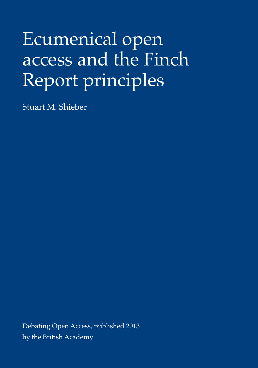# <span id="page-30-0"></span>Ecumenical open access and the Finch Report principles

Stuart M. Shieber

Debating Open Access, published 2013 by the British Academy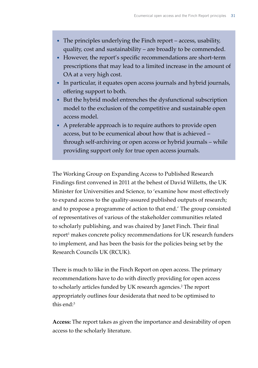- The principles underlying the Finch report access, usability, quality, cost and sustainability – are broadly to be commended.
- However, the report's specific recommendations are short-term prescriptions that may lead to a limited increase in the amount of OA at a very high cost.
- In particular, it equates open access journals and hybrid journals, offering support to both.
- But the hybrid model entrenches the dysfunctional subscription model to the exclusion of the competitive and sustainable open access model.
- A preferable approach is to require authors to provide open access, but to be ecumenical about how that is achieved – through self-archiving or open access or hybrid journals – while providing support only for true open access journals.

The Working Group on Expanding Access to Published Research Findings first convened in 2011 at the behest of David Willetts, the UK Minister for Universities and Science, to 'examine how most effectively to expand access to the quality-assured published outputs of research; and to propose a programme of action to that end.' The group consisted of representatives of various of the stakeholder communities related to scholarly publishing, and was chaired by Janet Finch. Their final report<sup>1</sup> makes concrete policy recommendations for UK research funders to implement, and has been the basis for the policies being set by the Research Councils UK (RCUK).

There is much to like in the Finch Report on open access. The primary recommendations have to do with directly providing for open access to scholarly articles funded by UK research agencies.2 The report appropriately outlines four desiderata that need to be optimised to this end:3

**Access:** The report takes as given the importance and desirability of open access to the scholarly literature.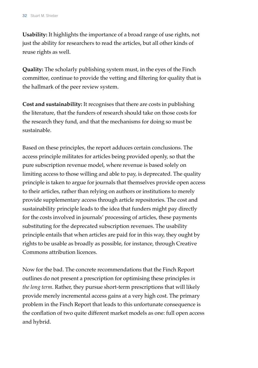**Usability:** It highlights the importance of a broad range of use rights, not just the ability for researchers to read the articles, but all other kinds of reuse rights as well.

**Quality:** The scholarly publishing system must, in the eyes of the Finch committee, continue to provide the vetting and filtering for quality that is the hallmark of the peer review system.

**Cost and sustainability:** It recognises that there are costs in publishing the literature, that the funders of research should take on those costs for the research they fund, and that the mechanisms for doing so must be sustainable.

Based on these principles, the report adduces certain conclusions. The access principle militates for articles being provided openly, so that the pure subscription revenue model, where revenue is based solely on limiting access to those willing and able to pay, is deprecated. The quality principle is taken to argue for journals that themselves provide open access to their articles, rather than relying on authors or institutions to merely provide supplementary access through article repositories. The cost and sustainability principle leads to the idea that funders might pay directly for the costs involved in journals' processing of articles, these payments substituting for the deprecated subscription revenues. The usability principle entails that when articles are paid for in this way, they ought by rights to be usable as broadly as possible, for instance, through Creative Commons attribution licences.

Now for the bad. The concrete recommendations that the Finch Report outlines do not present a prescription for optimising these principles *in the long term*. Rather, they pursue short-term prescriptions that will likely provide merely incremental access gains at a very high cost. The primary problem in the Finch Report that leads to this unfortunate consequence is the conflation of two quite different market models as one: full open access and hybrid.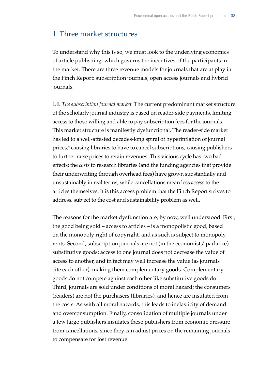### 1. Three market structures

To understand why this is so, we must look to the underlying economics of article publishing, which governs the incentives of the participants in the market. There are three revenue models for journals that are at play in the Finch Report: subscription journals, open access journals and hybrid journals.

**1.1.** *The subscription journal market.* The current predominant market structure of the scholarly journal industry is based on reader-side payments, limiting access to those willing and able to pay subscription fees for the journals. This market structure is manifestly dysfunctional. The reader-side market has led to a well-attested decades-long spiral of hyperinflation of journal prices,<sup>4</sup> causing libraries to have to cancel subscriptions, causing publishers to further raise prices to retain revenues. This vicious cycle has two bad effects: the *costs* to research libraries (and the funding agencies that provide their underwriting through overhead fees) have grown substantially and unsustainably in real terms, while cancellations mean less *access* to the articles themselves. It is this access problem that the Finch Report strives to address, subject to the cost and sustainability problem as well.

The reasons for the market dysfunction are, by now, well understood. First, the good being sold – access to articles – is a monopolistic good, based on the monopoly right of copyright, and as such is subject to monopoly rents. Second, subscription journals are not (in the economists' parlance) substitutive goods; access to one journal does not decrease the value of access to another, and in fact may well increase the value (as journals cite each other), making them complementary goods. Complementary goods do not compete against each other like substitutive goods do. Third, journals are sold under conditions of moral hazard; the consumers (readers) are not the purchasers (libraries), and hence are insulated from the costs. As with all moral hazards, this leads to inelasticity of demand and overconsumption. Finally, consolidation of multiple journals under a few large publishers insulates these publishers from economic pressure from cancellations, since they can adjust prices on the remaining journals to compensate for lost revenue.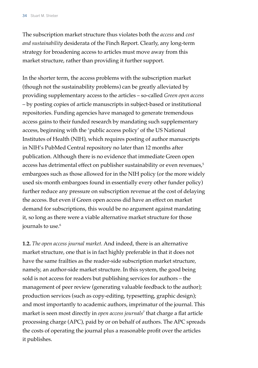The subscription market structure thus violates both the *access* and *cost and sustainability* desiderata of the Finch Report. Clearly, any long-term strategy for broadening access to articles must move away from this market structure, rather than providing it further support.

In the shorter term, the access problems with the subscription market (though not the sustainability problems) can be greatly alleviated by providing supplementary access to the articles – so-called *Green open access* – by posting copies of article manuscripts in subject-based or institutional repositories. Funding agencies have managed to generate tremendous access gains to their funded research by mandating such supplementary access, beginning with the 'public access policy' of the US National Institutes of Health (NIH), which requires posting of author manuscripts in NIH's PubMed Central repository no later than 12 months after publication. Although there is no evidence that immediate Green open access has detrimental effect on publisher sustainability or even revenues,<sup>5</sup> embargoes such as those allowed for in the NIH policy (or the more widely used six-month embargoes found in essentially every other funder policy) further reduce any pressure on subscription revenue at the cost of delaying the access. But even if Green open access did have an effect on market demand for subscriptions, this would be no argument against mandating it, so long as there were a viable alternative market structure for those journals to use.<sup>6</sup>

**1.2.** *The open access journal market.* And indeed, there is an alternative market structure, one that is in fact highly preferable in that it does not have the same frailties as the reader-side subscription market structure, namely, an author-side market structure. In this system, the good being sold is not access for readers but publishing services for authors – the management of peer review (generating valuable feedback to the author); production services (such as copy-editing, typesetting, graphic design); and most importantly to academic authors, imprimatur of the journal. This market is seen most directly in *open access journals*<sup>7</sup> that charge a flat article processing charge (APC), paid by or on behalf of authors. The APC spreads the costs of operating the journal plus a reasonable profit over the articles it publishes.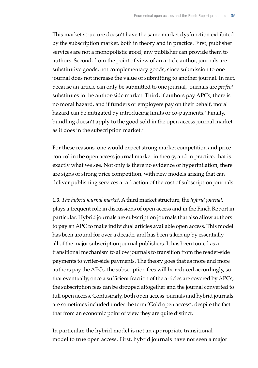This market structure doesn't have the same market dysfunction exhibited by the subscription market, both in theory and in practice. First, publisher services are not a monopolistic good; any publisher can provide them to authors. Second, from the point of view of an article author, journals are substitutive goods, not complementary goods, since submission to one journal does not increase the value of submitting to another journal. In fact, because an article can only be submitted to one journal, journals are *perfect* substitutes in the author-side market. Third, if authors pay APCs, there is no moral hazard, and if funders or employers pay on their behalf, moral hazard can be mitigated by introducing limits or co-payments.8 Finally, bundling doesn't apply to the good sold in the open access journal market as it does in the subscription market.9

For these reasons, one would expect strong market competition and price control in the open access journal market in theory, and in practice, that is exactly what we see. Not only is there no evidence of hyperinflation, there are signs of strong price competition, with new models arising that can deliver publishing services at a fraction of the cost of subscription journals.

**1.3.** *The hybrid journal market.* A third market structure, the *hybrid journal*, plays a frequent role in discussions of open access and in the Finch Report in particular. Hybrid journals are subscription journals that also allow authors to pay an APC to make individual articles available open access. This model has been around for over a decade, and has been taken up by essentially all of the major subscription journal publishers. It has been touted as a transitional mechanism to allow journals to transition from the reader-side payments to writer-side payments. The theory goes that as more and more authors pay the APCs, the subscription fees will be reduced accordingly, so that eventually, once a sufficient fraction of the articles are covered by APCs, the subscription fees can be dropped altogether and the journal converted to full open access. Confusingly, both open access journals and hybrid journals are sometimes included under the term 'Gold open access', despite the fact that from an economic point of view they are quite distinct.

In particular, the hybrid model is not an appropriate transitional model to true open access. First, hybrid journals have not seen a major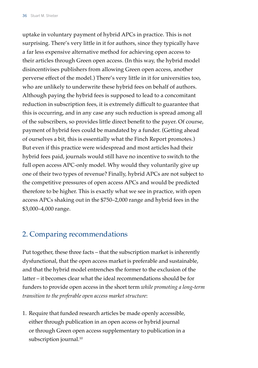uptake in voluntary payment of hybrid APCs in practice. This is not surprising. There's very little in it for authors, since they typically have a far less expensive alternative method for achieving open access to their articles through Green open access. (In this way, the hybrid model disincentivises publishers from allowing Green open access, another perverse effect of the model.) There's very little in it for universities too, who are unlikely to underwrite these hybrid fees on behalf of authors. Although paying the hybrid fees is supposed to lead to a concomitant reduction in subscription fees, it is extremely difficult to guarantee that this is occurring, and in any case any such reduction is spread among all of the subscribers, so provides little direct benefit to the payer. Of course, payment of hybrid fees could be mandated by a funder. (Getting ahead of ourselves a bit, this is essentially what the Finch Report promotes.) But even if this practice were widespread and most articles had their hybrid fees paid, journals would still have no incentive to switch to the full open access APC-only model. Why would they voluntarily give up one of their two types of revenue? Finally, hybrid APCs are not subject to the competitive pressures of open access APCs and would be predicted therefore to be higher. This is exactly what we see in practice, with open access APCs shaking out in the \$750–2,000 range and hybrid fees in the \$3,000–4,000 range.

## 2. Comparing recommendations

Put together, these three facts – that the subscription market is inherently dysfunctional, that the open access market is preferable and sustainable, and that the hybrid model entrenches the former to the exclusion of the latter – it becomes clear what the ideal recommendations should be for funders to provide open access in the short term *while promoting a long-term transition to the preferable open access market structure*:

1. Require that funded research articles be made openly accessible, either through publication in an open access or hybrid journal or through Green open access supplementary to publication in a subscription journal.<sup>10</sup>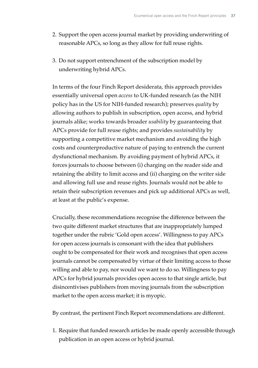- 2. Support the open access journal market by providing underwriting of reasonable APCs, so long as they allow for full reuse rights.
- 3. Do not support entrenchment of the subscription model by underwriting hybrid APCs.

In terms of the four Finch Report desiderata, this approach provides essentially universal open *access* to UK-funded research (as the NIH policy has in the US for NIH-funded research); preserves *quality* by allowing authors to publish in subscription, open access, and hybrid journals alike; works towards broader *usability* by guaranteeing that APCs provide for full reuse rights; and provides *sustainability* by supporting a competitive market mechanism and avoiding the high costs and counterproductive nature of paying to entrench the current dysfunctional mechanism. By avoiding payment of hybrid APCs, it forces journals to choose between (i) charging on the reader side and retaining the ability to limit access and (ii) charging on the writer side and allowing full use and reuse rights. Journals would not be able to retain their subscription revenues and pick up additional APCs as well, at least at the public's expense.

Crucially, these recommendations recognise the difference between the two quite different market structures that are inappropriately lumped together under the rubric 'Gold open access'. Willingness to pay APCs for open access journals is consonant with the idea that publishers ought to be compensated for their work and recognises that open access journals cannot be compensated by virtue of their limiting access to those willing and able to pay, nor would we want to do so. Willingness to pay APCs for hybrid journals provides open access to that single article, but disincentivises publishers from moving journals from the subscription market to the open access market; it is myopic.

By contrast, the pertinent Finch Report recommendations are different.

1. Require that funded research articles be made openly accessible through publication in an open access or hybrid journal.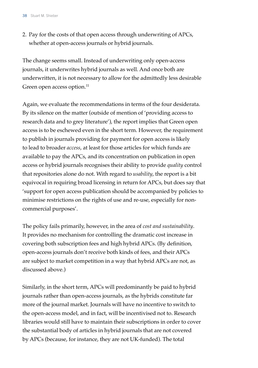2. Pay for the costs of that open access through underwriting of APCs, whether at open-access journals or hybrid journals.

The change seems small. Instead of underwriting only open-access journals, it underwrites hybrid journals as well. And once both are underwritten, it is not necessary to allow for the admittedly less desirable Green open access option.<sup>11</sup>

Again, we evaluate the recommendations in terms of the four desiderata. By its silence on the matter (outside of mention of 'providing access to research data and to grey literature'), the report implies that Green open access is to be eschewed even in the short term. However, the requirement to publish in journals providing for payment for open access is likely to lead to broader *access*, at least for those articles for which funds are available to pay the APCs, and its concentration on publication in open access or hybrid journals recognises their ability to provide *quality* control that repositories alone do not. With regard to *usability*, the report is a bit equivocal in requiring broad licensing in return for APCs, but does say that 'support for open access publication should be accompanied by policies to minimise restrictions on the rights of use and re-use, especially for noncommercial purposes'.

The policy fails primarily, however, in the area of *cost and sustainability*. It provides no mechanism for controlling the dramatic cost increase in covering both subscription fees and high hybrid APCs. (By definition, open-access journals don't receive both kinds of fees, and their APCs are subject to market competition in a way that hybrid APCs are not, as discussed above.)

Similarly, in the short term, APCs will predominantly be paid to hybrid journals rather than open-access journals, as the hybrids constitute far more of the journal market. Journals will have no incentive to switch to the open-access model, and in fact, will be incentivised not to. Research libraries would still have to maintain their subscriptions in order to cover the substantial body of articles in hybrid journals that are not covered by APCs (because, for instance, they are not UK-funded). The total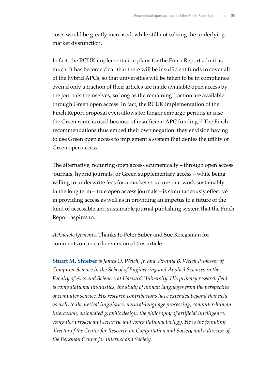costs would be greatly increased, while still not solving the underlying market dysfunction.

In fact, the RCUK implementation plans for the Finch Report admit as much. It has become clear that there will be insufficient funds to cover all of the hybrid APCs, so that universities will be taken to be in compliance even if only a fraction of their articles are made available open access by the journals themselves, so long as the remaining fraction are available through Green open access. In fact, the RCUK implementation of the Finch Report proposal even allows for longer embargo periods in case the Green route is used because of insufficient APC funding.<sup>12</sup> The Finch recommendations thus embed their own negation: they envision having to use Green open access to implement a system that denies the utility of Green open access.

The alternative, requiring open access ecumenically – through open access journals, hybrid journals, or Green supplementary access – while being willing to underwrite fees for a market structure that work sustainably in the long term – true open access journals – is simultaneously effective in providing access as well as in providing an impetus to a future of the kind of accessible and sustainable journal publishing system that the Finch Report aspires to.

*Acknowledgements.* Thanks to Peter Suber and Sue Kriegsman for comments on an earlier version of this article.

**Stuart M. Shieber** *is James O. Welch, Jr. and Virginia B. Welch Professor of Computer Science in the School of Engineering and Applied Sciences in the Faculty of Arts and Sciences at Harvard University. His primary research field is computational linguistics, the study of human languages from the perspective of computer science. His research contributions have extended beyond that field as well, to theoretical linguistics, natural-language processing, computer-human interaction, automated graphic design, the philosophy of artificial intelligence, computer privacy and security, and computational biology. He is the founding director of the Center for Research on Computation and Society and a director of the Berkman Center for Internet and Society.*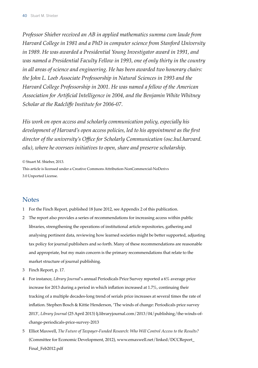*Professor Shieber received an AB in applied mathematics summa cum laude from Harvard College in 1981 and a PhD in computer science from Stanford University in 1989. He was awarded a Presidential Young Investigator award in 1991, and was named a Presidential Faculty Fellow in 1993, one of only thirty in the country in all areas of science and engineering. He has been awarded two honorary chairs: the John L. Loeb Associate Professorship in Natural Sciences in 1993 and the Harvard College Professorship in 2001. He was named a fellow of the American Association for Artificial Intelligence in 2004, and the Benjamin White Whitney Scholar at the Radcliffe Institute for 2006-07.*

*His work on open access and scholarly communication policy, especially his development of Harvard's open access policies, led to his appointment as the first director of the university's Office for Scholarly Communication (osc.[hul.harvard.](http://hul.harvard.edu/osc/) [edu\)](http://hul.harvard.edu/osc/), where he oversees initiatives to open, share and preserve scholarship.*

© Stuart M. Shieber, 2013.

This article is licensed under a Creative Commons Attribution-NonCommercial-NoDerivs 3.0 Unported License.

#### **Notes**

- 1 For the Finch Report, published 18 June 2012, see Appendix 2 of this publication.
- 2 The report also provides a series of recommendations for increasing access within public libraries, strengthening the operations of institutional article repositories, gathering and analysing pertinent data, reviewing how learned societies might be better supported, adjusting tax policy for journal publishers and so forth. Many of these recommendations are reasonable and appropriate, but my main concern is the primary recommendations that relate to the market structure of journal publishing.
- 3 Finch Report, p. 17.
- 4 For instance, *Library Journal*'s annual Periodicals Price Survey reported a 6% average price increase for 2013 during a period in which inflation increased at 1.7%, continuing their tracking of a multiple decades-long trend of serials price increases at several times the rate of inflation. Stephen Bosch & Kittie Henderson, 'The winds of change: Periodicals price survey 2013', *Library Journal* (25 April 2013) [lj.libraryjournal.com/2013/04/publishing/the-winds-of](http://lj.libraryjournal.com/2013/04/publishing/the-winds-of-change-periodicals-price-survey-2013/)[change-periodicals-price-survey-2013](http://lj.libraryjournal.com/2013/04/publishing/the-winds-of-change-periodicals-price-survey-2013/)
- 5 Elliot Maxwell, *The Future of Taxpayer-Funded Research: Who Will Control Access to the Results?* (Committee for Economic Development, 2012), [www.emaxwell.net/linked/DCCReport\\_](http://www.emaxwell.net/linked/DCCReport_Final_Feb2012.pdf) [Final\\_Feb2012.pdf](http://www.emaxwell.net/linked/DCCReport_Final_Feb2012.pdf)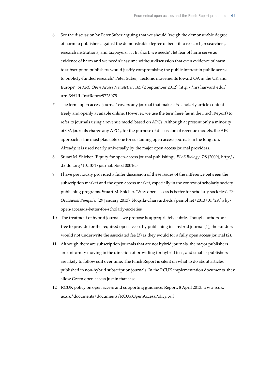- 6 See the discussion by Peter Suber arguing that we should 'weigh the demonstrable degree of harm to publishers against the demonstrable degree of benefit to research, researchers, research institutions, and taxpayers. . . . In short, we needn't let fear of harm serve as evidence of harm and we needn't assume without discussion that even evidence of harm to subscription publishers would justify compromising the public interest in public access to publicly-funded research.' Peter Suber, 'Tectonic movements toward OA in the UK and Europe', *SPARC Open Access Newsletter*, 165 (2 September 2012), http://nrs.harvard.edu/ urn-3:HUL.InstRepos:9723075
- 7 The term 'open access journal' covers any journal that makes its scholarly article content freely and openly available online. However, we use the term here (as in the Finch Report) to refer to journals using a revenue model based on APCs. Although at present only a minority of OA journals charge any APCs, for the purpose of discussion of revenue models, the APC approach is the most plausible one for sustaining open access journals in the long run. Already, it is used nearly universally by the major open access journal providers.
- 8 Stuart M. Shieber, 'Equity for open-access journal publishing', *PLoS Biology*, 7:8 (2009), http:// dx.doi.org/10.1371/journal.pbio.1000165
- 9 I have previously provided a fuller discussion of these issues of the difference between the subscription market and the open access market, especially in the context of scholarly society publishing programs. Stuart M. Shieber, 'Why open access is better for scholarly societies', *The Occasional Pamphlet* (29 January 2013), [blogs.law.harvard.edu/pamphlet/2013/01/29/why](http://blogs.law.harvard.edu/pamphlet/2013/01/29/why-open-access-is-better-for-scholarly-societies/)[open-access-is-better-for-scholarly-societies](http://blogs.law.harvard.edu/pamphlet/2013/01/29/why-open-access-is-better-for-scholarly-societies/)
- 10 The treatment of hybrid journals we propose is appropriately subtle. Though authors are free to provide for the required open access by publishing in a hybrid journal (1), the funders would not underwrite the associated fee (3) as they would for a fully open access journal (2).
- 11 Although there are subscription journals that are not hybrid journals, the major publishers are uniformly moving in the direction of providing for hybrid fees, and smaller publishers are likely to follow suit over time. The Finch Report is silent on what to do about articles published in non-hybrid subscription journals. In the RCUK implementation documents, they allow Green open access just in that case.
- 12 RCUK policy on open access and supporting guidance. Report, 8 April 2013. [www.rcuk.](http://www.rcuk.ac.uk/documents/documents/RCUKOpenAccessPolicy.pdf) [ac.uk/documents/documents/RCUKOpenAccessPolicy.pdf](http://www.rcuk.ac.uk/documents/documents/RCUKOpenAccessPolicy.pdf)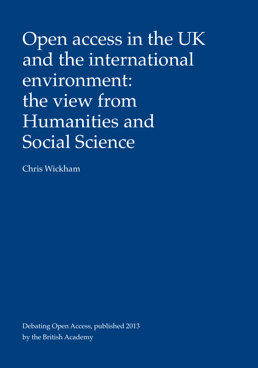Open access in the UK and the international environment: the view from Humanities and Social Science

Chris Wickham

Debating Open Access, published 2013 by the British Academy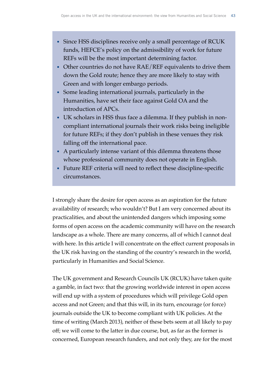- Since HSS disciplines receive only a small percentage of RCUK funds, HEFCE's policy on the admissibility of work for future REFs will be the most important determining factor.
- Other countries do not have RAE/REF equivalents to drive them down the Gold route; hence they are more likely to stay with Green and with longer embargo periods.
- • Some leading international journals, particularly in the Humanities, have set their face against Gold OA and the introduction of APCs.
- UK scholars in HSS thus face a dilemma. If they publish in noncompliant international journals their work risks being ineligible for future REFs; if they don't publish in these venues they risk falling off the international pace.
- A particularly intense variant of this dilemma threatens those whose professional community does not operate in English.
- Future REF criteria will need to reflect these discipline-specific circumstances.

I strongly share the desire for open access as an aspiration for the future availability of research; who wouldn't? But I am very concerned about its practicalities, and about the unintended dangers which imposing some forms of open access on the academic community will have on the research landscape as a whole. There are many concerns, all of which I cannot deal with here. In this article I will concentrate on the effect current proposals in the UK risk having on the standing of the country's research in the world, particularly in Humanities and Social Science.

The UK government and Research Councils UK (RCUK) have taken quite a gamble, in fact two: that the growing worldwide interest in open access will end up with a system of procedures which will privilege Gold open access and not Green; and that this will, in its turn, encourage (or force) journals outside the UK to become compliant with UK policies. At the time of writing (March 2013), neither of these bets seem at all likely to pay off; we will come to the latter in due course, but, as far as the former is concerned, European research funders, and not only they, are for the most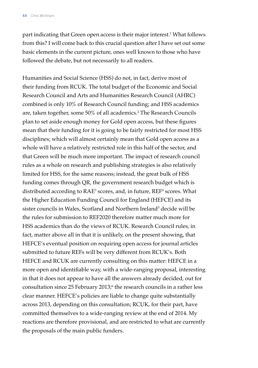part indicating that Green open access is their major interest.1 What follows from this? I will come back to this crucial question after I have set out some basic elements in the current picture, ones well known to those who have followed the debate, but not necessarily to all readers.

Humanities and Social Science (HSS) do not, in fact, derive most of their funding from RCUK. The total budget of the Economic and Social Research Council and Arts and Humanities Research Council (AHRC) combined is only 10% of Research Council funding; and HSS academics are, taken together, some 50% of all academics.2 The Research Councils plan to set aside enough money for Gold open access, but these figures mean that their funding for it is going to be fairly restricted for most HSS disciplines; which will almost certainly mean that Gold open access as a whole will have a relatively restricted role in this half of the sector, and that Green will be much more important. The impact of research council rules as a whole on research and publishing strategies is also relatively limited for HSS, for the same reasons; instead, the great bulk of HSS funding comes through QR, the government research budget which is distributed according to  $\text{RAE}^{\text{3}}$  scores, and, in future,  $\text{REF}^{\text{4}}$  scores. What the Higher Education Funding Council for England (HEFCE) and its sister councils in Wales, Scotland and Northern Ireland<sup>5</sup> decide will be the rules for submission to REF2020 therefore matter much more for HSS academics than do the views of RCUK. Research Council rules, in fact, matter above all in that it is unlikely, on the present showing, that HEFCE's eventual position on requiring open access for journal articles submitted to future REFs will be very different from RCUK's. Both HEFCE and RCUK are currently consulting on this matter: HEFCE in a more open and identifiable way, with a wide-ranging proposal, interesting in that it does not appear to have all the answers already decided, out for consultation since 25 February 2013;6 the research councils in a rather less clear manner. HEFCE's policies are liable to change quite substantially across 2013, depending on this consultation; RCUK, for their part, have committed themselves to a wide-ranging review at the end of 2014. My reactions are therefore provisional, and are restricted to what are currently the proposals of the main public funders.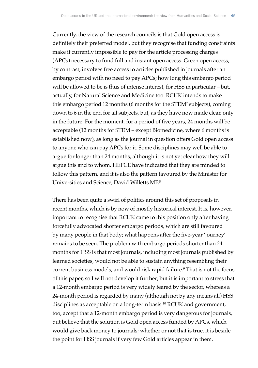Currently, the view of the research councils is that Gold open access is definitely their preferred model, but they recognise that funding constraints make it currently impossible to pay for the article processing charges (APCs) necessary to fund full and instant open access. Green open access, by contrast, involves free access to articles published in journals after an embargo period with no need to pay APCs; how long this embargo period will be allowed to be is thus of intense interest, for HSS in particular – but, actually, for Natural Science and Medicine too. RCUK intends to make this embargo period 12 months (6 months for the STEM<sup>7</sup> subjects), coming down to 6 in the end for all subjects, but, as they have now made clear, only in the future. For the moment, for a period of five years, 24 months will be acceptable (12 months for STEM – except Biomedicine, where 6 months is established now), as long as the journal in question offers Gold open access to anyone who can pay APCs for it. Some disciplines may well be able to argue for longer than 24 months, although it is not yet clear how they will argue this and to whom. HEFCE have indicated that they are minded to follow this pattern, and it is also the pattern favoured by the Minister for Universities and Science, David Willetts MP.<sup>8</sup>

There has been quite a swirl of politics around this set of proposals in recent months, which is by now of mostly historical interest. It is, however, important to recognise that RCUK came to this position only after having forcefully advocated shorter embargo periods, which are still favoured by many people in that body; what happens after the five-year 'journey' remains to be seen. The problem with embargo periods shorter than 24 months for HSS is that most journals, including most journals published by learned societies, would not be able to sustain anything resembling their current business models, and would risk rapid failure.<sup>9</sup> That is not the focus of this paper, so I will not develop it further; but it is important to stress that a 12-month embargo period is very widely feared by the sector, whereas a 24-month period is regarded by many (although not by any means all) HSS disciplines as acceptable on a long-term basis.<sup>10</sup> RCUK and government, too, accept that a 12-month embargo period is very dangerous for journals, but believe that the solution is Gold open access funded by APCs, which would give back money to journals; whether or not that is true, it is beside the point for HSS journals if very few Gold articles appear in them.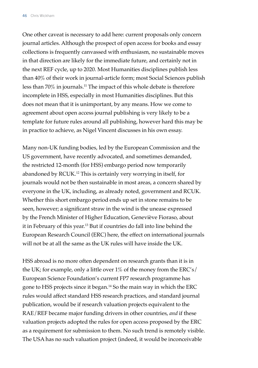One other caveat is necessary to add here: current proposals only concern journal articles. Although the prospect of open access for books and essay collections is frequently canvassed with enthusiasm, no sustainable moves in that direction are likely for the immediate future, and certainly not in the next REF cycle, up to 2020. Most Humanities disciplines publish less than 40% of their work in journal-article form; most Social Sciences publish less than 70% in journals.11 The impact of this whole debate is therefore incomplete in HSS, especially in most Humanities disciplines. But this does not mean that it is unimportant, by any means. How we come to agreement about open access journal publishing is very likely to be a template for future rules around all publishing, however hard this may be in practice to achieve, as Nigel Vincent discusses in his own essay.

Many non-UK funding bodies, led by the European Commission and the US government, have recently advocated, and sometimes demanded, the restricted 12-month (for HSS) embargo period now temporarily abandoned by RCUK.12 This is certainly very worrying in itself, for journals would not be then sustainable in most areas, a concern shared by everyone in the UK, including, as already noted, government and RCUK. Whether this short embargo period ends up set in stone remains to be seen, however; a significant straw in the wind is the unease expressed by the French Minister of Higher Education, Geneviève Fioraso, about it in February of this year.13 But if countries do fall into line behind the European Research Council (ERC) here, the effect on international journals will not be at all the same as the UK rules will have inside the UK.

HSS abroad is no more often dependent on research grants than it is in the UK; for example, only a little over  $1\%$  of the money from the ERC's/ European Science Foundation's current FP7 research programme has gone to HSS projects since it began.14 So the main way in which the ERC rules would affect standard HSS research practices, and standard journal publication, would be if research valuation projects equivalent to the RAE/REF became major funding drivers in other countries, *and* if these valuation projects adopted the rules for open access proposed by the ERC as a requirement for submission to them. No such trend is remotely visible. The USA has no such valuation project (indeed, it would be inconceivable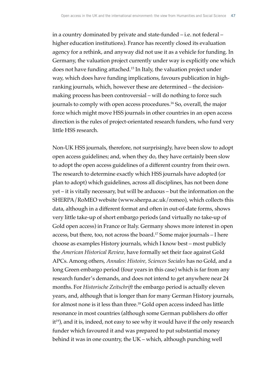in a country dominated by private and state-funded – i.e. not federal – higher education institutions). France has recently closed its evaluation agency for a rethink, and anyway did not use it as a vehicle for funding. In Germany, the valuation project currently under way is explicitly one which does not have funding attached.<sup>15</sup> In Italy, the valuation project under way, which does have funding implications, favours publication in highranking journals, which, however these are determined – the decisionmaking process has been controversial – will do nothing to force such journals to comply with open access procedures.16 So, overall, the major force which might move HSS journals in other countries in an open access direction is the rules of project-orientated research funders, who fund very little HSS research.

Non-UK HSS journals, therefore, not surprisingly, have been slow to adopt open access guidelines; and, when they do, they have certainly been slow to adopt the open access guidelines of a different country from their own. The research to determine exactly which HSS journals have adopted (or plan to adopt) which guidelines, across all disciplines, has not been done yet – it is vitally necessary, but will be arduous – but the information on the SHERPA/RoMEO website (www.sherpa.ac.uk/romeo), which collects this data, although in a different format and often in out-of-date forms, shows very little take-up of short embargo periods (and virtually no take-up of Gold open access) in France or Italy. Germany shows more interest in open access, but there, too, not across the board.17 Some major journals – I here choose as examples History journals, which I know best – most publicly the *American Historical Review*, have formally set their face against Gold APCs. Among others, *Annales: Histoire, Sciences Sociales* has no Gold, and a long Green embargo period (four years in this case) which is far from any research funder's demands, and does not intend to get anywhere near 24 months. For *Historische Zeitschrift* the embargo period is actually eleven years, and, although that is longer than for many German History journals, for almost none is it less than three.<sup>18</sup> Gold open access indeed has little resonance in most countries (although some German publishers do offer it<sup>19</sup>), and it is, indeed, not easy to see why it would have if the only research funder which favoured it and was prepared to put substantial money behind it was in one country, the UK – which, although punching well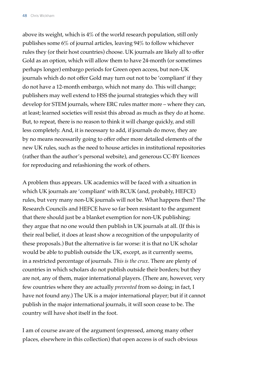above its weight, which is 4% of the world research population, still only publishes some 6% of journal articles, leaving 94% to follow whichever rules they (or their host countries) choose. UK journals are likely all to offer Gold as an option, which will allow them to have 24-month (or sometimes perhaps longer) embargo periods for Green open access, but non-UK journals which do not offer Gold may turn out not to be 'compliant' if they do not have a 12-month embargo, which not many do. This will change; publishers may well extend to HSS the journal strategies which they will develop for STEM journals, where ERC rules matter more – where they can, at least; learned societies will resist this abroad as much as they do at home. But, to repeat, there is no reason to think it will change quickly, and still less completely. And, it is necessary to add, if journals do move, they are by no means necessarily going to offer other more detailed elements of the new UK rules, such as the need to house articles in institutional repositories (rather than the author's personal website), and generous CC-BY licences for reproducing and refashioning the work of others.

A problem thus appears. UK academics will be faced with a situation in which UK journals are 'compliant' with RCUK (and, probably, HEFCE) rules, but very many non-UK journals will not be. What happens then? The Research Councils and HEFCE have so far been resistant to the argument that there should just be a blanket exemption for non-UK publishing; they argue that no one would then publish in UK journals at all. (If this is their real belief, it does at least show a recognition of the unpopularity of these proposals.) But the alternative is far worse: it is that no UK scholar would be able to publish outside the UK, except, as it currently seems, in a restricted percentage of journals. *This is the crux*. There are plenty of countries in which scholars do not publish outside their borders; but they are not, any of them, major international players. (There are, however, very few countries where they are actually *prevented* from so doing; in fact, I have not found any.) The UK is a major international player; but if it cannot publish in the major international journals, it will soon cease to be. The country will have shot itself in the foot.

I am of course aware of the argument (expressed, among many other places, elsewhere in this collection) that open access is of such obvious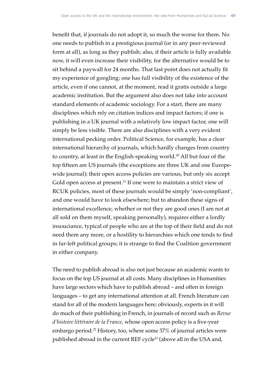benefit that, if journals do not adopt it, so much the worse for them. No one needs to publish in a prestigious journal (or in any peer-reviewed form at all), as long as they publish; also, if their article is fully available now, it will even increase their visibility, for the alternative would be to sit behind a paywall for 24 months. That last point does not actually fit my experience of googling; one has full visibility of the existence of the article, even if one cannot, at the moment, read it gratis outside a large academic institution. But the argument also does not take into account standard elements of academic sociology. For a start, there are many disciplines which rely on citation indices and impact factors; if one is publishing in a UK journal with a relatively low impact factor, one will simply be less visible. There are also disciplines with a very evident international pecking order. Political Science, for example, has a clear international hierarchy of journals, which hardly changes from country to country, at least in the English-speaking world.<sup>20</sup> All but four of the top fifteen are US journals (the exceptions are three UK and one Europewide journal); their open access policies are various, but only six accept Gold open access at present.<sup>21</sup> If one were to maintain a strict view of RCUK policies, most of these journals would be simply 'non-compliant', and one would have to look elsewhere; but to abandon these signs of international excellence, whether or not they are good ones (I am not at all sold on them myself, speaking personally), requires either a lordly insouciance, typical of people who are at the top of their field and do not need them any more, or a hostility to hierarchies which one tends to find in far-left political groups; it is strange to find the Coalition government in either company.

The need to publish abroad is also not just because an academic wants to focus on the top US journal at all costs. Many disciplines in Humanities have large sectors which have to publish abroad – and often in foreign languages – to get any international attention at all. French literature can stand for all of the modern languages here; obviously, experts in it will do much of their publishing in French, in journals of record such as *Revue d'histoire littéraire de la France*, whose open access policy is a five-year embargo period.22 History, too, where some 37% of journal articles were published abroad in the current REF cycle<sup>23</sup> (above all in the USA and,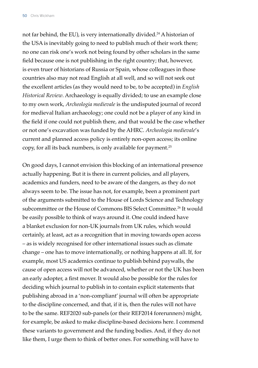not far behind, the EU), is very internationally divided.<sup>24</sup> A historian of the USA is inevitably going to need to publish much of their work there; no one can risk one's work not being found by other scholars in the same field because one is not publishing in the right country; that, however, is even truer of historians of Russia or Spain, whose colleagues in those countries also may not read English at all well, and so will not seek out the excellent articles (as they would need to be, to be accepted) in *English Historical Review*. Archaeology is equally divided; to use an example close to my own work, *Archeologia medievale* is the undisputed journal of record for medieval Italian archaeology; one could not be a player of any kind in the field if one could not publish there, and that would be the case whether or not one's excavation was funded by the AHRC. *Archeologia medievale*'s current and planned access policy is entirely non-open access; its online copy, for all its back numbers, is only available for payment.25

On good days, I cannot envision this blocking of an international presence actually happening. But it is there in current policies, and all players, academics and funders, need to be aware of the dangers, as they do not always seem to be. The issue has not, for example, been a prominent part of the arguments submitted to the House of Lords Science and Technology subcommittee or the House of Commons BIS Select Committee.<sup>26</sup> It would be easily possible to think of ways around it. One could indeed have a blanket exclusion for non-UK journals from UK rules, which would certainly, at least, act as a recognition that in moving towards open access – as is widely recognised for other international issues such as climate change – one has to move internationally, or nothing happens at all. If, for example, most US academics continue to publish behind paywalls, the cause of open access will not be advanced, whether or not the UK has been an early adopter, a first mover. It would also be possible for the rules for deciding which journal to publish in to contain explicit statements that publishing abroad in a 'non-compliant' journal will often be appropriate to the discipline concerned, and that, if it is, then the rules will not have to be the same. REF2020 sub-panels (or their REF2014 forerunners) might, for example, be asked to make discipline-based decisions here. I commend these variants to government and the funding bodies. And, if they do not like them, I urge them to think of better ones. For something will have to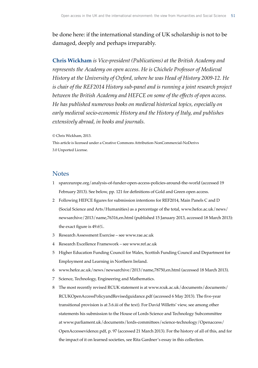be done here: if the international standing of UK scholarship is not to be damaged, deeply and perhaps irreparably.

**Chris Wickham** *is Vice-president (Publications) at the British Academy and represents the Academy on open access. He is Chichele Professor of Medieval History at the University of Oxford, where he was Head of History 2009-12. He is chair of the REF2014 History sub-panel and is running a joint research project between the British Academy and HEFCE on some of the effects of open access. He has published numerous books on medieval historical topics, especially on early medieval socio-economic History and the History of Italy, and publishes extensively abroad, in books and journals.*

© Chris Wickham, 2013.

This article is licensed under a Creative Commons Attribution-NonCommercial-NoDerivs 3.0 Unported License.

#### **Notes**

- 1 [sparceurope.org/analysis-of-funder-open-access-policies-around-the-world](http://sparceurope.org/analysis-of-funder-open-access-policies-around-the-world/) (accessed 19 February 2013). See below, pp. 121 for definitions of Gold and Green open access.
- 2 Following HEFCE figures for submission intentions for REF2014, Main Panels C and D (Social Science and Arts/Humanities) as a percentage of the total, [www.hefce.ac.uk/news/](http://www.hefce.ac.uk/news/newsarchive/2013/name,76316,en.html) [newsarchive/2013/name,76316,en.html](http://www.hefce.ac.uk/news/newsarchive/2013/name,76316,en.html) (published 15 January 2013, accessed 18 March 2013): the exact figure is 49.6%.
- 3 Research Assessment Exercise see www.rae.ac.uk
- 4 Research Excellence Framework see www.ref.ac.uk
- 5 Higher Education Funding Council for Wales, Scottish Funding Council and Department for Employment and Learning in Northern Ireland.
- 6 [www.hefce.ac.uk/news/newsarchive/2013/name,78750,en.html](http://www.hefce.ac.uk/news/newsarchive/2013/name,78750,en.html) (accessed 18 March 2013).
- 7 Science, Technology, Engineering and Mathematics.
- 8 The most recently revised RCUK statement is at [www.rcuk.ac.uk/documents/documents/](http://www.rcuk.ac.uk/documents/documents/RCUKOpenAccessPolicyandRevisedguidance.pdf) [RCUKOpenAccessPolicyandRevisedguidance.pdf](http://www.rcuk.ac.uk/documents/documents/RCUKOpenAccessPolicyandRevisedguidance.pdf) (accessed 6 May 2013). The five-year transitional provision is at 3.6.iii of the text). For David Willetts' view, see among other statements his submission to the House of Lords Science and Technology Subcommittee at [www.parliament.uk/documents/lords-committees/science-technology/Openaccess/](http://www.parliament.uk/documents/lords-committees/science-technology/Openaccess/OpenAccessevidence.pdf) [OpenAccessevidence.pdf,](http://www.parliament.uk/documents/lords-committees/science-technology/Openaccess/OpenAccessevidence.pdf) p. 97 (accessed 21 March 2013). For the history of all of this, and for the impact of it on learned societies, see Rita Gardner's essay in this collection.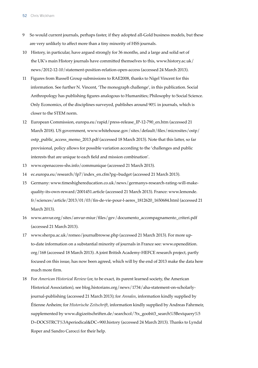- 9 So would current journals, perhaps faster, if they adopted all-Gold business models, but these are very unlikely to affect more than a tiny minority of HSS journals.
- 10 History, in particular, have argued strongly for 36 months, and a large and solid set of the UK's main History journals have committed themselves to this, [www.history.ac.uk/](http://www.history.ac.uk/news/2012-12-10/statement-position-relation-open-access) [news/2012-12-10/statement-position-relation-open-access](http://www.history.ac.uk/news/2012-12-10/statement-position-relation-open-access) (accessed 24 March 2013).
- 11 Figures from Russell Group submissions to RAE2008, thanks to Nigel Vincent for this information. See further N. Vincent, 'The monograph challenge', in this publication. Social Anthropology has publishing figures analogous to Humanities; Philosophy to Social Science. Only Economics, of the disciplines surveyed, publishes around 90% in journals, which is closer to the STEM norm.
- 12 European Commission, [europa.eu/rapid/press-release\\_IP-12-790\\_en.htm](http://europa.eu/rapid/press-release_IP-12-790_en.htm) (accessed 21 March 2018). US government, [www.whitehouse.gov/sites/default/files/microsites/ostp/](http://www.whitehouse.gov/sites/default/files/microsites/ostp/ostp_public_access_memo_2013.pdf) [ostp\\_public\\_access\\_memo\\_2013.pdf](http://www.whitehouse.gov/sites/default/files/microsites/ostp/ostp_public_access_memo_2013.pdf) (accessed 18 March 2013). Note that this latter, so far provisional, policy allows for possible variation according to the 'challenges and public interests that are unique to each field and mission combination'.
- 13 [www.openaccess-shs.info/communique](http://www.openaccess-shs.info/communique/) (accessed 21 March 2013).
- 14 [ec.europa.eu/research/fp7/index\\_en.cfm?pg=budget](http://ec.europa.eu/research/fp7/index_en.cfm?pg=budget) (accessed 21 March 2013).
- 15 Germany: [www.timeshighereducation.co.uk/news/germanys-research-rating-will-make](http://www.timeshighereducation.co.uk/news/germanys-research-rating-will-make-quality-its-own-reward/2001451.article)[quality-its-own-reward/2001451.article](http://www.timeshighereducation.co.uk/news/germanys-research-rating-will-make-quality-its-own-reward/2001451.article) (accessed 21 March 2013). France: [www.lemonde.](http://www.lemonde.fr/sciences/article/2013/01/03/fin-de-vie-pour-l-aeres_1812620_1650684.html) [fr/sciences/article/2013/01/03/fin-de-vie-pour-l-aeres\\_1812620\\_1650684.html](http://www.lemonde.fr/sciences/article/2013/01/03/fin-de-vie-pour-l-aeres_1812620_1650684.html) (accessed 21 March 2013).
- 16 [www.anvur.org/sites/anvur-miur/files/gev/documento\\_accompagnamento\\_criteri.pdf](http://www.anvur.org/sites/anvur-miur/files/gev/documento_accompagnamento_criteri.pdf)  (accessed 21 March 2013).
- 17 [www.sherpa.ac.uk/romeo/journalbrowse.php](http://www.sherpa.ac.uk/romeo/journalbrowse.php) (accessed 21 March 2013). For more upto-date information on a substantial minority of journals in France see: [www.openedition.](http://www.openedition.org/168) [org/168](http://www.openedition.org/168) (accessed 18 March 2013). A joint British Academy-HEFCE research project, partly focused on this issue, has now been agreed, which will by the end of 2013 make the data here much more firm.
- 18 For *American Historical Review* (or, to be exact, its parent learned society, the American Historical Association), see [blog.historians.org/news/1734/aha-statement-on-scholarly](http://blog.historians.org/news/1734/aha-statement-on-scholarly-journal-publishing)[journal-publishing](http://blog.historians.org/news/1734/aha-statement-on-scholarly-journal-publishing) (accessed 21 March 2013); for *Annales*, information kindly supplied by Étienne Anheim; for *Historische Zeitschrift*, information kindly supplied by Andreas Fahrmeir, supplemented by [www.digizeitschriften.de/searchcol/?tx\\_goobit3\\_search%5Bextquery%5](http://www.digizeitschriften.de/searchcol/?tx_goobit3_search%5Bextquery%5D=DOCSTRCT%3Aperiodical&DC=900.history) [D=DOCSTRCT%3Aperiodical&DC=900.history](http://www.digizeitschriften.de/searchcol/?tx_goobit3_search%5Bextquery%5D=DOCSTRCT%3Aperiodical&DC=900.history) (accessed 24 March 2013). Thanks to Lyndal Roper and Sandro Carocci for their help.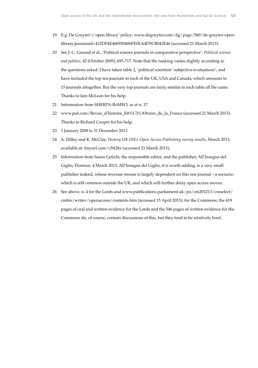- 19 E.g. De Gruyter's 'open library' policy: [www.degruyter.com/dg/page/560/de-gruyter-open](http://www.degruyter.com/dg/page/560/de-gruyter-open-library;jsessionid=412DF4E460950406FE0EA4D5CB042E46)[library;jsessionid=412DF4E460950406FE0EA4D5CB042E46](http://www.degruyter.com/dg/page/560/de-gruyter-open-library;jsessionid=412DF4E460950406FE0EA4D5CB042E46) (accessed 21 March 2013).
- 20 See J. C. Garand et al., 'Political science journals in comparative perspective', *Political science and politics*, 42 (October 2009), 695-717. Note that the ranking varies slightly according to the questions asked. I have taken table 2, 'political scientists' subjective evaluations', and have included the top ten journals in each of the UK, USA and Canada, which amounts to 15 journals altogether. But the very top journals are fairly similar in each table all the same. Thanks to Iain McLean for his help.
- 21 Information from SHERPA-RoMEO, as at n. 17.
- 22 [www.puf.com/Revue\\_d'histoire\\_litt%C3%A9raire\\_de\\_la\\_France](http://www.puf.com/Revue_d) (accessed 21 March 2013). Thanks to Richard Cooper for his help.
- 23 1 January 2008 to 31 December 2013.
- 24 A. Dilley and K. McClay, *History UK (HE): Open Access Publishing survey results*, March 2013, available at: [tinyurl.com/c5tt28z](http://tinyurl.com/c5tt28z) (accessed 21 March 2013)**.**
- 25 Information from Sauro Gelichi, the responsible editor, and the publisher, All'Insegna del Giglio, Florence, 4 March 2013. All'Insegna del Giglio, it is worth adding, is a very small publisher indeed, whose revenue stream is largely dependent on this one journal – a scenario which is still common outside the UK, and which will further delay open access moves.
- 26 See above, n. 4 for the Lords and [www.publications.parliament.uk/pa/cm201213/cmselect/](http://www.publications.parliament.uk/pa/cm201213/cmselect/cmbis/writev/openaccess/contents.htm) [cmbis/writev/openaccess/contents.htm](http://www.publications.parliament.uk/pa/cm201213/cmselect/cmbis/writev/openaccess/contents.htm) (accessed 15 April 2015), for the Commons; the 419 pages of oral and written evidence for the Lords and the 546 pages of written evidence for the Commons do, of course, contain discussions of this, but they tend to be relatively brief.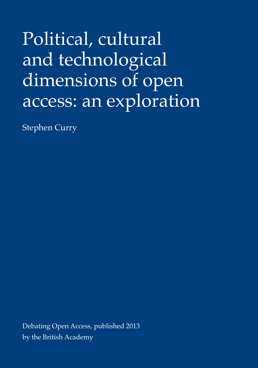# Political, cultural and technological dimensions of open access: an exploration

Stephen Curry

Debating Open Access, published 2013 by the British Academy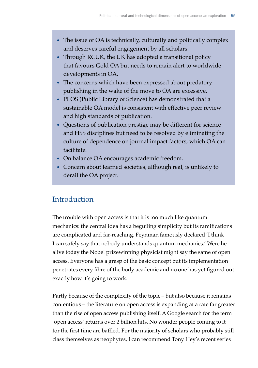- The issue of OA is technically, culturally and politically complex and deserves careful engagement by all scholars.
- Through RCUK, the UK has adopted a transitional policy that favours Gold OA but needs to remain alert to worldwide developments in OA.
- The concerns which have been expressed about predatory publishing in the wake of the move to OA are excessive.
- PLOS (Public Library of Science) has demonstrated that a sustainable OA model is consistent with effective peer review and high standards of publication.
- Questions of publication prestige may be different for science and HSS disciplines but need to be resolved by eliminating the culture of dependence on journal impact factors, which OA can facilitate.
- On balance OA encourages academic freedom.
- • Concern about learned societies, although real, is unlikely to derail the OA project.

## **Introduction**

The trouble with open access is that it is too much like quantum mechanics: the central idea has a beguiling simplicity but its ramifications are complicated and far-reaching. Feynman famously declared 'I think I can safely say that nobody understands quantum mechanics.' Were he alive today the Nobel prizewinning physicist might say the same of open access. Everyone has a grasp of the basic concept but its implementation penetrates every fibre of the body academic and no one has yet figured out exactly how it's going to work.

Partly because of the complexity of the topic – but also because it remains contentious – the literature on open access is expanding at a rate far greater than the rise of open access publishing itself. A Google search for the term 'open access' returns over 2 billion hits. No wonder people coming to it for the first time are baffled. For the majority of scholars who probably still class themselves as neophytes, I can recommend Tony Hey's recent series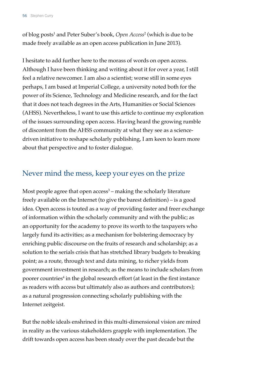of blog posts<sup>1</sup> and Peter Suber's book*, Open Access<sup>2</sup>* (which is due to be made freely available as an open access publication in June 2013).

I hesitate to add further here to the morass of words on open access. Although I have been thinking and writing about it for over a year, I still feel a relative newcomer. I am also a scientist; worse still in some eyes perhaps, I am based at Imperial College, a university noted both for the power of its Science, Technology and Medicine research, and for the fact that it does not teach degrees in the Arts, Humanities or Social Sciences (AHSS). Nevertheless, I want to use this article to continue my exploration of the issues surrounding open access. Having heard the growing rumble of discontent from the AHSS community at what they see as a sciencedriven initiative to reshape scholarly publishing, I am keen to learn more about that perspective and to foster dialogue.

## Never mind the mess, keep your eyes on the prize

Most people agree that open access<sup>3</sup> – making the scholarly literature freely available on the Internet (to give the barest definition) – is a good idea. Open access is touted as a way of providing faster and freer exchange of information within the scholarly community and with the public; as an opportunity for the academy to prove its worth to the taxpayers who largely fund its activities; as a mechanism for bolstering democracy by enriching public discourse on the fruits of research and scholarship; as a solution to the serials crisis that has stretched library budgets to breaking point; as a route, through text and data mining, to richer yields from government investment in research; as the means to include scholars from poorer countries<sup>4</sup> in the global research effort (at least in the first instance as readers with access but ultimately also as authors and contributors); as a natural progression connecting scholarly publishing with the Internet zeitgeist.

But the noble ideals enshrined in this multi-dimensional vision are mired in reality as the various stakeholders grapple with implementation. The drift towards open access has been steady over the past decade but the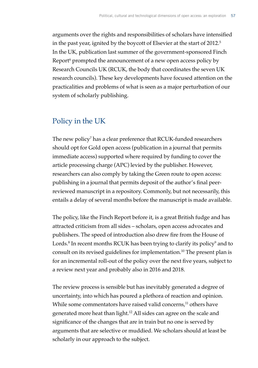arguments over the rights and responsibilities of scholars have intensified in the past year, ignited by the boycott of Elsevier at the start of 2012.<sup>5</sup> In the UK, publication last summer of the government-sponsored Finch Report<sup>6</sup> prompted the announcement of a new open access policy by Research Councils UK (RCUK, the body that coordinates the seven UK research councils). These key developments have focused attention on the practicalities and problems of what is seen as a major perturbation of our system of scholarly publishing.

## Policy in the UK

The new policy<sup>7</sup> has a clear preference that RCUK-funded researchers should opt for [Gold open access](http://en.wikipedia.org/wiki/Open_access) (publication in a journal that permits immediate access) supported where required by funding to cover the article processing charge (APC) levied by the publisher. However, researchers can also comply by taking the Green route to open access: publishing in a journal that permits deposit of the author's final peerreviewed manuscript in a repository. Commonly, but not necessarily, this entails a delay of several months before the manuscript is made available.

The policy, like the Finch Report before it, is a great British fudge and has attracted criticism from all sides – scholars, open access advocates and publishers. The speed of introduction also drew fire from the House of Lords.<sup>8</sup> In recent months RCUK has been trying to clarify its policy<sup>9</sup> and to consult on its revised guidelines for implementation.10 The present plan is for an incremental roll-out of the policy over the next five years, subject to a review next year and probably also in 2016 and 2018.

The review process is sensible but has inevitably generated a degree of uncertainty, into which has poured a plethora of reaction and opinion. While some commentators have raised valid concerns,<sup>11</sup> others have generated more heat than light.12 All sides can agree on the scale and significance of the changes that are in train but no one is served by arguments that are selective or muddied. We scholars should at least be scholarly in our approach to the subject.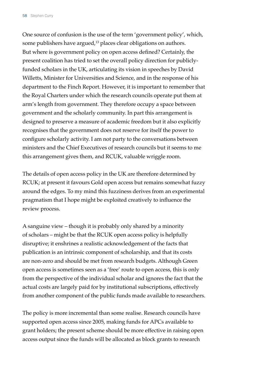One source of confusion is the use of the term 'government policy', which, some publishers have argued,<sup>13</sup> places clear obligations on authors. But where is government policy on open access defined? Certainly, the present coalition has tried to set the overall policy direction for publiclyfunded scholars in the UK, articulating its vision in speeches by David Willetts, Minister for Universities and Science, and in the response of his department to the Finch Report. However, it is important to remember that the Royal Charters under which the research councils operate put them at arm's length from government. They therefore occupy a space between government and the scholarly community. In part this arrangement is designed to preserve a measure of academic freedom but it also explicitly recognises that the government does not reserve for itself the power to configure scholarly activity. I am not party to the conversations between ministers and the Chief Executives of research councils but it seems to me this arrangement gives them, and RCUK, valuable wriggle room.

The details of open access policy in the UK are therefore determined by RCUK; at present it favours Gold open access but remains somewhat fuzzy around the edges. To my mind this fuzziness derives from an experimental pragmatism that I hope might be exploited creatively to influence the review process.

A sanguine view – though it is probably only shared by a minority of scholars – might be that the RCUK open access policy is helpfully disruptive; it enshrines a realistic acknowledgement of the facts that publication is an intrinsic component of scholarship, and that its costs are non-zero and should be met from research budgets. Although Green open access is sometimes seen as a 'free' route to open access, this is only from the perspective of the individual scholar and ignores the fact that the actual costs are largely paid for by institutional subscriptions, effectively from another component of the public funds made available to researchers.

The policy is more incremental than some realise. Research councils have supported open access since 2005, making funds for APCs available to grant holders; the present scheme should be more effective in raising open access output since the funds will be allocated as block grants to research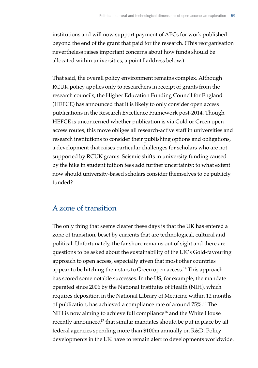institutions and will now support payment of APCs for work published beyond the end of the grant that paid for the research. (This reorganisation nevertheless raises important concerns about how funds should be allocated within universities, a point I address below.)

That said, the overall policy environment remains complex. Although RCUK policy applies only to researchers in receipt of grants from the research councils, the Higher Education Funding Council for England (HEFCE) has announced that it is likely to only consider open access publications in the Research Excellence Framework post-2014. Though HEFCE is unconcerned whether publication is via Gold or Green open access routes, this move obliges all research-active staff in universities and research institutions to consider their publishing options and obligations, a development that raises particular challenges for scholars who are not supported by RCUK grants. Seismic shifts in university funding caused by the hike in student tuition fees add further uncertainty: to what extent now should university-based scholars consider themselves to be publicly funded?

### A zone of transition

The only thing that seems clearer these days is that the UK has entered a zone of transition, beset by currents that are technological, cultural and political. Unfortunately, the far shore remains out of sight and there are questions to be asked about the sustainability of the UK's Gold-favouring approach to open access, especially given that most other countries appear to be hitching their stars to Green open access.14 This approach has scored some notable successes. In the US, for example, the mandate operated since 2006 by the National Institutes of Health (NIH), which requires deposition in the National Library of Medicine within 12 months of publication, has achieved a compliance rate of around 75%.15 The NIH is now aiming to achieve full compliance<sup>16</sup> and the White House recently announced<sup>17</sup> that similar mandates should be put in place by all federal agencies spending more than \$100m annually on R&D. Policy developments in the UK have to remain alert to developments worldwide.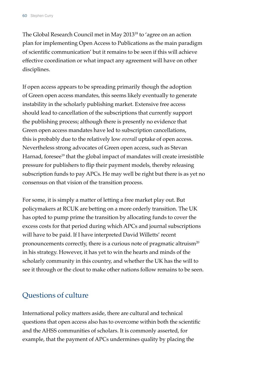The Global Research Council met in May 2013<sup>18</sup> to 'agree on an action plan for implementing Open Access to Publications as the main paradigm of scientific communication' but it remains to be seen if this will achieve effective coordination or what impact any agreement will have on other disciplines.

If open access appears to be spreading primarily though the adoption of Green open access mandates, this seems likely eventually to generate instability in the scholarly publishing market. Extensive free access should lead to cancellation of the subscriptions that currently support the publishing process; although there is presently no evidence that Green open access mandates have led to subscription cancellations, this is probably due to the relatively low *overall* uptake of open access. Nevertheless strong advocates of Green open access, such as Stevan Harnad, foresee<sup>19</sup> that the global impact of mandates will create irresistible pressure for publishers to flip their payment models, thereby releasing subscription funds to pay APCs. He may well be right but there is as yet no consensus on that vision of the transition process.

For some, it is simply a matter of letting a free market play out. But policymakers at RCUK are betting on a more orderly transition. The UK has opted to pump prime the transition by allocating funds to cover the excess costs for that period during which APCs and journal subscriptions will have to be paid. If I have interpreted David Willetts' recent pronouncements correctly, there is a curious note of pragmatic altruism<sup>20</sup> in his strategy. However, it has yet to win the hearts and minds of the scholarly community in this country, and whether the UK has the will to see it through or the clout to make other nations follow remains to be seen.

### Questions of culture

International policy matters aside, there are cultural and technical questions that open access also has to overcome within both the scientific and the AHSS communities of scholars. It is commonly asserted, for example, that the payment of APCs undermines quality by placing the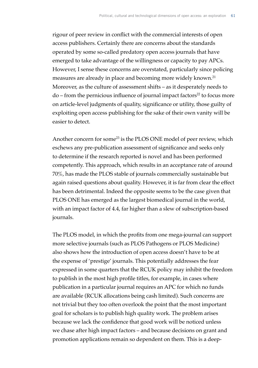rigour of peer review in conflict with the commercial interests of open access publishers. Certainly there are concerns about the standards operated by some so-called predatory open access journals that have emerged to take advantage of the willingness or capacity to pay APCs. However, I sense these concerns are overstated, particularly since policing measures are already in place and becoming more widely known.<sup>21</sup> Moreover, as the culture of assessment shifts – as it desperately needs to  $do$  – from the pernicious influence of journal impact factors<sup>22</sup> to focus more on article-level judgments of quality, significance or utility, those guilty of exploiting open access publishing for the sake of their own vanity will be easier to detect.

Another concern for some<sup>23</sup> is the PLOS ONE model of peer review, which eschews any pre-publication assessment of significance and seeks only to determine if the research reported is novel and has been performed competently. This approach, which results in an acceptance rate of around 70%, has made the PLOS stable of journals commercially sustainable but again raised questions about quality. However, it is far from clear the effect has been detrimental. Indeed the opposite seems to be the case given that PLOS ONE has emerged as the largest biomedical journal in the world, with an impact factor of 4.4, far higher than a slew of subscription-based journals.

The PLOS model, in which the profits from one mega-journal can support more selective journals (such as PLOS Pathogens or PLOS Medicine) also shows how the introduction of open access doesn't have to be at the expense of 'prestige' journals. This potentially addresses the fear expressed in some quarters that the RCUK policy may inhibit the freedom to publish in the most high profile titles, for example, in cases where publication in a particular journal requires an APC for which no funds are available (RCUK allocations being cash limited). Such concerns are not trivial but they too often overlook the point that the most important goal for scholars is to publish high quality work. The problem arises because we lack the confidence that good work will be noticed unless we chase after high impact factors – and because decisions on grant and promotion applications remain so dependent on them. This is a deep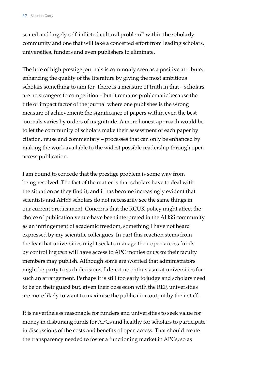seated and largely self-inflicted cultural problem<sup>24</sup> within the scholarly community and one that will take a concerted effort from leading scholars, universities, funders and even publishers to eliminate.

The lure of high prestige journals is commonly seen as a positive attribute, enhancing the quality of the literature by giving the most ambitious scholars something to aim for. There is a measure of truth in that – scholars are no strangers to competition – but it remains problematic because the title or impact factor of the journal where one publishes is the wrong measure of achievement: the significance of papers within even the best journals varies by orders of magnitude. A more honest approach would be to let the community of scholars make their assessment of each paper by citation, reuse and commentary – processes that can only be enhanced by making the work available to the widest possible readership through open access publication.

I am bound to concede that the prestige problem is some way from being resolved. The fact of the matter is that scholars have to deal with the situation as they find it, and it has become increasingly evident that scientists and AHSS scholars do not necessarily see the same things in our current predicament. Concerns that the RCUK policy might affect the choice of publication venue have been interpreted in the AHSS community as an infringement of academic freedom, something I have not heard expressed by my scientific colleagues. In part this reaction stems from the fear that universities might seek to manage their open access funds by controlling *who* will have access to APC monies or *where* their faculty members may publish. Although some are worried that administrators might be party to such decisions, I detect no enthusiasm at universities for such an arrangement. Perhaps it is still too early to judge and scholars need to be on their guard but, given their obsession with the REF, universities are more likely to want to maximise the publication output by their staff.

It is nevertheless reasonable for funders and universities to seek value for money in disbursing funds for APCs and healthy for scholars to participate in discussions of the costs and benefits of open access. That should create the transparency needed to foster a functioning market in APCs, so as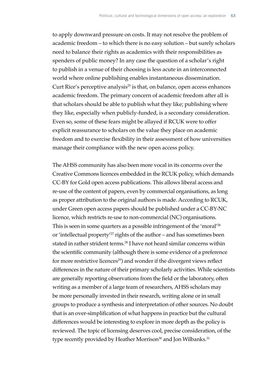to apply downward pressure on costs. It may not resolve the problem of academic freedom – to which there is no easy solution – but surely scholars need to balance their rights as academics with their responsibilities as spenders of public money? In any case the question of a scholar's right to publish in a venue of their choosing is less acute in an interconnected world where online publishing enables instantaneous dissemination. Curt Rice's perceptive analysis<sup>25</sup> is that, on balance, open access enhances academic freedom. The primary concern of academic freedom after all is that scholars should be able to publish what they like; publishing where they like, especially when publicly-funded, is a secondary consideration. Even so, some of these fears might be allayed if RCUK were to offer explicit reassurance to scholars on the value they place on academic freedom and to exercise flexibility in their assessment of how universities manage their compliance with the new open access policy.

The AHSS community has also been more vocal in its concerns over the Creative Commons licences embedded in the RCUK policy, which demands CC-BY for Gold open access publications. This allows liberal access and re-use of the content of papers, even by commercial organisations, as long as proper attribution to the original authors is made. According to RCUK, under Green open access papers should be published under a CC-BY-NC licence, which restricts re-use to non-commercial (NC) organisations. This is seen in some quarters as a possible infringement of the 'moral'<sup>26</sup> or 'intellectual property'<sup>27</sup> rights of the author – and has sometimes been stated in rather strident terms.28 I have not heard similar concerns within the scientific community (although there is some evidence of a preference for more restrictive licences<sup>29</sup>) and wonder if the divergent views reflect differences in the nature of their primary scholarly activities. While scientists are generally reporting observations from the field or the laboratory, often writing as a member of a large team of researchers, AHSS scholars may be more personally invested in their research, writing alone or in small groups to produce a synthesis and interpretation of other sources. No doubt that is an over-simplification of what happens in practice but the cultural differences would be interesting to explore in more depth as the policy is reviewed. The topic of licensing deserves cool, precise consideration, of the type recently provided by Heather Morrison<sup>30</sup> and Jon Wilbanks.<sup>31</sup>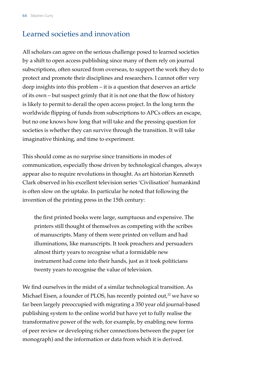## Learned societies and innovation

All scholars can agree on the serious challenge posed to learned societies by a shift to open access publishing since many of them rely on journal subscriptions, often sourced from overseas, to support the work they do to protect and promote their disciplines and researchers. I cannot offer very deep insights into this problem – it is a question that deserves an article of its own – but suspect grimly that it is not one that the flow of history is likely to permit to derail the open access project. In the long term the worldwide flipping of funds from subscriptions to APCs offers an escape, but no one knows how long that will take and the pressing question for societies is whether they can survive through the transition. It will take imaginative thinking, and time to experiment.

This should come as no surprise since transitions in modes of communication, especially those driven by technological changes, always appear also to require revolutions in thought. As art historian Kenneth Clark observed in his excellent television series 'Civilisation' humankind is often slow on the uptake. In particular he noted that following the invention of the printing press in the 15th century:

the first printed books were large, sumptuous and expensive. The printers still thought of themselves as competing with the scribes of manuscripts. Many of them were printed on vellum and had illuminations, like manuscripts. It took preachers and persuaders almost thirty years to recognise what a formidable new instrument had come into their hands, just as it took politicians twenty years to recognise the value of television.

We find ourselves in the midst of a similar technological transition. As Michael Eisen, a founder of PLOS, has recently pointed out, $32$  we have so far been largely preoccupied with migrating a 350 year old journal-based publishing system to the online world but have yet to fully realise the transformative power of the web, for example, by enabling new forms of peer review or developing richer connections between the paper (or monograph) and the information or data from which it is derived.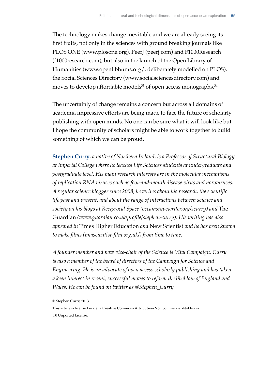The technology makes change inevitable and we are already seeing its first fruits, not only in the sciences with ground breaking journals like PLOS ONE [\(www.plosone.org\)](http://www.plosone.org/), PeerJ [\(peerj.com\)](https://peerj.com/) and F1000Research ([f1000research.com\)](http://f1000research.com/), but also in the launch of the Open Library of Humanities ([www.openlibhums.org/,](https://www.openlibhums.org/) deliberately modelled on PLOS), the Social Sciences Directory [\(www.socialsciencesdirectory.com](http://www.socialsciencesdirectory.com/)) and moves to develop affordable models<sup>33</sup> of open access monographs.<sup>34</sup>

The uncertainly of change remains a concern but across all domains of academia impressive efforts are being made to face the future of scholarly publishing with open minds. No one can be sure what it will look like but I hope the community of scholars might be able to work together to build something of which we can be proud.

**Stephen Curry***, a native of Northern Ireland, is a Professor of Structural Biology at Imperial College where he teaches Life Sciences students at undergraduate and postgraduate level. His main research interests are in the molecular mechanisms of replication RNA viruses such as foot-and-mouth disease virus and noroviruses. A regular science blogger since 2008, he writes about his research, the scientific life past and present, and about the range of interactions between science and society on his blogs at Reciprocal Space ([occamstypewriter.org/scurry\)](http://occamstypewriter.org/scurry/) and* The Guardian *(www.guardian.co.uk/profile/stephen-curry). His writing has also appeared in* Times Higher Education *and* New Scientist *and he has been known to make films [\(imascientist-film.org.uk/\)](http://imascientist-film.org.uk/) from time to time.*

*A founder member and now vice-chair of the Science is Vital Campaign, Curry is also a member of the board of directors of the Campaign for Science and Engineering. He is an advocate of open access scholarly publishing and has taken a keen interest in recent, successful moves to reform the libel law of England and Wales. He can be found on twitter as [@Stephen\\_Curry.](https://twitter.com/Stephen_Curry)*

© Stephen Curry, 2013.

This article is licensed under a Creative Commons Attribution-NonCommercial-NoDerivs 3.0 Unported License.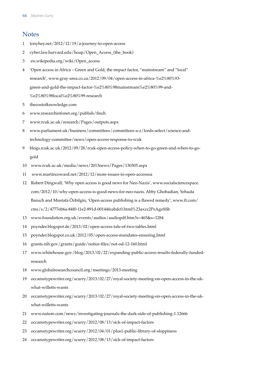#### **Notes**

- 1 [tonyhey.net/2012/12/19/a-journey-to-open-access](http://tonyhey.net/2012/12/19/a-journey-to-open-access/)
- 2 cyber.law.harvard.edu/hoap/Open Access (the book)
- 3 [en.wikipedia.org/wiki/Open\\_access](http://en.wikipedia.org/wiki/Open_access)
- 4 'Open access in Africa Green and Gold, the impact factor, "mainstream" and "local" research', [www.gray-area.co.za/2012/09/04/open-access-in-africa-%e2%80%93](http://www.gray-area.co.za/2012/09/04/open-access-in-africa-%e2%80%93-green-and-gold-the-impact-factor-%e2%80%98mainstream%e2%80%99-and-%e2%80%98local%e2%80%99-research/) [green-and-gold-the-impact-factor-%e2%80%98mainstream%e2%80%99-and-](http://www.gray-area.co.za/2012/09/04/open-access-in-africa-%e2%80%93-green-and-gold-the-impact-factor-%e2%80%98mainstream%e2%80%99-and-%e2%80%98local%e2%80%99-research/) [%e2%80%98local%e2%80%99-research](http://www.gray-area.co.za/2012/09/04/open-access-in-africa-%e2%80%93-green-and-gold-the-impact-factor-%e2%80%98mainstream%e2%80%99-and-%e2%80%98local%e2%80%99-research/)
- 5 [thecostofknowledge.com](http://thecostofknowledge.com/)
- 6  [www.researchinfonet.org/publish/finch](http://www.researchinfonet.org/publish/finch/)
- 7 [www.rcuk.ac.uk/research/Pages/outputs.aspx](http://www.rcuk.ac.uk/research/Pages/outputs.aspx)
- 8 [www.parliament.uk/business/committees/committees-a-z/lords-select/science-and](http://www.parliament.uk/business/committees/committees-a-z/lords-select/science-and-technology-committee/news/open-access-response-to-rcuk/)[technology-committee/news/open-access-response-to-rcuk](http://www.parliament.uk/business/committees/committees-a-z/lords-select/science-and-technology-committee/news/open-access-response-to-rcuk/)
- 9 [blogs.rcuk.ac.uk/2012/09/28/rcuk-open-access-policy-when-to-go-green-and-when-to-go](http://blogs.rcuk.ac.uk/2012/09/28/rcuk-open-access-policy-when-to-go-green-and-when-to-go-gold/)[gold](http://blogs.rcuk.ac.uk/2012/09/28/rcuk-open-access-policy-when-to-go-green-and-when-to-go-gold/)
- 10 [www.rcuk.ac.uk/media/news/2013news/Pages/130305.aspx](http://www.rcuk.ac.uk/media/news/2013news/Pages/130305.aspx)
- 11 [www.martincoward.net/2012/12/more-issues-in-open-accessoa](http://www.martincoward.net/2012/12/more-issues-in-open-accessoa/)
- 12 Robert Dingwall, 'Why open access is good news for Neo-Nazis', [www.socialsciencespace.](http://www.socialsciencespace.com/2012/10/why-open-access-is-good-news-for-neo-nazis/) [com/2012/10/why-open-access-is-good-news-for-neo-nazis](http://www.socialsciencespace.com/2012/10/why-open-access-is-good-news-for-neo-nazis/). Abby Ghobadian, Yehuda Baruch and Mustafa Özbilgin, 'Open-access publishing is a flawed remedy', [www.ft.com/](http://www.ft.com/cms/s/2/4777eb6a-84f0-11e2-891d-00144feabdc0.html%23axzz2PsAgoSSb) [cms/s/2/4777eb6a-84f0-11e2-891d-00144feabdc0.html%23axzz2PsAgoSSb](http://www.ft.com/cms/s/2/4777eb6a-84f0-11e2-891d-00144feabdc0.html%23axzz2PsAgoSSb)
- 13 [www.foundation.org.uk/events/audios/audiopdf.htm?e=465&s=1284](http://www.foundation.org.uk/events/audios/audiopdf.htm?e=465&s=1284)
- 14 [poynder.blogspot.de/2013/02/open-access-tale-of-two-tables.html](http://poynder.blogspot.de/2013/02/open-access-tale-of-two-tables.html)
- 15 [poynder.blogspot.co.uk/2012/05/open-access-mandates-ensuring.html](http://poynder.blogspot.co.uk/2012/05/open-access-mandates-ensuring.html)
- 16 [grants.nih.gov/grants/guide/notice-files/not-od-12-160.html](http://grants.nih.gov/grants/guide/notice-files/not-od-12-160.html)
- 17 [www.whitehouse.gov/blog/2013/02/22/expanding-public-access-results-federally-funded](http://www.whitehouse.gov/blog/2013/02/22/expanding-public-access-results-federally-funded-research)[research](http://www.whitehouse.gov/blog/2013/02/22/expanding-public-access-results-federally-funded-research)
- 18 [www.globalresearchcouncil.org/meetings/2013-meeting](http://www.globalresearchcouncil.org/meetings/2013-meeting)
- 19 [occamstypewriter.org/scurry/2013/02/27/royal-society-meeting-on-open-access-in-the-uk](http://occamstypewriter.org/scurry/2013/02/27/royal-society-meeting-on-open-access-in-the-uk-what-willetts-wants/)[what-willetts-wants](http://occamstypewriter.org/scurry/2013/02/27/royal-society-meeting-on-open-access-in-the-uk-what-willetts-wants/)
- 20 [occamstypewriter.org/scurry/2013/02/27/royal-society-meeting-on-open-access-in-the-uk](http://occamstypewriter.org/scurry/2013/02/27/royal-society-meeting-on-open-access-in-the-uk-what-willetts-wants/)[what-willetts-wants](http://occamstypewriter.org/scurry/2013/02/27/royal-society-meeting-on-open-access-in-the-uk-what-willetts-wants/)
- 21 [www.nature.com/news/investigating-journals-the-dark-side-of-publishing-1.12666](http://www.nature.com/news/investigating-journals-the-dark-side-of-publishing-1.12666)
- 22 [occamstypewriter.org/scurry/2012/08/13/sick-of-impact-factors](http://occamstypewriter.org/scurry/2012/08/13/sick-of-impact-factors/)
- 23 [occamstypewriter.org/scurry/2012/04/01/plos1-public-library-of-sloppiness](http://occamstypewriter.org/scurry/2012/04/01/plos1-public-library-of-sloppiness/)
- 24 [occamstypewriter.org/scurry/2012/08/13/sick-of-impact-factors](http://occamstypewriter.org/scurry/2012/08/13/sick-of-impact-factors/)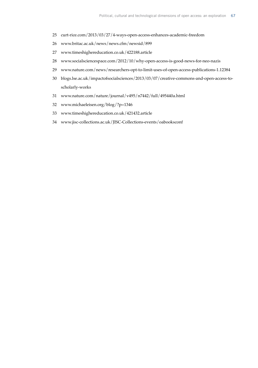- [curt-rice.com/2013/03/27/4-ways-open-access-enhances-academic-freedom](http://curt-rice.com/2013/03/27/4-ways-open-access-enhances-academic-freedom/)
- [www.britac.ac.uk/news/news.cfm/newsid/899](http://www.britac.ac.uk/news/news.cfm/newsid/899)
- [www.timeshighereducation.co.uk/422188.article](http://www.timeshighereducation.co.uk/422188.article)
- [www.socialsciencespace.com/2012/10/why-open-access-is-good-news-for-neo-nazis](http://www.socialsciencespace.com/2012/10/why-open-access-is-good-news-for-neo-nazis/)
- [www.nature.com/news/researchers-opt-to-limit-uses-of-open-access-publications-1.12384](http://www.nature.com/news/researchers-opt-to-limit-uses-of-open-access-publications-1.12384)
- [blogs.lse.ac.uk/impactofsocialsciences/2013/03/07/creative-commons-and-open-access-to](http://blogs.lse.ac.uk/impactofsocialsciences/2013/03/07/creative-commons-and-open-access-to-scholarly-works/)[scholarly-works](http://blogs.lse.ac.uk/impactofsocialsciences/2013/03/07/creative-commons-and-open-access-to-scholarly-works/)
- [www.nature.com/nature/journal/v495/n7442/full/495440a.html](http://www.nature.com/nature/journal/v495/n7442/full/495440a.html)
- [www.michaeleisen.org/blog/?p=1346](http://www.michaeleisen.org/blog/?p=1346)
- [www.timeshighereducation.co.uk/421432.article](http://www.timeshighereducation.co.uk/421432.article)
- [www.jisc-collections.ac.uk/JISC-Collections-events/oabooksconf](http://www.jisc-collections.ac.uk/JISC-Collections-events/oabooksconf/)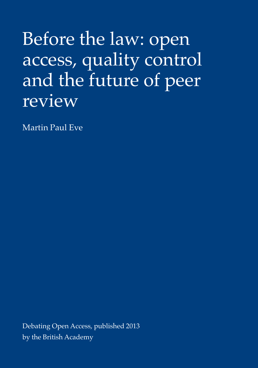# Before the law: open access, quality control and the future of peer review

Martin Paul Eve

Debating Open Access, published 2013 by the British Academy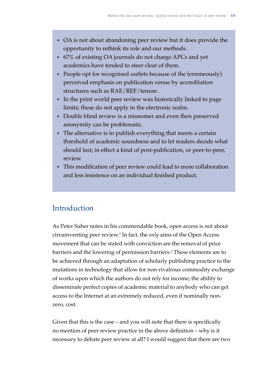- OA is not about abandoning peer review but it does provide the opportunity to rethink its role and our methods.
- 67% of existing OA journals do not charge APCs and yet academics have tended to steer clear of them.
- People opt for recognised outlets because of the (erroneously) perceived emphasis on publication venue by accreditation structures such as RAE/REF/tenure.
- In the print world peer review was historically linked to page limits; these do not apply in the electronic realm.
- Double blind review is a misnomer and even then preserved anonymity can be problematic.
- The alternative is to publish everything that meets a certain threshold of academic soundness and to let readers decide what should last; in effect a kind of post-publication, or peer-to-peer, review.
- This modification of peer review could lead to more collaboration and less insistence on an individual finished product.

## **Introduction**

As Peter Suber notes in his commendable book, open access is not about circumventing peer review.1 In fact, the *only* aims of the Open Access movement that can be stated with conviction are the removal of price barriers and the lowering of permission barriers.2 These elements are to be achieved through an adaptation of scholarly publishing practice to the mutations in technology that allow for non-rivalrous commodity exchange of works upon which the authors do not rely for income; the ability to disseminate perfect copies of academic material to anybody who can get access to the Internet at an extremely reduced, even if nominally nonzero, cost.

Given that this is the case – and you will note that there is specifically no mention of peer review practice in the above definition – why is it necessary to debate peer review at all? I would suggest that there are two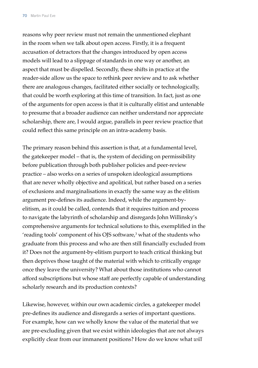reasons why peer review must not remain the unmentioned elephant in the room when we talk about open access. Firstly, it is a frequent accusation of detractors that the changes introduced by open access models will lead to a slippage of standards in one way or another, an aspect that must be dispelled. Secondly, these shifts in practice at the reader-side allow us the space to rethink peer review and to ask whether there are analogous changes, facilitated either socially or technologically, that could be worth exploring at this time of transition. In fact, just as one of the arguments for open access is that it is culturally elitist and untenable to presume that a broader audience can neither understand nor appreciate scholarship, there are, I would argue, parallels in peer review practice that could reflect this same principle on an intra-academy basis.

The primary reason behind this assertion is that, at a fundamental level, the gatekeeper model – that is, the system of deciding on permissibility before publication through both publisher policies and peer-review practice – also works on a series of unspoken ideological assumptions that are never wholly objective and apolitical, but rather based on a series of exclusions and marginalisations in exactly the same way as the elitism argument pre-defines its audience. Indeed, while the argument-byelitism, as it could be called, contends that it requires tuition and process to navigate the labyrinth of scholarship and disregards John Willinsky's comprehensive arguments for technical solutions to this, exemplified in the 'reading tools' component of his OJS software, $3$  what of the students who graduate from this process and who are then still financially excluded from it? Does not the argument-by-elitism purport to teach critical thinking but then deprives those taught of the material with which to critically engage once they leave the university? What about those institutions who cannot afford subscriptions but whose staff are perfectly capable of understanding scholarly research and its production contexts?

Likewise, however, within our own academic circles, a gatekeeper model pre-defines its audience and disregards a series of important questions. For example, how can we wholly know the value of the material that we are pre-excluding given that we exist within ideologies that are not always explicitly clear from our immanent positions? How do we know what *will*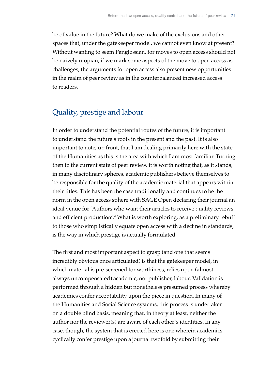be of value in the future? What do we make of the exclusions and other spaces that, under the gatekeeper model, we cannot even know at present? Without wanting to seem Panglossian, for moves to open access should not be naively utopian, if we mark some aspects of the move to open access as challenges, the arguments for open access also present new opportunities in the realm of peer review as in the counterbalanced increased access to readers.

## Quality, prestige and labour

In order to understand the potential routes of the future, it is important to understand the future's roots in the present and the past. It is also important to note, up front, that I am dealing primarily here with the state of the Humanities as this is the area with which I am most familiar. Turning then to the current state of peer review, it is worth noting that, as it stands, in many disciplinary spheres, academic publishers believe themselves to be responsible for the quality of the academic material that appears within their titles. This has been the case traditionally and continues to be the norm in the open access sphere with SAGE Open declaring their journal an ideal venue for 'Authors who want their articles to receive quality reviews and efficient production'.<sup>4</sup> What is worth exploring, as a preliminary rebuff to those who simplistically equate open access with a decline in standards, is the way in which prestige is actually formulated.

The first and most important aspect to grasp (and one that seems incredibly obvious once articulated) is that the gatekeeper model, in which material is pre-screened for worthiness, relies upon (almost always uncompensated) academic, not publisher, labour. Validation is performed through a hidden but nonetheless presumed process whereby academics confer acceptability upon the piece in question. In many of the Humanities and Social Science systems, this process is undertaken on a double blind basis, meaning that, in theory at least, neither the author nor the reviewer(s) are aware of each other's identities. In any case, though, the system that is erected here is one wherein academics cyclically confer prestige upon a journal twofold by submitting their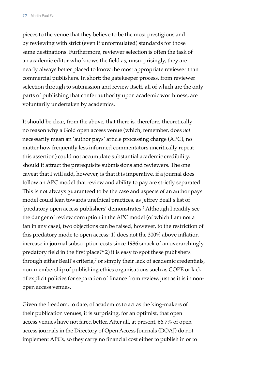pieces to the venue that they believe to be the most prestigious and by reviewing with strict (even if unformulated) standards for those same destinations. Furthermore, reviewer selection is often the task of an academic editor who knows the field as, unsurprisingly, they are nearly always better placed to know the most appropriate reviewer than commercial publishers. In short: the gatekeeper process, from reviewer selection through to submission and review itself, all of which are the only parts of publishing that confer authority upon academic worthiness, are voluntarily undertaken by academics.

It should be clear, from the above, that there is, therefore, theoretically no reason why a Gold open access venue (which, remember, does *not*  necessarily mean an 'author pays' article processing charge (APC), no matter how frequently less informed commentators uncritically repeat this assertion) could not accumulate substantial academic credibility, should it attract the prerequisite submissions and reviewers. The one caveat that I will add, however, is that it is imperative, if a journal does follow an APC model that review and ability to pay are strictly separated. This is not always guaranteed to be the case and aspects of an author pays model could lean towards unethical practices, as [Jeffrey Beall's list](http://scholarlyoa.com/publishers/) of 'predatory open access publishers' demonstrates.<sup>5</sup> Although I readily see the danger of review corruption in the APC model (of which I am not a fan in any case), two objections can be raised, however, to the restriction of this predatory mode to open access: 1) does not the 300% above inflation increase in journal subscription costs since 1986 smack of an overarchingly predatory field in the first place? <sup>6</sup> 2) it is easy to spot these publishers through either [Beall's criteria,](http://scholarlyoa.com/2012/11/30/criteria-for-determining-predatory-open-access-publishers-2nd-edition/)<sup>7</sup> or simply their lack of academic credentials, non-membership of publishing ethics organisations such as COPE or lack of explicit policies for separation of finance from review, just as it is in nonopen access venues.

Given the freedom, to date, of academics to act as the king-makers of their publication venues, it is surprising, for an optimist, that open access venues have not fared better. After all, at present, 66.7% of open access journals in the Directory of Open Access Journals (DOAJ) [do not](http://www.doaj.org/doaj?func=byPublicationFee&uiLanguage=en)  [implement APCs,](http://www.doaj.org/doaj?func=byPublicationFee&uiLanguage=en) so they carry no financial cost either to publish in or to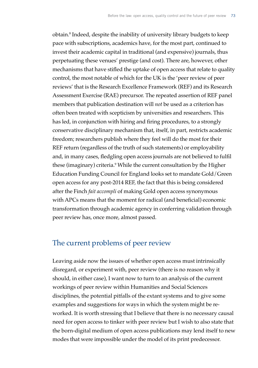obtain.8 Indeed, despite the inability of university library budgets to keep pace with subscriptions, academics have, for the most part, continued to invest their academic capital in traditional (and expensive) journals, thus perpetuating these venues' prestige (and cost). There are, however, other mechanisms that have stifled the uptake of open access that relate to quality control, the most notable of which for the UK is the 'peer review of peer reviews' that is the Research Excellence Framework (REF) and its Research Assessment Exercise (RAE) precursor. The repeated assertion of REF panel members that publication destination will *not* be used as a criterion has often been treated with scepticism by universities and researchers. This has led, in conjunction with hiring and firing procedures, to a strongly conservative disciplinary mechanism that, itself, in part, restricts academic freedom; researchers publish where they feel will do the most for their REF return (regardless of the truth of such statements) or employability and, in many cases, fledgling open access journals are not believed to fulfil these (imaginary) criteria.<sup>9</sup> While the current consultation by the Higher Education Funding Council for England looks set to mandate Gold/Green open access for any post-2014 REF, the fact that this is being considered after the Finch *fait accompli* of making Gold open access synonymous with APCs means that the moment for radical (and beneficial) economic transformation through academic agency in conferring validation through peer review has, once more, almost passed.

## The current problems of peer review

Leaving aside now the issues of whether open access must intrinsically disregard, or experiment with, peer review (there is no reason why it should, in either case), I want now to turn to an analysis of the current workings of peer review within Humanities and Social Sciences disciplines, the potential pitfalls of the extant systems and to give some examples and suggestions for ways in which the system might be reworked. It is worth stressing that I believe that there is no necessary causal need for open access to tinker with peer review but I wish to also state that the born-digital medium of open access publications may lend itself to new modes that were impossible under the model of its print predecessor.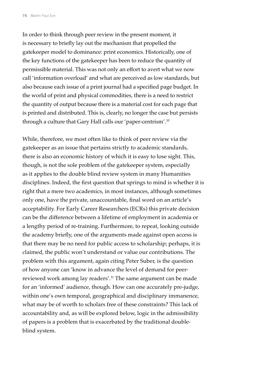In order to think through peer review in the present moment, it is necessary to briefly lay out the mechanism that propelled the gatekeeper model to dominance: print economics. Historically, one of the key functions of the gatekeeper has been to reduce the quantity of permissible material. This was not only an effort to avert what we now call 'information overload' and what are perceived as low standards, but also because each issue of a print journal had a specified page budget. In the world of print and physical commodities, there is a need to restrict the quantity of output because there is a material cost for each page that is printed and distributed. This is, clearly, no longer the case but persists through a culture that Gary Hall calls our 'paper-centrism'.<sup>10</sup>

While, therefore, we most often like to think of peer review via the gatekeeper as an issue that pertains strictly to academic standards, there is also an economic history of which it is easy to lose sight. This, though, is not the sole problem of the gatekeeper system, especially as it applies to the double blind review system in many Humanities disciplines. Indeed, the first question that springs to mind is whether it is right that a mere two academics, in most instances, although sometimes only one, have the private, unaccountable, final word on an article's acceptability. For Early Career Researchers (ECRs) this private decision can be the difference between a lifetime of employment in academia or a lengthy period of re-training. Furthermore, to repeat, looking outside the academy briefly, one of the arguments made against open access is that there may be no need for public access to scholarship; perhaps, it is claimed, the public won't understand or value our contributions. The problem with this argument, again citing Peter Suber, is the question of how anyone can 'know in advance the level of demand for peerreviewed work among lay readers'.<sup>11</sup> The same argument can be made for an 'informed' audience, though. How can one accurately pre-judge, within one's own temporal, geographical and disciplinary immanence, what may be of worth to scholars free of these constraints? This lack of accountability and, as will be explored below, logic in the admissibility of papers is a problem that is exacerbated by the traditional doubleblind system.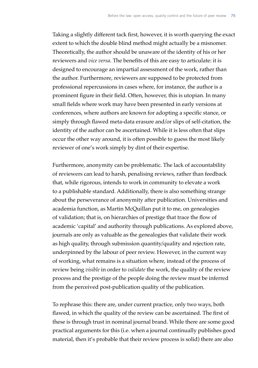Taking a slightly different tack first, however, it is worth querying the exact extent to which the double blind method might actually be a misnomer. Theoretically, the author should be unaware of the identity of his or her reviewers and *vice versa*. The benefits of this are easy to articulate: it is designed to encourage an impartial assessment of the work, rather than the author. Furthermore, reviewers are supposed to be protected from professional repercussions in cases where, for instance, the author is a prominent figure in their field. Often, however, this is utopian. In many small fields where work may have been presented in early versions at conferences, where authors are known for adopting a specific stance, or simply through flawed meta-data erasure and/or slips of self-citation, the identity of the author can be ascertained. While it is less often that slips occur the other way around, it is often possible to guess the most likely reviewer of one's work simply by dint of their expertise.

Furthermore, anonymity can be problematic. The lack of accountability of reviewers can lead to harsh, penalising reviews, rather than feedback that, while rigorous, intends to work in community to elevate a work to a publishable standard. Additionally, there is also something strange about the perseverance of anonymity after publication. Universities and academia function, as Martin McQuillan put it to me, on genealogies of validation; that is, on hierarchies of prestige that trace the flow of academic 'capital' and authority through publications. As explored above, journals are only as valuable as the genealogies that validate their work as high quality, through submission quantity/quality and rejection rate, underpinned by the labour of peer review. However, in the current way of working, what remains is a situation where, instead of the process of review being *visible* in order to *validate* the work, the quality of the review process and the prestige of the people doing the review must be inferred from the perceived post-publication quality of the publication.

To rephrase this: there are, under current practice, only two ways, both flawed, in which the quality of the review can be ascertained. The first of these is through trust in nominal journal brand. While there are some good practical arguments for this (i.e. when a journal continually publishes good material, then it's probable that their review process is solid) there are also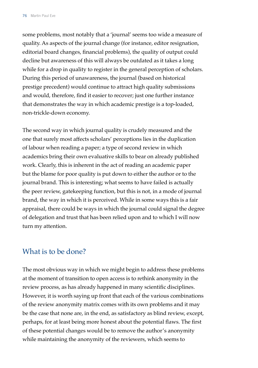some problems, most notably that a 'journal' seems too wide a measure of quality. As aspects of the journal change (for instance, editor resignation, editorial board changes, financial problems), the quality of output could decline but awareness of this will always be outdated as it takes a long while for a drop in quality to register in the general perception of scholars. During this period of unawareness, the journal (based on historical prestige precedent) would continue to attract high quality submissions and would, therefore, find it easier to recover; just one further instance that demonstrates the way in which academic prestige is a top-loaded, non-trickle-down economy.

The second way in which journal quality is crudely measured and the one that surely most affects scholars' perceptions lies in the duplication of labour when reading a paper; a type of second review in which academics bring their own evaluative skills to bear on already published work. Clearly, this is inherent in the act of reading an academic paper but the blame for poor quality is put down to either the author or to the journal brand. This is interesting; what seems to have failed is actually the peer review, gatekeeping function, but this is not, in a mode of journal brand, the way in which it is perceived. While in some ways this is a fair appraisal, there could be ways in which the journal could signal the degree of delegation and trust that has been relied upon and to which I will now turn my attention.

### What is to be done?

The most obvious way in which we might begin to address these problems at the moment of transition to open access is to rethink anonymity in the review process, as has already happened in many scientific disciplines. However, it is worth saying up front that each of the various combinations of the review anonymity matrix comes with its own problems and it may be the case that none are, in the end, as satisfactory as blind review, except, perhaps, for at least being more honest about the potential flaws. The first of these potential changes would be to remove the author's anonymity while maintaining the anonymity of the reviewers, which seems to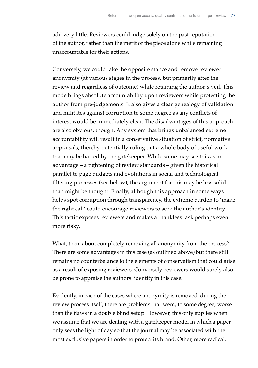add very little. Reviewers could judge solely on the past reputation of the author, rather than the merit of the piece alone while remaining unaccountable for their actions.

Conversely, we could take the opposite stance and remove reviewer anonymity (at various stages in the process, but primarily after the review and regardless of outcome) while retaining the author's veil. This mode brings absolute accountability upon reviewers while protecting the author from pre-judgements. It also gives a clear genealogy of validation and militates against corruption to some degree as any conflicts of interest would be immediately clear. The disadvantages of this approach are also obvious, though. Any system that brings unbalanced extreme accountability will result in a conservative situation of strict, normative appraisals, thereby potentially ruling out a whole body of useful work that may be barred by the gatekeeper. While some may see this as an advantage – a tightening of review standards – given the historical parallel to page budgets and evolutions in social and technological filtering processes (see below), the argument for this may be less solid than might be thought. Finally, although this approach in some ways helps spot corruption through transparency, the extreme burden to 'make the right call' could encourage reviewers to seek the author's identity. This tactic exposes reviewers and makes a thankless task perhaps even more risky.

What, then, about completely removing all anonymity from the process? There are some advantages in this case (as outlined above) but there still remains no counterbalance to the elements of conservatism that could arise as a result of exposing reviewers. Conversely, reviewers would surely also be prone to appraise the authors' identity in this case.

Evidently, in each of the cases where anonymity is removed, during the review process itself, there are problems that seem, to some degree, worse than the flaws in a double blind setup. However, this only applies when we assume that we are dealing with a gatekeeper model in which a paper only sees the light of day so that the journal may be associated with the most exclusive papers in order to protect its brand. Other, more radical,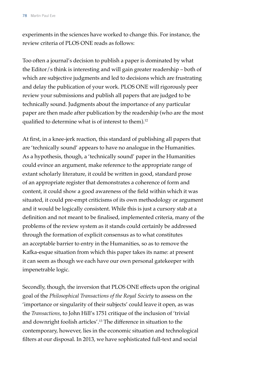experiments in the sciences have worked to change this. For instance, the review criteria of PLOS ONE [reads as follows:](http://www.plosone.org/static/information)

Too often a journal's decision to publish a paper is dominated by what the Editor/s think is interesting and will gain greater readership – both of which are subjective judgments and led to decisions which are frustrating and delay the publication of your work. PLOS ONE will rigorously peer review your submissions and publish all papers that are judged to be technically sound. Judgments about the importance of any particular paper are then made after publication by the readership (who are the most qualified to determine what is of interest to them).<sup>12</sup>

At first, in a knee-jerk reaction, this standard of publishing all papers that are 'technically sound' appears to have no analogue in the Humanities. As a hypothesis, though, a 'technically sound' paper in the Humanities could evince an argument, make reference to the appropriate range of extant scholarly literature, it could be written in good, standard prose of an appropriate register that demonstrates a coherence of form and content, it could show a good awareness of the field within which it was situated, it could pre-empt criticisms of its own methodology or argument and it would be logically consistent. While this is just a cursory stab at a definition and not meant to be finalised, implemented criteria, many of the problems of the review system as it stands could certainly be addressed through the formation of explicit consensus as to what constitutes an acceptable barrier to entry in the Humanities, so as to remove the Kafka-esque situation from which this paper takes its name: at present it can seem as though we each have our own personal gatekeeper with impenetrable logic.

Secondly, though, the inversion that PLOS ONE effects upon the original goal of the *Philosophical Transactions of the Royal Society* to assess on the 'importance or singularity of their subjects' could leave it open, as was the *Transactions*, to John Hill's 1751 critique of the inclusion of 'trivial and downright foolish articles'.<sup>13</sup> The difference in situation to the contemporary, however, lies in the economic situation and technological filters at our disposal. In 2013, we have sophisticated full-text and social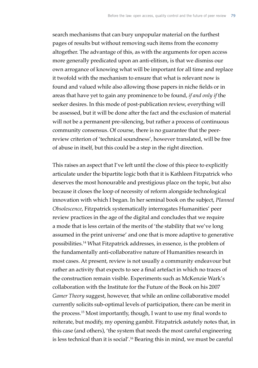search mechanisms that can bury unpopular material on the furthest pages of results but without removing such items from the economy altogether. The advantage of this, as with the arguments for open access more generally predicated upon an anti-elitism, is that we dismiss our own arrogance of knowing what will be important for all time and replace it twofold with the mechanism to ensure that what is relevant now is found and valued while also allowing those papers in niche fields or in areas that have yet to gain any prominence to be found, *if and only if* the seeker desires. In this mode of post-publication review, everything will be assessed, but it will be done after the fact and the exclusion of material will not be a permanent pre-silencing, but rather a process of continuous community consensus. Of course, there is no guarantee that the peerreview criterion of 'technical soundness', however translated, will be free of abuse in itself, but this could be a step in the right direction.

This raises an aspect that I've left until the close of this piece to explicitly articulate under the bipartite logic both that it is Kathleen Fitzpatrick who deserves the most honourable and prestigious place on the topic, but also because it closes the loop of necessity of reform alongside technological innovation with which I began. In her seminal book on the subject, *Planned Obsolescence*, Fitzpatrick systematically interrogates Humanities' peer review practices in the age of the digital and concludes that we require a mode that is less certain of the merits of 'the stability that we've long assumed in the print universe' and one that is more adaptive to generative possibilities.14 What Fitzpatrick addresses, in essence, is the problem of the fundamentally anti-collaborative nature of Humanities research in most cases. At present, review is not usually a community endeavour but rather an activity that expects to see a final artefact in which no traces of the construction remain visible. Experiments such as McKenzie Wark's collaboration with the Institute for the Future of the Book on his 2007 *Gamer Theory* suggest, however, that while an online collaborative model currently solicits sub-optimal levels of participation, there can be merit in the process.15 Most importantly, though, I want to use my final words to reiterate, but modify, my opening gambit. Fitzpatrick astutely notes that, in this case (and others), 'the system that needs the most careful engineering is less technical than it is social'.16 Bearing this in mind, we must be careful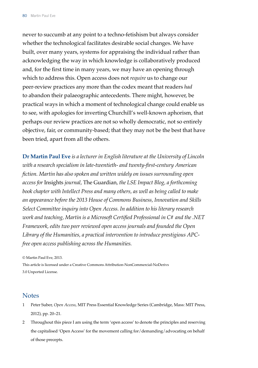never to succumb at any point to a techno-fetishism but always consider whether the technological facilitates desirable social changes. We have built, over many years, systems for appraising the individual rather than acknowledging the way in which knowledge is collaboratively produced and, for the first time in many years, we may have an opening through which to address this. Open access does not *require* us to change our peer-review practices any more than the codex meant that readers *had* to abandon their palaeographic antecedents. There might, however, be practical ways in which a moment of technological change could enable us to see, with apologies for inverting Churchill's well-known aphorism, that perhaps our review practices are not so wholly democratic, not so entirely objective, fair, or community-based; that they may not be the best that have been tried, apart from all the others.

**Dr Martin Paul Eve** *is a lecturer in English literature at the University of Lincoln with a research specialism in late-twentieth- and twenty-first-century American fiction. Martin has also spoken and written widely on issues surrounding open access for* Insights *journal,* The Guardian*, the LSE Impact Blog, a forthcoming book chapter with Intellect Press and many others, as well as being called to make an appearance before the 2013 House of Commons Business, Innovation and Skills Select Committee inquiry into Open Access. In addition to his literary research work and teaching, Martin is a Microsoft Certified Professional in C# and the .NET Framework, edits two peer reviewed open access journals and founded the Open Library of the Humanities, a practical intervention to introduce prestigious APCfree open access publishing across the Humanities.*

#### © Martin Paul Eve, 2013.

This article is licensed under a Creative Commons Attribution-NonCommercial-NoDerivs 3.0 Unported License.

#### **Notes**

- 1 Peter Suber, *Open Access*, MIT Press Essential Knowledge Series (Cambridge, Mass: MIT Press, 2012), pp. 20–21.
- 2 Throughout this piece I am using the term 'open access' to denote the principles and reserving the capitalised 'Open Access' for the movement calling for/demanding/advocating on behalf of those precepts.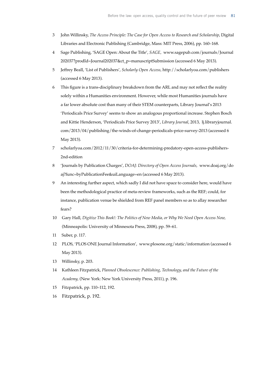- 3 John Willinsky, *The Access Principle: The Case for Open Access to Research and Scholarship*, Digital Libraries and Electronic Publishing (Cambridge, Mass: MIT Press, 2006), pp. 160–168.
- 4 Sage Publishing, 'SAGE Open: About the Title', *SAGE,* www.sagepub.com/journals/Journal 202037?prodId=Journal202037&ct\_p=manuscriptSubmission (accessed 6 May 2013).
- 5 Jeffrey Beall, 'List of Publishers', *Scholarly Open Access,* http://scholarlyoa.com/publishers (accessed 6 May 2013).
- 6 This figure is a trans-disciplinary breakdown from the ARL and may not reflect the reality solely within a Humanities environment. However, while most Humanities journals have a far lower absolute cost than many of their STEM counterparts, Library Journal's 2013 'Periodicals Price Survey' seems to show an analogous proportional increase. Stephen Bosch and Kittie Henderson, 'Periodicals Price Survey 2013', *Library Journal*, 2013, lj.libraryjournal. com/2013/04/publishing/the-winds-of-change-periodicals-price-survey-2013 (accessed 6 May 2013).
- 7 [scholarlyoa.com/2012/11/30/criteria-for-determining-predatory-open-access-publishers-](http://scholarlyoa.com/2012/11/30/criteria-for-determining-predatory-open-access-publishers-2nd-edition/)[2nd-edition](http://scholarlyoa.com/2012/11/30/criteria-for-determining-predatory-open-access-publishers-2nd-edition/)
- 8 'Journals by Publication Charges', *DOAJ: Directory of Open Access Journals,* www.doaj.org/do aj?func=byPublicationFee&uiLanguage=en (accessed 6 May 2013).
- 9 An interesting further aspect, which sadly I did not have space to consider here, would have been the methodological practice of meta-review frameworks, such as the REF; could, for instance, publication venue be shielded from REF panel members so as to allay researcher fears?
- 10 Gary Hall, *Digitize This Book!: The Politics of New Media, or Why We Need Open Access Now,* (Minneapolis: University of Minnesota Press, 2008), pp. 59–61.
- 11 Suber, p. 117.
- 12 PLOS, 'PLOS ONE Journal Information', www.plosone.org/static/information (accessed 6 May 2013).
- 13 Willinsky, p. 203.
- 14 Kathleen Fitzpatrick, *Planned Obsolescence: Publishing, Technology, and the Future of the Academy,* (New York: New York University Press, 2011), p. 196.
- 15 Fitzpatrick, pp. 110–112, 192.
- 16 Fitzpatrick, p. 192.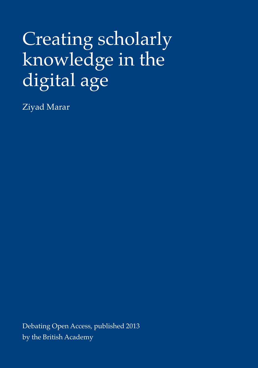# Creating scholarly knowledge in the digital age

Ziyad Marar

Debating Open Access, published 2013 by the British Academy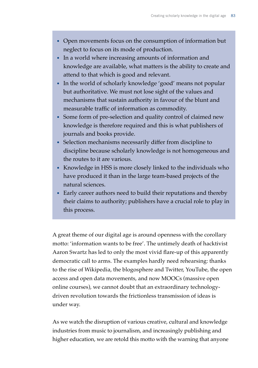- Open movements focus on the consumption of information but neglect to focus on its mode of production.
- In a world where increasing amounts of information and knowledge are available, what matters is the ability to create and attend to that which is good and relevant.
- In the world of scholarly knowledge 'good' means not popular but authoritative. We must not lose sight of the values and mechanisms that sustain authority in favour of the blunt and measurable traffic of information as commodity.
- Some form of pre-selection and quality control of claimed new knowledge is therefore required and this is what publishers of journals and books provide.
- Selection mechanisms necessarily differ from discipline to discipline because scholarly knowledge is not homogeneous and the routes to it are various.
- Knowledge in HSS is more closely linked to the individuals who have produced it than in the large team-based projects of the natural sciences.
- Early career authors need to build their reputations and thereby their claims to authority; publishers have a crucial role to play in this process.

A great theme of our digital age is around openness with the corollary motto: 'information wants to be free'. The untimely death of hacktivist Aaron Swartz has led to only the most vivid flare-up of this apparently democratic call to arms. The examples hardly need rehearsing: thanks to the rise of Wikipedia, the blogosphere and Twitter, YouTube, the open access and open data movements, and now MOOCs (massive open online courses), we cannot doubt that an extraordinary technologydriven revolution towards the frictionless transmission of ideas is under way.

As we watch the disruption of various creative, cultural and knowledge industries from music to journalism, and increasingly publishing and higher education, we are retold this motto with the warning that anyone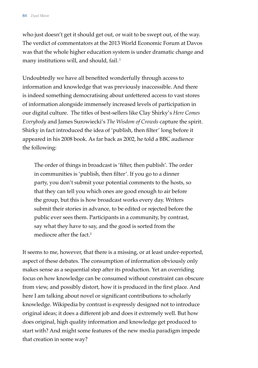who just doesn't get it should get out, or wait to be swept out, of the way. The verdict of commentators at the 2013 World Economic Forum at Davos was that the whole higher education system is under dramatic change and many institutions will, and should, fail.<sup>1</sup>

Undoubtedly we have all benefited wonderfully through access to information and knowledge that was previously inaccessible. And there is indeed something democratising about unfettered access to vast stores of information alongside immensely increased levels of participation in our digital culture. The titles of best-sellers like Clay Shirky's *Here Comes Everybody* and James Surowiecki's *The Wisdom of Crowds* capture the spirit. Shirky in fact introduced the idea of 'publish, then filter' long before it appeared in his 2008 book. As far back as 2002, he told a BBC audience the following:

The order of things in broadcast is 'filter, then publish'. The order in communities is 'publish, then filter'. If you go to a dinner party, you don't submit your potential comments to the hosts, so that they can tell you which ones are good enough to air before the group, but this is how broadcast works every day. Writers submit their stories in advance, to be edited or rejected before the public ever sees them. Participants in a community, by contrast, say what they have to say, and the good is sorted from the mediocre after the fact.<sup>2</sup>

It seems to me, however, that there is a missing, or at least under-reported, aspect of these debates. The consumption of information obviously only makes sense as a sequential step after its production. Yet an overriding focus on how knowledge can be consumed without constraint can obscure from view, and possibly distort, how it is produced in the first place. And here I am talking about novel or significant contributions to scholarly knowledge. Wikipedia by contrast is expressly designed not to introduce original ideas; it does a different job and does it extremely well. But how does original, high quality information and knowledge get produced to start with? And might some features of the new media paradigm impede that creation in some way?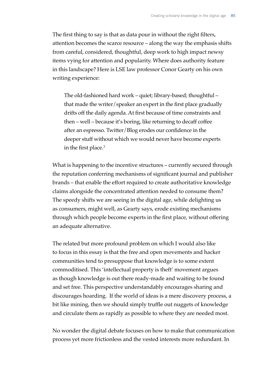The first thing to say is that as data pour in without the right filters, attention becomes the scarce resource – along the way the emphasis shifts from careful, considered, thoughtful, deep work to high impact newsy items vying for attention and popularity. Where does authority feature in this landscape? Here is LSE law professor Conor Gearty on his own writing experience:

The old-fashioned hard work – quiet; library-based; thoughtful – that made the writer/speaker an expert in the first place gradually drifts off the daily agenda. At first because of time constraints and then – well – because it's boring, like returning to decaff coffee after an espresso. Twitter/Blog erodes our confidence in the deeper stuff without which we would never have become experts in the first place.<sup>3</sup>

What is happening to the incentive structures – currently secured through the reputation conferring mechanisms of significant journal and publisher brands – that enable the effort required to create authoritative knowledge claims alongside the concentrated attention needed to consume them? The speedy shifts we are seeing in the digital age, while delighting us as consumers, might well, as Gearty says, erode existing mechanisms through which people become experts in the first place, without offering an adequate alternative.

The related but more profound problem on which I would also like to focus in this essay is that the free and open movements and hacker communities tend to presuppose that knowledge is to some extent commoditised. This 'intellectual property is theft' movement argues as though knowledge is out there ready-made and waiting to be found and set free. This perspective understandably encourages sharing and discourages hoarding. If the world of ideas is a mere discovery process, a bit like mining, then we should simply truffle out nuggets of knowledge and circulate them as rapidly as possible to where they are needed most.

No wonder the digital debate focuses on how to make that communication process yet more frictionless and the vested interests more redundant. In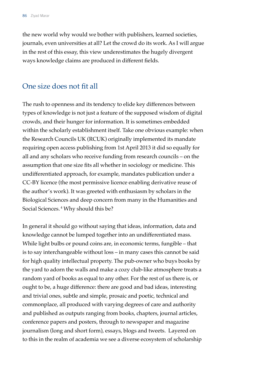the new world why would we bother with publishers, learned societies, journals, even universities at all? Let the crowd do its work. As I will argue in the rest of this essay, this view underestimates the hugely divergent ways knowledge claims are produced in different fields.

### One size does not fit all

The rush to openness and its tendency to elide key differences between types of knowledge is not just a feature of the supposed wisdom of digital crowds, and their hunger for information. It is sometimes embedded within the scholarly establishment itself. Take one obvious example: when the Research Councils UK (RCUK) originally implemented its mandate requiring open access publishing from 1st April 2013 it did so equally for all and any scholars who receive funding from research councils – on the assumption that one size fits all whether in sociology or medicine. This undifferentiated approach, for example, mandates publication under a CC-BY licence (the most permissive licence enabling derivative reuse of the author's work). It was greeted with enthusiasm by scholars in the Biological Sciences and deep concern from many in the Humanities and Social Sciences. 4 Why should this be?

In general it should go without saying that ideas, information, data and knowledge cannot be lumped together into an undifferentiated mass. While light bulbs or pound coins are, in economic terms, fungible – that is to say interchangeable without loss – in many cases this cannot be said for high quality intellectual property. The pub-owner who buys books by the yard to adorn the walls and make a cozy club-like atmosphere treats a random yard of books as equal to any other. For the rest of us there is, or ought to be, a huge difference: there are good and bad ideas, interesting and trivial ones, subtle and simple, prosaic and poetic, technical and commonplace, all produced with varying degrees of care and authority and published as outputs ranging from books, chapters, journal articles, conference papers and posters, through to newspaper and magazine journalism (long and short form), essays, blogs and tweets. Layered on to this in the realm of academia we see a diverse ecosystem of scholarship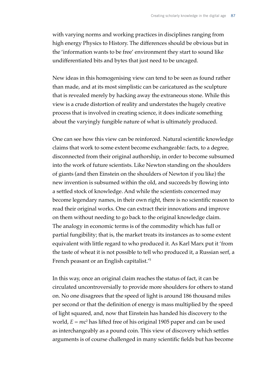with varying norms and working practices in disciplines ranging from high energy Physics to History. The differences should be obvious but in the 'information wants to be free' environment they start to sound like undifferentiated bits and bytes that just need to be uncaged.

New ideas in this homogenising view can tend to be seen as found rather than made, and at its most simplistic can be caricatured as the sculpture that is revealed merely by hacking away the extraneous stone. While this view is a crude distortion of reality and understates the hugely creative process that is involved in creating science, it does indicate something about the varyingly fungible nature of what is ultimately produced.

One can see how this view can be reinforced. Natural scientific knowledge claims that work to some extent become exchangeable: facts, to a degree, disconnected from their original authorship, in order to become subsumed into the work of future scientists. Like Newton standing on the shoulders of giants (and then Einstein on the shoulders of Newton if you like) the new invention is subsumed within the old, and succeeds by flowing into a settled stock of knowledge. And while the scientists concerned may become legendary names, in their own right, there is no scientific reason to read their original works. One can extract their innovations and improve on them without needing to go back to the original knowledge claim. The analogy in economic terms is of the commodity which has full or partial fungibility; that is, the market treats its instances as to some extent equivalent with little regard to who produced it. As Karl Marx put it 'from the taste of wheat it is not possible to tell who produced it, a Russian serf, a French peasant or an English capitalist.'<sup>5</sup>

In this way, once an original claim reaches the status of fact, it can be circulated uncontroversially to provide more shoulders for others to stand on. No one disagrees that the speed of light is around 186 thousand miles per second or that the definition of energy is mass multiplied by the speed of light squared, and, now that Einstein has handed his discovery to the world, *E* = *m*c2 has lifted free of his original 1905 paper and can be used as interchangeably as a pound coin. This view of discovery which settles arguments is of course challenged in many scientific fields but has become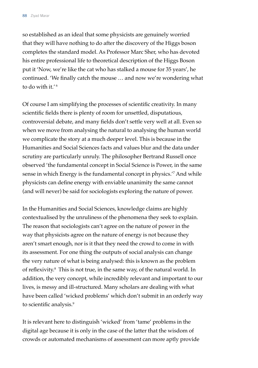so established as an ideal that some physicists are genuinely worried that they will have nothing to do after the discovery of the Higgs boson completes the standard model. As Professor Marc Sher, who has devoted his entire professional life to theoretical description of the Higgs Boson put it 'Now, we're like the cat who has stalked a mouse for 35 years', he continued. 'We finally catch the mouse … and now we're wondering what to do with it.<sup>'6</sup>

Of course I am simplifying the processes of scientific creativity. In many scientific fields there is plenty of room for unsettled, disputatious, controversial debate, and many fields don't settle very well at all. Even so when we move from analysing the natural to analysing the human world we complicate the story at a much deeper level. This is because in the Humanities and Social Sciences facts and values blur and the data under scrutiny are particularly unruly. The philosopher Bertrand Russell once observed 'the fundamental concept in Social Science is Power, in the same sense in which Energy is the fundamental concept in physics.'<sup>7</sup> And while physicists can define energy with enviable unanimity the same cannot (and will never) be said for sociologists exploring the nature of power.

In the Humanities and Social Sciences, knowledge claims are highly contextualised by the unruliness of the phenomena they seek to explain. The reason that sociologists can't agree on the nature of power in the way that physicists agree on the nature of energy is not because they aren't smart enough, nor is it that they need the crowd to come in with its assessment. For one thing the outputs of social analysis can change the very nature of what is being analysed: this is known as the problem of reflexivity. $^8$  This is not true, in the same way, of the natural world. In addition, the very concept, while incredibly relevant and important to our lives, is messy and ill-structured. Many scholars are dealing with what have been called 'wicked problems' which don't submit in an orderly way to scientific analysis.<sup>9</sup>

It is relevant here to distinguish 'wicked' from 'tame' problems in the digital age because it is only in the case of the latter that the wisdom of crowds or automated mechanisms of assessment can more aptly provide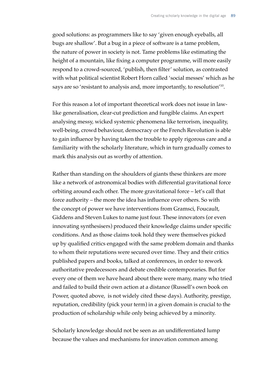good solutions: as programmers like to say 'given enough eyeballs, all bugs are shallow'. But a bug in a piece of software is a tame problem, the nature of power in society is not. Tame problems like estimating the height of a mountain, like fixing a computer programme, will more easily respond to a crowd-sourced, 'publish, then filter' solution, as contrasted with what political scientist Robert Horn called 'social messes' which as he says are so 'resistant to analysis and, more importantly, to resolution'<sup>10</sup>.

For this reason a lot of important theoretical work does not issue in lawlike generalisation, clear-cut prediction and fungible claims. An expert analysing messy, wicked systemic phenomena like terrorism, inequality, well-being, crowd behaviour, democracy or the French Revolution is able to gain influence by having taken the trouble to apply rigorous care and a familiarity with the scholarly literature, which in turn gradually comes to mark this analysis out as worthy of attention.

Rather than standing on the shoulders of giants these thinkers are more like a network of astronomical bodies with differential gravitational force orbiting around each other. The more gravitational force – let's call that force authority – the more the idea has influence over others. So with the concept of power we have interventions from Gramsci, Foucault, Giddens and Steven Lukes to name just four. These innovators (or even innovating synthesisers) produced their knowledge claims under specific conditions. And as those claims took hold they were themselves picked up by qualified critics engaged with the same problem domain and thanks to whom their reputations were secured over time. They and their critics published papers and books, talked at conferences, in order to rework authoritative predecessors and debate credible contemporaries. But for every one of them we have heard about there were many, many who tried and failed to build their own action at a distance (Russell's own book on Power, quoted above, is not widely cited these days). Authority, prestige, reputation, credibility (pick your term) in a given domain is crucial to the production of scholarship while only being achieved by a minority.

Scholarly knowledge should not be seen as an undifferentiated lump because the values and mechanisms for innovation common among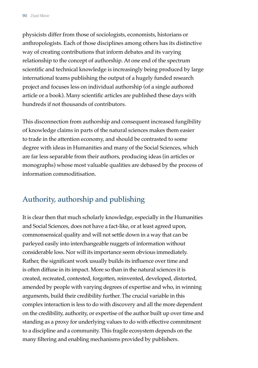physicists differ from those of sociologists, economists, historians or anthropologists. Each of those disciplines among others has its distinctive way of creating contributions that inform debates and its varying relationship to the concept of authorship. At one end of the spectrum scientific and technical knowledge is increasingly being produced by large international teams publishing the output of a hugely funded research project and focuses less on individual authorship (of a single authored article or a book). Many scientific articles are published these days with hundreds if not thousands of contributors.

This disconnection from authorship and consequent increased fungibility of knowledge claims in parts of the natural sciences makes them easier to trade in the attention economy, and should be contrasted to some degree with ideas in Humanities and many of the Social Sciences, which are far less separable from their authors, producing ideas (in articles or monographs) whose most valuable qualities are debased by the process of information commoditisation.

## Authority, authorship and publishing

It is clear then that much scholarly knowledge, especially in the Humanities and Social Sciences, does not have a fact-like, or at least agreed upon, commonsensical quality and will not settle down in a way that can be parleyed easily into interchangeable nuggets of information without considerable loss. Nor will its importance seem obvious immediately. Rather, the significant work usually builds its influence over time and is often diffuse in its impact. More so than in the natural sciences it is created, recreated, contested, forgotten, reinvented, developed, distorted, amended by people with varying degrees of expertise and who, in winning arguments, build their credibility further. The crucial variable in this complex interaction is less to do with discovery and all the more dependent on the credibility, authority, or expertise of the author built up over time and standing as a proxy for underlying values to do with effective commitment to a discipline and a community. This fragile ecosystem depends on the many filtering and enabling mechanisms provided by publishers.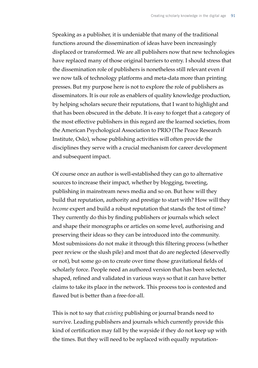Speaking as a publisher, it is undeniable that many of the traditional functions around the dissemination of ideas have been increasingly displaced or transformed. We are all publishers now that new technologies have replaced many of those original barriers to entry. I should stress that the dissemination role of publishers is nonetheless still relevant even if we now talk of technology platforms and meta-data more than printing presses. But my purpose here is not to explore the role of publishers as disseminators. It is our role as enablers of quality knowledge production, by helping scholars secure their reputations, that I want to highlight and that has been obscured in the debate. It is easy to forget that a category of the most effective publishers in this regard are the learned societies, from the American Psychological Association to PRIO (The Peace Research Institute, Oslo), whose publishing activities will often provide the disciplines they serve with a crucial mechanism for career development and subsequent impact.

Of course once an author is well-established they can go to alternative sources to increase their impact, whether by blogging, tweeting, publishing in mainstream news media and so on. But how will they build that reputation, authority and prestige to start with? How will they *become* expert and build a robust reputation that stands the test of time? They currently do this by finding publishers or journals which select and shape their monographs or articles on some level, authorising and preserving their ideas so they can be introduced into the community. Most submissions do not make it through this filtering process (whether peer review or the slush pile) and most that do are neglected (deservedly or not), but some go on to create over time those gravitational fields of scholarly force. People need an authored version that has been selected, shaped, refined and validated in various ways so that it can have better claims to take its place in the network. This process too is contested and flawed but is better than a free-for-all.

This is not to say that *existing* publishing or journal brands need to survive. Leading publishers and journals which currently provide this kind of certification may fall by the wayside if they do not keep up with the times. But they will need to be replaced with equally reputation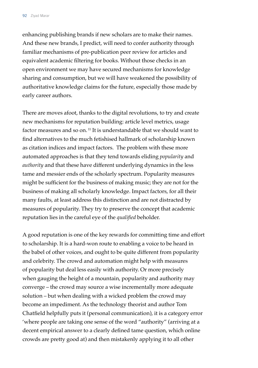enhancing publishing brands if new scholars are to make their names. And these new brands, I predict, will need to confer authority through familiar mechanisms of pre-publication peer review for articles and equivalent academic filtering for books. Without those checks in an open environment we may have secured mechanisms for knowledge sharing and consumption, but we will have weakened the possibility of authoritative knowledge claims for the future, especially those made by early career authors.

There are moves afoot, thanks to the digital revolutions, to try and create new mechanisms for reputation building: article level metrics, usage factor measures and so on. 11 It is understandable that we should want to find alternatives to the much fetishised hallmark of scholarship known as citation indices and impact factors. The problem with these more automated approaches is that they tend towards eliding *popularity* and *authority* and that these have different underlying dynamics in the less tame and messier ends of the scholarly spectrum. Popularity measures might be sufficient for the business of making music; they are not for the business of making all scholarly knowledge. Impact factors, for all their many faults, at least address this distinction and are not distracted by measures of popularity. They try to preserve the concept that academic reputation lies in the careful eye of the *qualified* beholder.

A good reputation is one of the key rewards for committing time and effort to scholarship. It is a hard-won route to enabling a voice to be heard in the babel of other voices, and ought to be quite different from popularity and celebrity. The crowd and automation might help with measures of popularity but deal less easily with authority. Or more precisely when gauging the height of a mountain, popularity and authority may converge – the crowd may source a wise incrementally more adequate solution – but when dealing with a wicked problem the crowd may become an impediment. As the technology theorist and author Tom Chatfield helpfully puts it (personal communication), it is a category error 'where people are taking one sense of the word "authority" (arriving at a decent empirical answer to a clearly defined tame question, which online crowds are pretty good at) and then mistakenly applying it to all other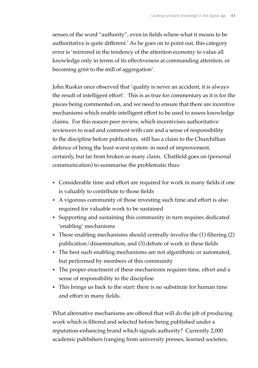senses of the word "authority", even in fields where what it means to be authoritative is quite different.' As he goes on to point out, this category error is 'mirrored in the tendency of the attention economy to value all knowledge only in terms of its effectiveness at commanding attention, or becoming grist to the mill of aggregation'.

John Ruskin once observed that 'quality is never an accident, it is always the result of intelligent effort'. This is as true for commentary as it is for the pieces being commented on, and we need to ensure that there are incentive mechanisms which enable intelligent effort to be used to assess knowledge claims. For this reason peer review, which incentivises authoritative reviewers to read and comment with care and a sense of responsibility to the discipline before publication, still has a claim to the Churchillian defence of being the least worst system: in need of improvement, certainly, but far from broken as many claim. Chatfield goes on (personal communication) to summarise the problematic thus:

- Considerable time and effort are required for work in many fields if one is valuably to contribute to those fields
- A vigorous community of those investing such time and effort is also required for valuable work to be sustained
- Supporting and sustaining this community in turn requires dedicated 'enabling' mechanisms
- These enabling mechanisms should centrally involve the (1) filtering (2) publication/dissemination, and (3) debate of work in these fields
- The best such enabling mechanisms are not algorithmic or automated, but performed by members of this community
- The proper enactment of these mechanisms requires time, effort and a sense of responsibility to the discipline
- This brings us back to the start: there is no substitute for human time and effort in many fields.

What alternative mechanisms are offered that will do the job of producing work which is filtered and selected before being published under a reputation-enhancing brand which signals authority? Currently 2,000 academic publishers (ranging from university presses, learned societies,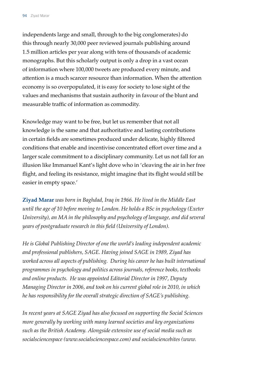independents large and small, through to the big conglomerates) do this through nearly 30,000 peer reviewed journals publishing around 1.5 million articles per year along with tens of thousands of academic monographs. But this scholarly output is only a drop in a vast ocean of information where 100,000 tweets are produced every minute, and attention is a much scarcer resource than information. When the attention economy is so overpopulated, it is easy for society to lose sight of the values and mechanisms that sustain authority in favour of the blunt and measurable traffic of information as commodity.

Knowledge may want to be free, but let us remember that not all knowledge is the same and that authoritative and lasting contributions in certain fields are sometimes produced under delicate, highly filtered conditions that enable and incentivise concentrated effort over time and a larger scale commitment to a disciplinary community. Let us not fall for an illusion like Immanuel Kant's light dove who in 'cleaving the air in her free flight, and feeling its resistance, might imagine that its flight would still be easier in empty space.'

**Ziyad Marar** *was born in Baghdad, Iraq in 1966. He lived in the Middle East until the age of 10 before moving to London. He holds a BSc in psychology (Exeter University), an MA in the philosophy and psychology of language, and did several years of postgraduate research in this field (University of London).* 

*He is Global Publishing Director of one the world's leading independent academic and professional publishers, [SAGE](http://www.sagepublications.com). Having joined SAGE in 1989, Ziyad has worked across all aspects of publishing. During his career he has built international programmes in psychology and politics across journals, reference books, textbooks and online products. He was appointed Editorial Director in 1997, Deputy Managing Director in 2006, and took on his current global role in 2010, in which he has responsibility for the overall strategic direction of SAGE's publishing.*

*In recent years at SAGE Ziyad has also focused on supporting the Social Sciences more generally by working with many learned societies and key organizations such as the British Academy. Alongside extensive use of social media such as socialsciencespace ([www.socialsciencespace.com\)](http://www.socialsciencespace.com) and socialsciencebites [\(www.](http://www.socialsciencebites.com)*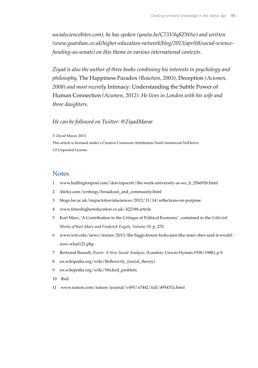*[socialsciencebites.com](http://www.socialsciencebites.com)), he has spoken [\(youtu.be/C73V8q8ZWtw\)](http://youtu.be/C73V8q8ZWtw) and written ([www.guardian.co.uk/higher-education-network/blog/2013/apr/08/social-science](http://www.guardian.co.uk/higher-education-network/blog/2013/apr/08/social-science-funding-us-senate)[funding-us-senate](http://www.guardian.co.uk/higher-education-network/blog/2013/apr/08/social-science-funding-us-senate)) on this theme in various international contexts.*

*Ziyad is also the author of three books combining his interests in psychology and philosophy,* [The Happiness Paradox](http://www.amazon.co.uk/Happiness-Paradox-FOCI-Ziyad-Marar/dp/1861891822/ref=sr_1_2?s=books&ie=UTF8&qid=1369044708&sr=1-2) *(Reaction, 2003),* [Deception](http://www.amazon.co.uk/Deception-Art-Living-Ziyad-Marar/dp/1844651517/ref=sr_1_3?s=books&ie=UTF8&qid=1369044708&sr=1-3) *(Acumen, [2008\)](http://www.amazon.co.uk/Deception-Art-Living-Ziyad-Marar/dp/1844651517/ref=sr_1_3?s=books&ie=UTF8&qid=1369044708&sr=1-3) and most recently* [Intimacy: Understanding the Subtle Power of](http://www.amazon.co.uk/Intimacy-Ziyad-Marar/dp/184465527X)  Human Connection *[\(Acumen, 2012\).](http://www.amazon.co.uk/Intimacy-Ziyad-Marar/dp/184465527X) He lives in London with his wife and three daughters.*

#### *He can be followed on Twitter: [@ZiyadMarar](http://www.twitter.com/ziyadmarar)*

© Ziyad Marar, 2013.

This article is licensed under a Creative Commons Attribution-NonCommercial-NoDerivs 3.0 Unported License.

#### **Notes**

- 1 [www.huffingtonpost.com/don-tapscott/the-week-university-as-we\\_b\\_2566926.html](http://www.huffingtonpost.com/don-tapscott/the-week-university-as-we_b_2566926.html)
- 2 [shirky.com/writings/broadcast\\_and\\_community.html](http://shirky.com/writings/broadcast_and_community.html)
- 3 [blogs.lse.ac.uk/impactofsocialsciences/2012/11/14/reflections-on-purpose](http://blogs.lse.ac.uk/impactofsocialsciences/2012/11/14/reflections-on-purpose/)
- 4 www.timeshighereducation.co.uk/422188.article
- 5 Karl Marx, 'A Contribution to the Critique of Political Economy', contained in the *Collected Works of Karl Marx and Frederick Engels: Volume 29*, p. 270.
- 6 [www.wm.edu/news/stories/2013/the-higgs-boson-looks-just-like-marc-sher-said-it-would.](http://www.wm.edu/news/stories/2013/the-higgs-boson-looks-just-like-marc-sher-said-it-would.-now-what123.php) [now-what123.php](http://www.wm.edu/news/stories/2013/the-higgs-boson-looks-just-like-marc-sher-said-it-would.-now-what123.php)
- 7 Bertrand Russell, *Power: A New Social Analysis,* (London: Unwin Hyman 1938/1988), p.9.
- 8 en.wikipedia.org/wiki/Reflexivity\_(social\_theory)
- 9 en.wikipedia.org/wiki/Wicked\_problem
- 10 Ibid.
- 11 www.nature.com/nature/journal/v495/n7442/full/495437a.html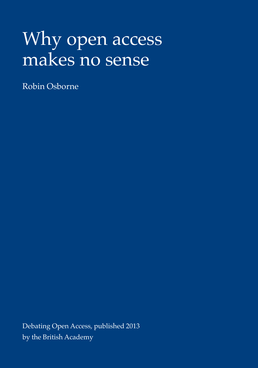## Why open access makes no sense

Robin Osborne

Debating Open Access, published 2013 by the British Academy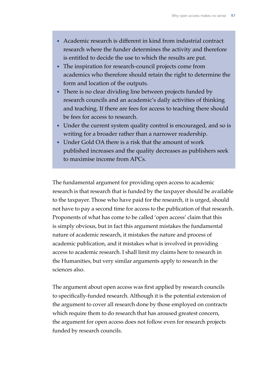- • Academic research is different in kind from industrial contract research where the funder determines the activity and therefore is entitled to decide the use to which the results are put.
- The inspiration for research-council projects come from academics who therefore should retain the right to determine the form and location of the outputs.
- There is no clear dividing line between projects funded by research councils and an academic's daily activities of thinking and teaching. If there are fees for access to teaching there should be fees for access to research.
- Under the current system quality control is encouraged, and so is writing for a broader rather than a narrower readership.
- Under Gold OA there is a risk that the amount of work published increases and the quality decreases as publishers seek to maximise income from APCs.

The fundamental argument for providing open access to academic research is that research that is funded by the taxpayer should be available to the taxpayer. Those who have paid for the research, it is urged, should not have to pay a second time for access to the publication of that research. Proponents of what has come to be called 'open access' claim that this is simply obvious, but in fact this argument mistakes the fundamental nature of academic research, it mistakes the nature and process of academic publication, and it mistakes what is involved in providing access to academic research. I shall limit my claims here to research in the Humanities, but very similar arguments apply to research in the sciences also.

The argument about open access was first applied by research councils to specifically-funded research. Although it is the potential extension of the argument to cover all research done by those employed on contracts which require them to do research that has aroused greatest concern, the argument for open access does not follow even for research projects funded by research councils.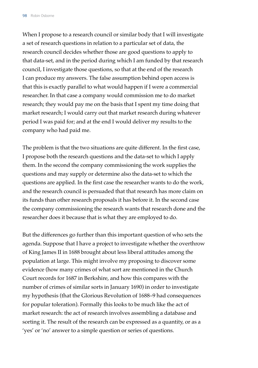When I propose to a research council or similar body that I will investigate a set of research questions in relation to a particular set of data, the research council decides whether those are good questions to apply to that data-set, and in the period during which I am funded by that research council, I investigate those questions, so that at the end of the research I can produce my answers. The false assumption behind open access is that this is exactly parallel to what would happen if I were a commercial researcher. In that case a company would commission me to do market research; they would pay me on the basis that I spent my time doing that market research; I would carry out that market research during whatever period I was paid for; and at the end I would deliver my results to the company who had paid me.

The problem is that the two situations are quite different. In the first case, I propose both the research questions and the data-set to which I apply them. In the second the company commissioning the work supplies the questions and may supply or determine also the data-set to which the questions are applied. In the first case the researcher wants to do the work, and the research council is persuaded that that research has more claim on its funds than other research proposals it has before it. In the second case the company commissioning the research wants that research done and the researcher does it because that is what they are employed to do.

But the differences go further than this important question of who sets the agenda. Suppose that I have a project to investigate whether the overthrow of King James II in 1688 brought about less liberal attitudes among the population at large. This might involve my proposing to discover some evidence (how many crimes of what sort are mentioned in the Church Court records for 1687 in Berkshire, and how this compares with the number of crimes of similar sorts in January 1690) in order to investigate my hypothesis (that the Glorious Revolution of 1688–9 had consequences for popular toleration). Formally this looks to be much like the act of market research: the act of research involves assembling a database and sorting it. The result of the research can be expressed as a quantity, or as a 'yes' or 'no' answer to a simple question or series of questions.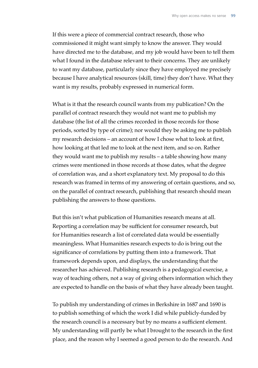If this were a piece of commercial contract research, those who commissioned it might want simply to know the answer. They would have directed me to the database, and my job would have been to tell them what I found in the database relevant to their concerns. They are unlikely to want my database, particularly since they have employed me precisely because I have analytical resources (skill, time) they don't have. What they want is my results, probably expressed in numerical form.

What is it that the research council wants from my publication? On the parallel of contract research they would not want me to publish my database (the list of all the crimes recorded in those records for those periods, sorted by type of crime); nor would they be asking me to publish my research decisions – an account of how I chose what to look at first, how looking at that led me to look at the next item, and so on. Rather they would want me to publish my results – a table showing how many crimes were mentioned in those records at those dates, what the degree of correlation was, and a short explanatory text. My proposal to do this research was framed in terms of my answering of certain questions, and so, on the parallel of contract research, publishing that research should mean publishing the answers to those questions.

But this isn't what publication of Humanities research means at all. Reporting a correlation may be sufficient for consumer research, but for Humanities research a list of correlated data would be essentially meaningless. What Humanities research expects to do is bring out the significance of correlations by putting them into a framework. That framework depends upon, and displays, the understanding that the researcher has achieved. Publishing research is a pedagogical exercise, a way of teaching others, not a way of giving others information which they are expected to handle on the basis of what they have already been taught.

To publish my understanding of crimes in Berkshire in 1687 and 1690 is to publish something of which the work I did while publicly-funded by the research council is a necessary but by no means a sufficient element. My understanding will partly be what I brought to the research in the first place, and the reason why I seemed a good person to do the research. And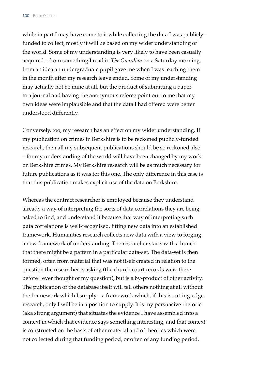while in part I may have come to it while collecting the data I was publiclyfunded to collect, mostly it will be based on my wider understanding of the world. Some of my understanding is very likely to have been casually acquired – from something I read in *The Guardian* on a Saturday morning, from an idea an undergraduate pupil gave me when I was teaching them in the month after my research leave ended. Some of my understanding may actually not be mine at all, but the product of submitting a paper to a journal and having the anonymous referee point out to me that my own ideas were implausible and that the data I had offered were better understood differently.

Conversely, too, my research has an effect on my wider understanding. If my publication on crimes in Berkshire is to be reckoned publicly-funded research, then all my subsequent publications should be so reckoned also – for my understanding of the world will have been changed by my work on Berkshire crimes. My Berkshire research will be as much necessary for future publications as it was for this one. The only difference in this case is that this publication makes explicit use of the data on Berkshire.

Whereas the contract researcher is employed because they understand already a way of interpreting the sorts of data correlations they are being asked to find, and understand it because that way of interpreting such data correlations is well-recognised, fitting new data into an established framework, Humanities research collects new data with a view to forging a new framework of understanding. The researcher starts with a hunch that there might be a pattern in a particular data-set. The data-set is then formed, often from material that was not itself created in relation to the question the researcher is asking (the church court records were there before I ever thought of my question), but is a by-product of other activity. The publication of the database itself will tell others nothing at all without the framework which I supply – a framework which, if this is cutting-edge research, only I will be in a position to supply. It is my persuasive rhetoric (aka strong argument) that situates the evidence I have assembled into a context in which that evidence says something interesting, and that context is constructed on the basis of other material and of theories which were not collected during that funding period, or often of any funding period.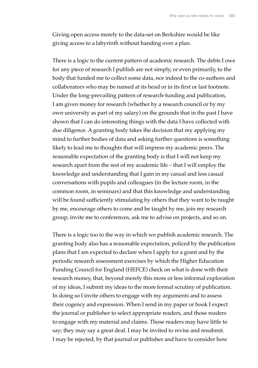Giving open access merely to the data-set on Berkshire would be like giving access to a labyrinth without handing over a plan.

There is a logic to the current pattern of academic research. The debts I owe for any piece of research I publish are not simply, or even primarily, to the body that funded me to collect some data, nor indeed to the co-authors and collaborators who may be named at its head or in its first or last footnote. Under the long-prevailing pattern of research-funding and publication, I am given money for research (whether by a research council or by my own university as part of my salary) on the grounds that in the past I have shown that I can do interesting things with the data I have collected with due diligence. A granting body takes the decision that my applying my mind to further bodies of data and asking further questions is something likely to lead me to thoughts that will impress my academic peers. The reasonable expectation of the granting body is that I will not keep my research apart from the rest of my academic life – that I will employ the knowledge and understanding that I gain in my casual and less casual conversations with pupils and colleagues (in the lecture room, in the common room, in seminars) and that this knowledge and understanding will be found sufficiently stimulating by others that they want to be taught by me, encourage others to come and be taught by me, join my research group, invite me to conferences, ask me to advise on projects, and so on.

There is a logic too to the way in which we publish academic research. The granting body also has a reasonable expectation, policed by the publication plans that I am expected to declare when I apply for a grant and by the periodic research assessment exercises by which the Higher Education Funding Council for England (HEFCE) check on what is done with their research money, that, beyond merely this more or less informal exploration of my ideas, I submit my ideas to the more formal scrutiny of publication. In doing so I invite others to engage with my arguments and to assess their cogency and expression. When I send in my paper or book I expect the journal or publisher to select appropriate readers, and those readers to engage with my material and claims. Those readers may have little to say; they may say a great deal. I may be invited to revise and resubmit. I may be rejected, by that journal or publisher and have to consider how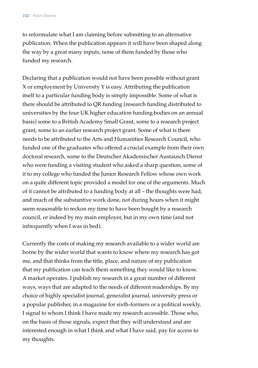to reformulate what I am claiming before submitting to an alternative publication. When the publication appears it will have been shaped along the way by a great many inputs, none of them funded by those who funded my research.

Declaring that a publication would not have been possible without grant X or employment by University Y is easy. Attributing the publication itself to a particular funding body is simply impossible. Some of what is there should be attributed to QR funding (research funding distributed to universities by the four UK higher education funding bodies on an annual basis) some to a British Academy Small Grant, some to a research project grant, some to an earlier research project grant. Some of what is there needs to be attributed to the Arts and Humanities Research Council, who funded one of the graduates who offered a crucial example from their own doctoral research, some to the Deutscher Akademischer Austausch Dienst who were funding a visiting student who asked a sharp question, some of it to my college who funded the Junior Research Fellow whose own work on a quite different topic provided a model for one of the arguments. Much of it cannot be attributed to a funding body at all – the thoughts were had, and much of the substantive work done, not during hours when it might seem reasonable to reckon my time to have been bought by a research council, or indeed by my main employer, but in my own time (and not infrequently when I was in bed).

Currently the costs of making my research available to a wider world are borne by the wider world that wants to know where my research has got me, and that thinks from the title, place, and nature of my publication that my publication can teach them something they would like to know. A market operates. I publish my research in a great number of different ways, ways that are adapted to the needs of different readerships. By my choice of highly specialist journal, generalist journal, university press or a popular publisher, in a magazine for sixth-formers or a political weekly, I signal to whom I think I have made my research accessible. Those who, on the basis of those signals, expect that they will understand and are interested enough in what I think and what I have said, pay for access to my thoughts.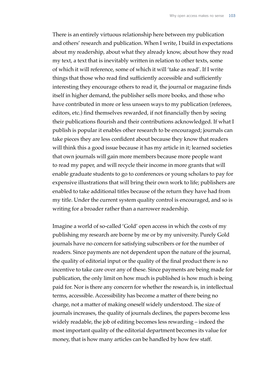There is an entirely virtuous relationship here between my publication and others' research and publication. When I write, I build in expectations about my readership, about what they already know, about how they read my text, a text that is inevitably written in relation to other texts, some of which it will reference, some of which it will 'take as read'. If I write things that those who read find sufficiently accessible and sufficiently interesting they encourage others to read it, the journal or magazine finds itself in higher demand, the publisher sells more books, and those who have contributed in more or less unseen ways to my publication (referees, editors, etc.) find themselves rewarded, if not financially then by seeing their publications flourish and their contributions acknowledged. If what I publish is popular it enables other research to be encouraged; journals can take pieces they are less confident about because they know that readers will think this a good issue because it has my article in it; learned societies that own journals will gain more members because more people want to read my paper, and will recycle their income in more grants that will enable graduate students to go to conferences or young scholars to pay for expensive illustrations that will bring their own work to life; publishers are enabled to take additional titles because of the return they have had from my title. Under the current system quality control is encouraged, and so is writing for a broader rather than a narrower readership.

Imagine a world of so-called 'Gold' open access in which the costs of my publishing my research are borne by me or by my university. Purely Gold journals have no concern for satisfying subscribers or for the number of readers. Since payments are not dependent upon the nature of the journal, the quality of editorial input or the quality of the final product there is no incentive to take care over any of these. Since payments are being made for publication, the only limit on how much is published is how much is being paid for. Nor is there any concern for whether the research is, in intellectual terms, accessible. Accessibility has become a matter of there being no charge, not a matter of making oneself widely understood. The size of journals increases, the quality of journals declines, the papers become less widely readable, the job of editing becomes less rewarding – indeed the most important quality of the editorial department becomes its value for money, that is how many articles can be handled by how few staff.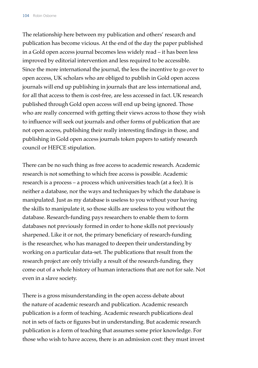The relationship here between my publication and others' research and publication has become vicious. At the end of the day the paper published in a Gold open access journal becomes less widely read – it has been less improved by editorial intervention and less required to be accessible. Since the more international the journal, the less the incentive to go over to open access, UK scholars who are obliged to publish in Gold open access journals will end up publishing in journals that are less international and, for all that access to them is cost-free, are less accessed in fact. UK research published through Gold open access will end up being ignored. Those who are really concerned with getting their views across to those they wish to influence will seek out journals and other forms of publication that are not open access, publishing their really interesting findings in those, and publishing in Gold open access journals token papers to satisfy research council or HEFCE stipulation.

There can be no such thing as free access to academic research. Academic research is not something to which free access is possible. Academic research is a process – a process which universities teach (at a fee). It is neither a database, nor the ways and techniques by which the database is manipulated. Just as my database is useless to you without your having the skills to manipulate it, so those skills are useless to you without the database. Research-funding pays researchers to enable them to form databases not previously formed in order to hone skills not previously sharpened. Like it or not, the primary beneficiary of research-funding is the researcher, who has managed to deepen their understanding by working on a particular data-set. The publications that result from the research project are only trivially a result of the research-funding, they come out of a whole history of human interactions that are not for sale. Not even in a slave society.

There is a gross misunderstanding in the open access debate about the nature of academic research and publication. Academic research publication is a form of teaching. Academic research publications deal not in sets of facts or figures but in understanding. But academic research publication is a form of teaching that assumes some prior knowledge. For those who wish to have access, there is an admission cost: they must invest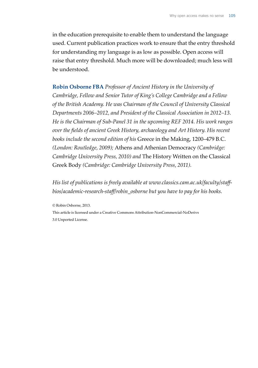in the education prerequisite to enable them to understand the language used. Current publication practices work to ensure that the entry threshold for understanding my language is as low as possible. Open access will raise that entry threshold. Much more will be downloaded; much less will be understood.

**Robin Osborne FBA** *Professor of Ancient History in the University of Cambridge, Fellow and Senior Tutor of King's College Cambridge and a Fellow of the British Academy. He was Chairman of the Council of University Classical Departments 2006–2012, and President of the Classical Association in 2012–13. He is the Chairman of Sub-Panel 31 in the upcoming REF 2014. His work ranges over the fields of ancient Greek History, archaeology and Art History. His recent books include the second edition of his* Greece in the Making, 1200–479 B.C. *(London: Routledge, 2009);* Athens and Athenian Democracy *(Cambridge: Cambridge University Press, 2010) and* The History Written on the Classical Greek Body *(Cambridge: Cambridge University Press, 2011).*

*His list of publications is freely available at [www.classics.cam.ac.uk/faculty/staff](http://www.classics.cam.ac.uk/faculty/staff-bios/academic-research-staff/robin_osborne/)[bios/academic-research-staff/robin\\_osborne](http://www.classics.cam.ac.uk/faculty/staff-bios/academic-research-staff/robin_osborne/) but you have to pay for his books.*

© Robin Osborne, 2013.

This article is licensed under a Creative Commons Attribution-NonCommercial-NoDerivs 3.0 Unported License.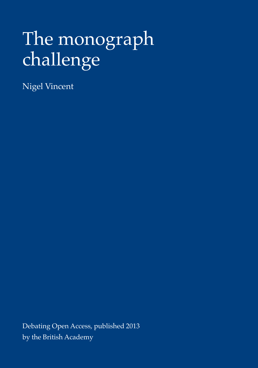# The monograph challenge

Nigel Vincent

Debating Open Access, published 2013 by the British Academy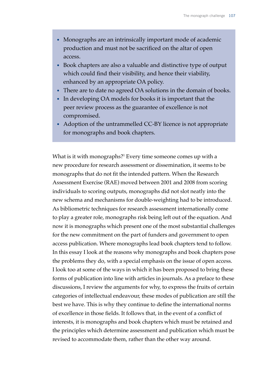- Monographs are an intrinsically important mode of academic production and must not be sacrificed on the altar of open access.
- Book chapters are also a valuable and distinctive type of output which could find their visibility, and hence their viability, enhanced by an appropriate OA policy.
- There are to date no agreed OA solutions in the domain of books.
- In developing OA models for books it is important that the peer review process as the guarantee of excellence is not compromised.
- Adoption of the untrammelled CC-BY licence is not appropriate for monographs and book chapters.

What is it with monographs?<sup>1</sup> Every time someone comes up with a new procedure for research assessment or dissemination, it seems to be monographs that do not fit the intended pattern. When the Research Assessment Exercise (RAE) moved between 2001 and 2008 from scoring individuals to scoring outputs, monographs did not slot neatly into the new schema and mechanisms for double-weighting had to be introduced. As bibliometric techniques for research assessment internationally come to play a greater role, monographs risk being left out of the equation. And now it is monographs which present one of the most substantial challenges for the new commitment on the part of funders and government to open access publication. Where monographs lead book chapters tend to follow. In this essay I look at the reasons why monographs and book chapters pose the problems they do, with a special emphasis on the issue of open access. I look too at some of the ways in which it has been proposed to bring these forms of publication into line with articles in journals. As a preface to these discussions, I review the arguments for why, to express the fruits of certain categories of intellectual endeavour, these modes of publication are still the best we have. This is why they continue to define the international norms of excellence in those fields. It follows that, in the event of a conflict of interests, it is monographs and book chapters which must be retained and the principles which determine assessment and publication which must be revised to accommodate them, rather than the other way around.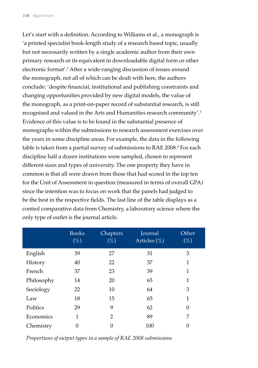Let's start with a definition. According to Williams et al., a monograph is 'a printed specialist book-length study of a research based topic, usually but not necessarily written by a single academic author from their own primary research or its equivalent in downloadable digital form or other electronic format'.<sup>2</sup> After a wide-ranging discussion of issues around the monograph, not all of which can be dealt with here, the authors conclude: 'despite financial, institutional and publishing constraints and changing opportunities provided by new digital models, the value of the monograph, as a print-on-paper record of substantial research, is still recognised and valued in the Arts and Humanities research community'.<sup>3</sup> Evidence of this value is to be found in the substantial presence of monographs within the submissions to research assessment exercises over the years in some discipline areas. For example, the data in the following table is taken from a partial survey of submissions to RAE 2008.<sup>4</sup> For each discipline half a dozen institutions were sampled, chosen to represent different sizes and types of university. The one property they have in common is that all were drawn from those that had scored in the top ten for the Unit of Assessment in question (measured in terms of overall GPA) since the intention was to focus on work that the panels had judged to be the best in the respective fields. The last line of the table displays as a control comparative data from Chemistry, a laboratory science where the only type of outlet is the journal article.

|            | <b>Books</b><br>$(\%)$ | Chapters<br>$(\%)$ | Journal<br>Articles $(\% )$ | Other<br>$(\%)$ |
|------------|------------------------|--------------------|-----------------------------|-----------------|
| English    | 39                     | 27                 | 31                          | 3               |
| History    | 40                     | 22                 | 37                          | 1               |
| French     | 37                     | 23                 | 39                          | 1               |
| Philosophy | 14                     | 20                 | 65                          | 1               |
| Sociology  | 22                     | 10                 | 64                          | 3               |
| Law        | 18                     | 15                 | 65                          | 1               |
| Politics   | 29                     | 9                  | 62                          | $\theta$        |
| Economics  | $\mathbf{1}$           | $\overline{2}$     | 89                          | 7               |
| Chemistry  | 0                      | 0                  | 100                         | 0               |

*Proportions of output types in a sample of RAE 2008 submissions*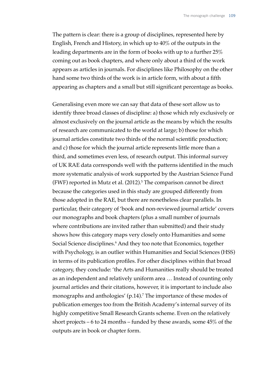The pattern is clear: there is a group of disciplines, represented here by English, French and History, in which up to 40% of the outputs in the leading departments are in the form of books with up to a further 25% coming out as book chapters, and where only about a third of the work appears as articles in journals. For disciplines like Philosophy on the other hand some two thirds of the work is in article form, with about a fifth appearing as chapters and a small but still significant percentage as books.

Generalising even more we can say that data of these sort allow us to identify three broad classes of discipline: a) those which rely exclusively or almost exclusively on the journal article as the means by which the results of research are communicated to the world at large; b) those for which journal articles constitute two thirds of the normal scientific production; and c) those for which the journal article represents little more than a third, and sometimes even less, of research output. This informal survey of UK RAE data corresponds well with the patterns identified in the much more systematic analysis of work supported by the Austrian Science Fund (FWF) reported in Mutz et al. (2012).<sup>5</sup> The comparison cannot be direct because the categories used in this study are grouped differently from those adopted in the RAE, but there are nonetheless clear parallels. In particular, their category of 'book and non-reviewed journal article' covers our monographs and book chapters (plus a small number of journals where contributions are invited rather than submitted) and their study shows how this category maps very closely onto Humanities and some Social Science disciplines.6 And they too note that Economics, together with Psychology, is an outlier within Humanities and Social Sciences (HSS) in terms of its publication profiles. For other disciplines within that broad category, they conclude: 'the Arts and Humanities really should be treated as an independent and relatively uniform area … Instead of counting only journal articles and their citations, however, it is important to include also monographs and anthologies' (p.14).<sup>7</sup> The importance of these modes of publication emerges too from the British Academy's internal survey of its highly competitive Small Research Grants scheme. Even on the relatively short projects – 6 to 24 months – funded by these awards, some 45% of the outputs are in book or chapter form.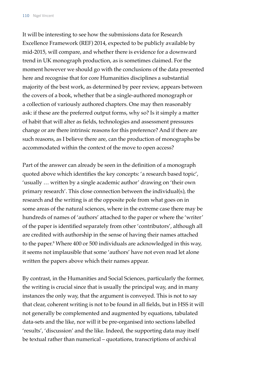It will be interesting to see how the submissions data for Research Excellence Framework (REF) 2014, expected to be publicly available by mid-2015, will compare, and whether there is evidence for a downward trend in UK monograph production, as is sometimes claimed. For the moment however we should go with the conclusions of the data presented here and recognise that for core Humanities disciplines a substantial majority of the best work, as determined by peer review, appears between the covers of a book, whether that be a single-authored monograph or a collection of variously authored chapters. One may then reasonably ask: if these are the preferred output forms, why so? Is it simply a matter of habit that will alter as fields, technologies and assessment pressures change or are there intrinsic reasons for this preference? And if there are such reasons, as I believe there are, can the production of monographs be accommodated within the context of the move to open access?

Part of the answer can already be seen in the definition of a monograph quoted above which identifies the key concepts: 'a research based topic', 'usually … written by a single academic author' drawing on 'their own primary research'. This close connection between the individual(s), the research and the writing is at the opposite pole from what goes on in some areas of the natural sciences, where in the extreme case there may be hundreds of names of 'authors' attached to the paper or where the 'writer' of the paper is identified separately from other 'contributors', although all are credited with authorship in the sense of having their names attached to the paper.8 Where 400 or 500 individuals are acknowledged in this way, it seems not implausible that some 'authors' have not even read let alone written the papers above which their names appear.

By contrast, in the Humanities and Social Sciences, particularly the former, the writing is crucial since that is usually the principal way, and in many instances the only way, that the argument is conveyed. This is not to say that clear, coherent writing is not to be found in all fields, but in HSS it will not generally be complemented and augmented by equations, tabulated data-sets and the like, nor will it be pre-organised into sections labelled 'results', 'discussion' and the like. Indeed, the supporting data may itself be textual rather than numerical – quotations, transcriptions of archival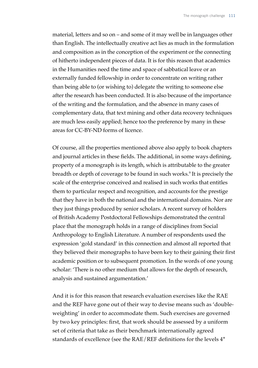material, letters and so on – and some of it may well be in languages other than English. The intellectually creative act lies as much in the formulation and composition as in the conception of the experiment or the connecting of hitherto independent pieces of data. It is for this reason that academics in the Humanities need the time and space of sabbatical leave or an externally funded fellowship in order to concentrate on writing rather than being able to (or wishing to) delegate the writing to someone else after the research has been conducted. It is also because of the importance of the writing and the formulation, and the absence in many cases of complementary data, that text mining and other data recovery techniques are much less easily applied; hence too the preference by many in these areas for CC-BY-ND forms of licence.

Of course, all the properties mentioned above also apply to book chapters and journal articles in these fields. The additional, in some ways defining, property of a monograph is its length, which is attributable to the greater breadth or depth of coverage to be found in such works.9 It is precisely the scale of the enterprise conceived and realised in such works that entitles them to particular respect and recognition, and accounts for the prestige that they have in both the national and the international domains. Nor are they just things produced by senior scholars. A recent survey of holders of British Academy Postdoctoral Fellowships demonstrated the central place that the monograph holds in a range of disciplines from Social Anthropology to English Literature. A number of respondents used the expression 'gold standard' in this connection and almost all reported that they believed their monographs to have been key to their gaining their first academic position or to subsequent promotion. In the words of one young scholar: 'There is no other medium that allows for the depth of research, analysis and sustained argumentation.'

And it is for this reason that research evaluation exercises like the RAE and the REF have gone out of their way to devise means such as 'doubleweighting' in order to accommodate them. Such exercises are governed by two key principles: first, that work should be assessed by a uniform set of criteria that take as their benchmark internationally agreed standards of excellence (see the RAE/REF definitions for the levels 4\*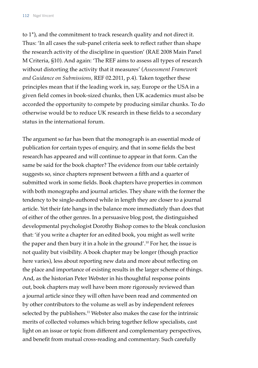to 1\*), and the commitment to track research quality and not direct it. Thus: 'In all cases the sub-panel criteria seek to reflect rather than shape the research activity of the discipline in question' (RAE 2008 Main Panel M Criteria, §10). And again: 'The REF aims to assess all types of research without distorting the activity that it measures' (*Assessment Framework and Guidance on Submissions,* REF 02.2011, p.4). Taken together these principles mean that if the leading work in, say, Europe or the USA in a given field comes in book-sized chunks, then UK academics must also be accorded the opportunity to compete by producing similar chunks. To do otherwise would be to reduce UK research in these fields to a secondary status in the international forum.

The argument so far has been that the monograph is an essential mode of publication for certain types of enquiry, and that in some fields the best research has appeared and will continue to appear in that form. Can the same be said for the book chapter? The evidence from our table certainly suggests so, since chapters represent between a fifth and a quarter of submitted work in some fields. Book chapters have properties in common with both monographs and journal articles. They share with the former the tendency to be single-authored while in length they are closer to a journal article. Yet their fate hangs in the balance more immediately than does that of either of the other genres. In a persuasive blog post, the distinguished developmental psychologist Dorothy Bishop comes to the bleak conclusion that: 'if you write a chapter for an edited book, you might as well write the paper and then bury it in a hole in the ground'.10 For her, the issue is not quality but visibility. A book chapter may be longer (though practice here varies), less about reporting new data and more about reflecting on the place and importance of existing results in the larger scheme of things. And, as the historian Peter Webster in his thoughtful response points out, book chapters may well have been more rigorously reviewed than a journal article since they will often have been read and commented on by other contributors to the volume as well as by independent referees selected by the publishers.<sup>11</sup> Webster also makes the case for the intrinsic merits of collected volumes which bring together fellow specialists, cast light on an issue or topic from different and complementary perspectives, and benefit from mutual cross-reading and commentary. Such carefully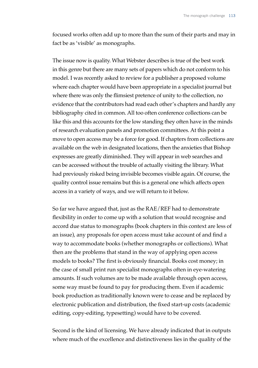focused works often add up to more than the sum of their parts and may in fact be as 'visible' as monographs.

The issue now is quality. What Webster describes is true of the best work in this genre but there are many sets of papers which do not conform to his model. I was recently asked to review for a publisher a proposed volume where each chapter would have been appropriate in a specialist journal but where there was only the flimsiest pretence of unity to the collection, no evidence that the contributors had read each other's chapters and hardly any bibliography cited in common. All too often conference collections can be like this and this accounts for the low standing they often have in the minds of research evaluation panels and promotion committees. At this point a move to open access may be a force for good. If chapters from collections are available on the web in designated locations, then the anxieties that Bishop expresses are greatly diminished. They will appear in web searches and can be accessed without the trouble of actually visiting the library. What had previously risked being invisible becomes visible again. Of course, the quality control issue remains but this is a general one which affects open access in a variety of ways, and we will return to it below.

So far we have argued that, just as the RAE/REF had to demonstrate flexibility in order to come up with a solution that would recognise and accord due status to monographs (book chapters in this context are less of an issue), any proposals for open access must take account of and find a way to accommodate books (whether monographs or collections). What then are the problems that stand in the way of applying open access models to books? The first is obviously financial. Books cost money; in the case of small print run specialist monographs often in eye-watering amounts. If such volumes are to be made available through open access, some way must be found to pay for producing them. Even if academic book production as traditionally known were to cease and be replaced by electronic publication and distribution, the fixed start-up costs (academic editing, copy-editing, typesetting) would have to be covered.

Second is the kind of licensing. We have already indicated that in outputs where much of the excellence and distinctiveness lies in the quality of the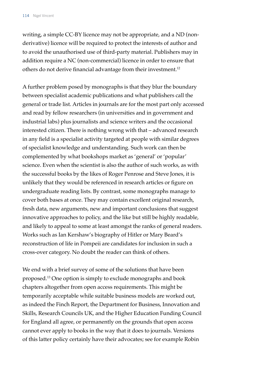writing, a simple CC-BY licence may not be appropriate, and a ND (nonderivative) licence will be required to protect the interests of author and to avoid the unauthorised use of third-party material. Publishers may in addition require a NC (non-commercial) licence in order to ensure that others do not derive financial advantage from their investment.<sup>12</sup>

A further problem posed by monographs is that they blur the boundary between specialist academic publications and what publishers call the general or trade list. Articles in journals are for the most part only accessed and read by fellow researchers (in universities and in government and industrial labs) plus journalists and science writers and the occasional interested citizen. There is nothing wrong with that – advanced research in any field is a specialist activity targeted at people with similar degrees of specialist knowledge and understanding. Such work can then be complemented by what bookshops market as 'general' or 'popular' science. Even when the scientist is also the author of such works, as with the successful books by the likes of Roger Penrose and Steve Jones, it is unlikely that they would be referenced in research articles or figure on undergraduate reading lists. By contrast, some monographs manage to cover both bases at once. They may contain excellent original research, fresh data, new arguments, new and important conclusions that suggest innovative approaches to policy, and the like but still be highly readable, and likely to appeal to some at least amongst the ranks of general readers. Works such as Ian Kershaw's biography of Hitler or Mary Beard's reconstruction of life in Pompeii are candidates for inclusion in such a cross-over category. No doubt the reader can think of others.

We end with a brief survey of some of the solutions that have been proposed.13 One option is simply to exclude monographs and book chapters altogether from open access requirements. This might be temporarily acceptable while suitable business models are worked out, as indeed the Finch Report, the Department for Business, Innovation and Skills, Research Councils UK, and the Higher Education Funding Council for England all agree, or permanently on the grounds that open access cannot ever apply to books in the way that it does to journals. Versions of this latter policy certainly have their advocates; see for example Robin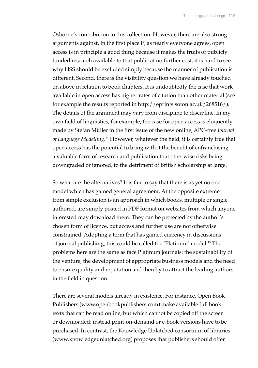Osborne's contribution to this collection. However, there are also strong arguments against. In the first place if, as nearly everyone agrees, open access is in principle a good thing because it makes the fruits of publicly funded research available to that public at no further cost, it is hard to see why HSS should be excluded simply because the manner of publication is different. Second, there is the visibility question we have already touched on above in relation to book chapters. It is undoubtedly the case that work available in open access has higher rates of citation than other material (see for example the results reported in <http://eprints.soton.ac.uk/268516/>). The details of the argument may vary from discipline to discipline. In my own field of linguistics, for example, the case for open access is eloquently made by Stefan Müller in the first issue of the new online, APC-free *Journal of Language Modelling*. <sup>14</sup> However, whatever the field, it is certainly true that open access has the potential to bring with it the benefit of enfranchising a valuable form of research and publication that otherwise risks being downgraded or ignored, to the detriment of British scholarship at large.

So what are the alternatives? It is fair to say that there is as yet no one model which has gained general agreement. At the opposite extreme from simple exclusion is an approach in which books, multiple or single authored, are simply posted in PDF format on websites from which anyone interested may download them. They can be protected by the author's chosen form of licence, but access and further use are not otherwise constrained. Adopting a term that has gained currency in discussions of journal publishing, this could be called the 'Platinum' model.15 The problems here are the same as face Platinum journals: the sustainability of the venture, the development of appropriate business models and the need to ensure quality and reputation and thereby to attract the leading authors in the field in question.

There are several models already in existence. For instance, Open Book Publishers ([www.openbookpublishers.com](http://www.openbookpublishers.com)) make available full book texts that can be read online, but which cannot be copied off the screen or downloaded; instead print-on-demand or e-book versions have to be purchased. In contrast, the Knowledge Unlatched consortium of libraries ([www.knowledgeunlatched.org\)](http://www.knowledgeunlatched.org) proposes that publishers should offer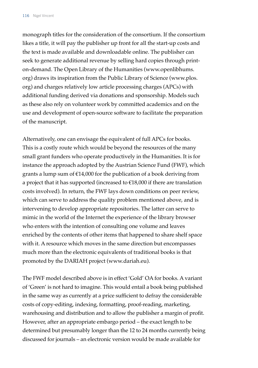monograph titles for the consideration of the consortium. If the consortium likes a title, it will pay the publisher up front for all the start-up costs and the text is made available and downloadable online. The publisher can seek to generate additional revenue by selling hard copies through printon-demand. The Open Library of the Humanities [\(www.openlibhums.](http://www.openlibhums.org) [org](http://www.openlibhums.org)) draws its inspiration from the Public Library of Science ([www.plos.](http://www.plos.org) [org](http://www.plos.org)) and charges relatively low article processing charges (APCs) with additional funding derived via donations and sponsorship. Models such as these also rely on volunteer work by committed academics and on the use and development of open-source software to facilitate the preparation of the manuscript.

Alternatively, one can envisage the equivalent of full APCs for books. This is a costly route which would be beyond the resources of the many small grant funders who operate productively in the Humanities. It is for instance the approach adopted by the Austrian Science Fund (FWF), which grants a lump sum of  $E14,000$  for the publication of a book deriving from a project that it has supported (increased to  $£18,000$  if there are translation costs involved). In return, the FWF lays down conditions on peer review, which can serve to address the quality problem mentioned above, and is intervening to develop appropriate repositories. The latter can serve to mimic in the world of the Internet the experience of the library browser who enters with the intention of consulting one volume and leaves enriched by the contents of other items that happened to share shelf space with it. A resource which moves in the same direction but encompasses much more than the electronic equivalents of traditional books is that promoted by the DARIAH project [\(www.dariah.eu](http://www.dariah.eu/)).

The FWF model described above is in effect 'Gold' OA for books. A variant of 'Green' is not hard to imagine. This would entail a book being published in the same way as currently at a price sufficient to defray the considerable costs of copy-editing, indexing, formatting, proof-reading, marketing, warehousing and distribution and to allow the publisher a margin of profit. However, after an appropriate embargo period – the exact length to be determined but presumably longer than the 12 to 24 months currently being discussed for journals – an electronic version would be made available for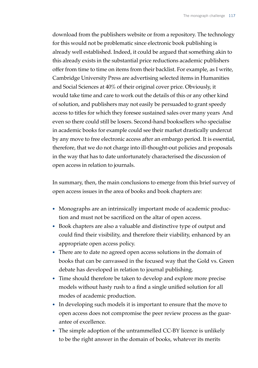download from the publishers website or from a repository. The technology for this would not be problematic since electronic book publishing is already well established. Indeed, it could be argued that something akin to this already exists in the substantial price reductions academic publishers offer from time to time on items from their backlist. For example, as I write, Cambridge University Press are advertising selected items in Humanities and Social Sciences at 40% of their original cover price. Obviously, it would take time and care to work out the details of this or any other kind of solution, and publishers may not easily be persuaded to grant speedy access to titles for which they foresee sustained sales over many years And even so there could still be losers. Second-hand booksellers who specialise in academic books for example could see their market drastically undercut by any move to free electronic access after an embargo period. It is essential, therefore, that we do not charge into ill-thought-out policies and proposals in the way that has to date unfortunately characterised the discussion of open access in relation to journals.

In summary, then, the main conclusions to emerge from this brief survey of open access issues in the area of books and book chapters are:

- Monographs are an intrinsically important mode of academic production and must not be sacrificed on the altar of open access.
- • Book chapters are also a valuable and distinctive type of output and could find their visibility, and therefore their viability, enhanced by an appropriate open access policy.
- There are to date no agreed open access solutions in the domain of books that can be canvassed in the focused way that the Gold vs. Green debate has developed in relation to journal publishing.
- Time should therefore be taken to develop and explore more precise models without hasty rush to a find a single unified solution for all modes of academic production.
- In developing such models it is important to ensure that the move to open access does not compromise the peer review process as the guarantee of excellence.
- The simple adoption of the untrammelled CC-BY licence is unlikely to be the right answer in the domain of books, whatever its merits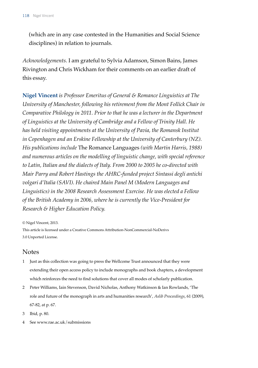(which are in any case contested in the Humanities and Social Science disciplines) in relation to journals.

*Acknowledgements.* I am grateful to Sylvia Adamson, Simon Bains, James Rivington and Chris Wickham for their comments on an earlier draft of this essay.

**Nigel Vincent** *is Professor Emeritus of General & Romance Linguistics at The University of Manchester, following his retirement from the Mont Follick Chair in Comparative Philology in 2011. Prior to that he was a lecturer in the Department of Linguistics at the University of Cambridge and a Fellow of Trinity Hall. He has held visiting appointments at the University of Pavia, the Romansk Institut in Copenhagen and an Erskine Fellowship at the University of Canterbury (NZ). His publications include* The Romance Languages *(with Martin Harris, 1988) and numerous articles on the modelling of linguistic change, with special reference to Latin, Italian and the dialects of Italy. From 2000 to 2005 he co-directed with Mair Parry and Robert Hastings the AHRC-funded project Sintassi degli antichi volgari d'Italia (SAVI). He chaired Main Panel M (Modern Languages and Linguistics) in the 2008 Research Assessment Exercise. He was elected a Fellow of the British Academy in 2006, where he is currently the Vice-President for Research & Higher Education Policy.* 

© Nigel Vincent, 2013.

This article is licensed under a Creative Commons Attribution-NonCommercial-NoDerivs 3.0 Unported License.

## Notes

- 1 Just as this collection was going to press the Wellcome Trust announced that they were extending their open access policy to include monographs and book chapters, a development which reinforces the need to find solutions that cover all modes of scholarly publication.
- 2 Peter Williams, Iain Stevenson, David Nicholas, Anthony Watkinson & Ian Rowlands, 'The role and future of the monograph in arts and humanities research', *Aslib Proceedings*, 61 (2009), 67-82, at p. 67.
- 3 Ibid, p. 80.
- 4 See [www.rae.ac.uk/submissions](http://www.rae.ac.uk/submissions/)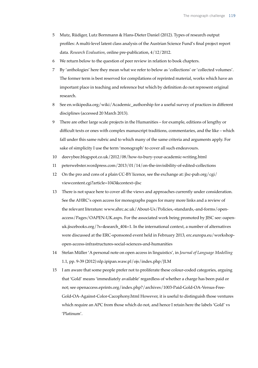- 5 Mutz, Rüdiger, Lutz Bornmann & Hans-Dieter Daniel (2012). Types of research output profiles: A multi-level latent class analysis of the Austrian Science Fund's final project report data. *Research Evaluation*, online pre-publication, 4/12/2012.
- 6 We return below to the question of peer review in relation to book chapters.
- 7 By 'anthologies' here they mean what we refer to below as 'collections' or 'collected volumes'. The former term is best reserved for compilations of reprinted material, works which have an important place in teaching and reference but which by definition do not represent original research.
- 8 See [en.wikipedia.org/wiki/Academic\\_authorship](http://en.wikipedia.org/wiki/Academic_authorship) for a useful survey of practices in different disciplines (accessed 20 March 2013).
- 9 There are other large scale projects in the Humanities for example, editions of lengthy or difficult texts or ones with complex manuscript traditions, commentaries, and the like – which fall under this same rubric and to which many of the same criteria and arguments apply. For sake of simplicity I use the term 'monograph' to cover all such endeavours.
- 10 [deevybee.blogspot.co.uk/2012/08/how-to-bury-your-academic-writing.html](http://deevybee.blogspot.co.uk/2012/08/how-to-bury-your-academic-writing.html)
- 11 [peterwebster.wordpress.com/2013/01/14/on-the-invisibility-of-edited-collections](http://peterwebster.wordpress.com/2013/01/14/on-the-invisibility-of-edited-collections/)
- 12 On the pro and cons of a plain CC-BY licence, see the exchange at: [jlsc-pub.org/cgi/](http://jlsc-pub.org/cgi/viewcontent.cgi?article=1043&context=jlsc) [viewcontent.cgi?article=1043&context=jlsc](http://jlsc-pub.org/cgi/viewcontent.cgi?article=1043&context=jlsc)
- 13 There is not space here to cover all the views and approaches currently under consideration. See the AHRC's open access for monographs pages for many more links and a review of the relevant literature: [www.ahrc.ac.uk/About-Us/Policies,-standards,-and-forms/open](http://www.ahrc.ac.uk/About-Us/Policies,-standards,-and-forms/open-access/Pages/OAPEN-UK.aspx)[access/Pages/OAPEN-UK.aspx.](http://www.ahrc.ac.uk/About-Us/Policies,-standards,-and-forms/open-access/Pages/OAPEN-UK.aspx) For the associated work being promoted by JISC see: [oapen](http://oapen-uk.jiscebooks.org/?s=&search_404=1)[uk.jiscebooks.org/?s=&search\\_404=1](http://oapen-uk.jiscebooks.org/?s=&search_404=1). In the international context, a number of alternatives were discussed at the ERC-sponsored event held in February 2013, [erc.europa.eu/workshop](http://erc.europa.eu/workshop-open-access-infrastructures-social-sciences-and-humanities)[open-access-infrastructures-social-sciences-and-humanities](http://erc.europa.eu/workshop-open-access-infrastructures-social-sciences-and-humanities)
- 14 Stefan Müller 'A personal note on open access in linguistics', in *Journal of Language Modelling* 1.1, pp. 9-39 (2012) [nlp.ipipan.waw.pl/ojs/index.php/JLM](http://nlp.ipipan.waw.pl/ojs/index.php/JLM/)
- 15 I am aware that some people prefer not to proliferate these colour-coded categories, arguing that 'Gold' means 'immediately available' regardless of whether a charge has been paid or not; see [openaccess.eprints.org/index.php?/archives/1003-Paid-Gold-OA-Versus-Free-](https://outlook.manchester.ac.uk/owa/redir.aspx?C=c32293dcb06c4904a2a83d190b122f6e&URL=http%3a%2f%2fopenaccess.eprints.org%2findex.php%3f%2farchives%2f1003-Paid-Gold-OA-Versus-Free-Gold-OA-Against-Color-Cacophony.html)[Gold-OA-Against-Color-Cacophony.html](https://outlook.manchester.ac.uk/owa/redir.aspx?C=c32293dcb06c4904a2a83d190b122f6e&URL=http%3a%2f%2fopenaccess.eprints.org%2findex.php%3f%2farchives%2f1003-Paid-Gold-OA-Versus-Free-Gold-OA-Against-Color-Cacophony.html) However, it is useful to distinguish those ventures which require an APC from those which do not, and hence I retain here the labels 'Gold' vs 'Platinum'.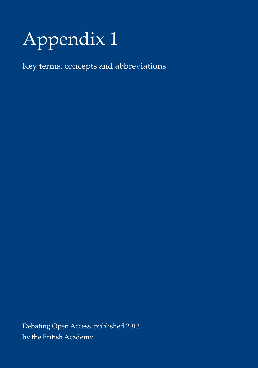## Appendix 1

Key terms, concepts and abbreviations

Debating Open Access, published 2013 by the British Academy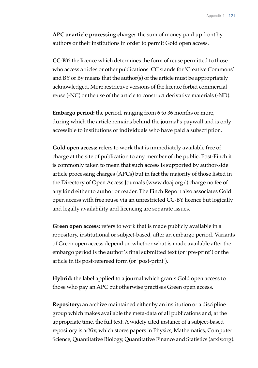**APC or article processing charge:** the sum of money paid up front by authors or their institutions in order to permit Gold open access.

**CC-BY:** the licence which determines the form of reuse permitted to those who access articles or other publications. CC stands for 'Creative Commons' and BY or By means that the author(s) of the article must be appropriately acknowledged. More restrictive versions of the licence forbid commercial reuse (-NC) or the use of the article to construct derivative materials (-ND).

**Embargo period:** the period, ranging from 6 to 36 months or more, during which the article remains behind the journal's paywall and is only accessible to institutions or individuals who have paid a subscription.

**Gold open access:** refers to work that is immediately available free of charge at the site of publication to any member of the public. Post-Finch it is commonly taken to mean that such access is supported by author-side article processing charges (APCs) but in fact the majority of those listed in the Directory of Open Access Journals ([www.doaj.org/](http://www.doaj.org/)) charge no fee of any kind either to author or reader. The Finch Report also associates Gold open access with free reuse via an unrestricted CC-BY licence but logically and legally availability and licencing are separate issues.

**Green open access:** refers to work that is made publicly available in a repository, institutional or subject-based, after an embargo period. Variants of Green open access depend on whether what is made available after the embargo period is the author's final submitted text (or 'pre-print') or the article in its post-refereed form (or 'post-print').

**Hybrid:** the label applied to a journal which grants Gold open access to those who pay an APC but otherwise practises Green open access.

**Repository:** an archive maintained either by an institution or a discipline group which makes available the meta-data of all publications and, at the appropriate time, the full text. A widely cited instance of a subject-based repository is arXiv, which stores papers in Physics, Mathematics, Computer Science, Quantitative Biology, Quantitative Finance and Statistics ([arxiv.org](http://arxiv.org/)).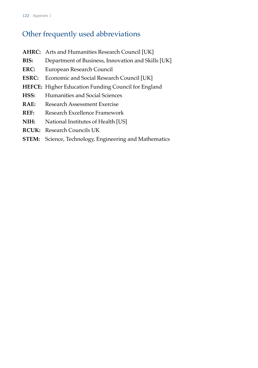## Other frequently used abbreviations

- **AHRC:** Arts and Humanities Research Council [UK] **BIS:** Department of Business, Innovation and Skills [UK] **ERC:** European Research Council **ESRC:** Economic and Social Research Council [UK] **HEFCE:** Higher Education Funding Council for England **HSS:** Humanities and Social Sciences **RAE:** Research Assessment Exercise **REF:** Research Excellence Framework
- **NIH:** National Institutes of Health [US]
- **RCUK:** Research Councils UK
- **STEM:** Science, Technology, Engineering and Mathematics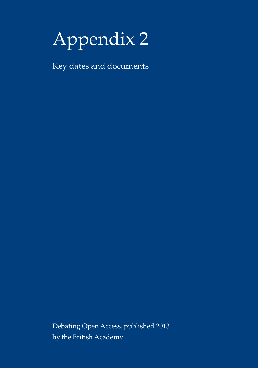

Key dates and documents

Debating Open Access, published 2013 by the British Academy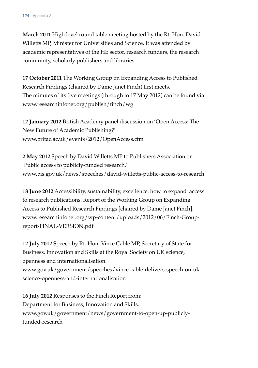**March 2011** High level round table meeting hosted by the Rt. Hon. David Willetts MP, Minister for Universities and Science. It was attended by academic representatives of the HE sector, research funders, the research community, scholarly publishers and libraries.

**17 October 2011** The Working Group on Expanding Access to Published Research Findings (chaired by Dame Janet Finch) first meets. The minutes of its five meetings (through to 17 May 2012) can be found via [www.researchinfonet.org/publish/finch/wg](http://www.researchinfonet.org/publish/finch/wg/)

**12 January 2012** British Academy panel discussion on 'Open Access: The New Future of Academic Publishing?' [www.britac.ac.uk/events/2012/OpenAccess.cfm](http://www.britac.ac.uk/events/2012/OpenAccess.cfm)

**2 May 2012** Speech by David Willetts MP to Publishers Association on 'Public access to publicly-funded research.' [www.bis.gov.uk/news/speeches/david-willetts-public-access-to-research](http://www.bis.gov.uk/news/speeches/david-willetts-public-access-to-research)

**18 June 2012** Accessibility, sustainability, excellence: how to expand access to research publications. Report of the Working Group on Expanding Access to Published Research Findings [chaired by Dame Janet Finch]. [www.researchinfonet.org/wp-content/uploads/2012/06/Finch-Group](http://www.researchinfonet.org/wp-content/uploads/2012/06/Finch-Group-report-FINAL-VERSION.pdf)[report-FINAL-VERSION.pdf](http://www.researchinfonet.org/wp-content/uploads/2012/06/Finch-Group-report-FINAL-VERSION.pdf) 

**12 July 2012** Speech by Rt. Hon. Vince Cable MP, Secretary of State for Business, Innovation and Skills at the Royal Society on UK science, openness and internationalisation. [www.gov.uk/government/speeches/vince-cable-delivers-speech-on-uk](http://www.gov.uk/government/speeches/vince-cable-delivers-speech-on-uk-science-openness-and-internationalisation)[science-openness-and-internationalisation](http://www.gov.uk/government/speeches/vince-cable-delivers-speech-on-uk-science-openness-and-internationalisation)

**16 July 2012** Responses to the Finch Report from: Department for Business, Innovation and Skills. [www.gov.uk/government/news/government-to-open-up-publicly](http://www.gov.uk/government/news/government-to-open-up-publicly-funded-research)[funded-research](http://www.gov.uk/government/news/government-to-open-up-publicly-funded-research)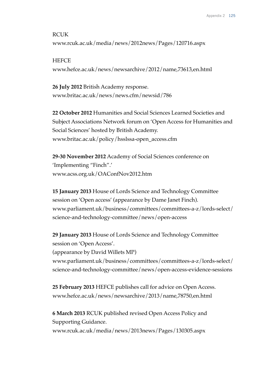RCUK [www.rcuk.ac.uk/media/news/2012news/Pages/120716.aspx](http://www.rcuk.ac.uk/media/news/2012news/Pages/120716.aspx)

**HEFCE** [www.hefce.ac.uk/news/newsarchive/2012/name,73613,en.html](http://www.hefce.ac.uk/news/newsarchive/2012/name,73613,en.html)

**26 July 2012** British Academy response. [www.britac.ac.uk/news/news.cfm/newsid/786](http://www.britac.ac.uk/news/news.cfm/newsid/786)

**22 October 2012** Humanities and Social Sciences Learned Societies and Subject Associations Network forum on 'Open Access for Humanities and Social Sciences' hosted by British Academy. [www.britac.ac.uk/policy/hsslssa-open\\_access.cfm](http://www.britac.ac.uk/policy/hsslssa-open_access.cfm)

**29-30 November 2012** Academy of Social Sciences conference on 'Implementing "Finch".' [www.acss.org.uk/OAConfNov2012.htm](http://www.acss.org.uk/OAConfNov2012.htm)

**15 January 2013** House of Lords Science and Technology Committee session on 'Open access' (appearance by Dame Janet Finch). [www.parliament.uk/business/committees/committees-a-z/lords-select/](http://www.parliament.uk/business/committees/committees-a-z/lords-select/science-and-technology-committee/news/open-access/) [science-and-technology-committee/news/open-access](http://www.parliament.uk/business/committees/committees-a-z/lords-select/science-and-technology-committee/news/open-access/)

**29 January 2013** House of Lords Science and Technology Committee session on 'Open Access'. (appearance by David Willets MP) [www.parliament.uk/business/committees/committees-a-z/lords-select/](http://www.parliament.uk/business/committees/committees-a-z/lords-select/science-and-technology-committee/news/open-access-evidence-sessions/) [science-and-technology-committee/news/open-access-evidence-sessions](http://www.parliament.uk/business/committees/committees-a-z/lords-select/science-and-technology-committee/news/open-access-evidence-sessions/)

**25 February 2013** HEFCE publishes call for advice on Open Access. [www.hefce.ac.uk/news/newsarchive/2013/name,78750,en.html](http://www.hefce.ac.uk/news/newsarchive/2013/name,78750,en.html)

**6 March 2013** RCUK published revised Open Access Policy and Supporting Guidance. [www.rcuk.ac.uk/media/news/2013news/Pages/130305.aspx](http://www.rcuk.ac.uk/media/news/2013news/Pages/130305.aspx)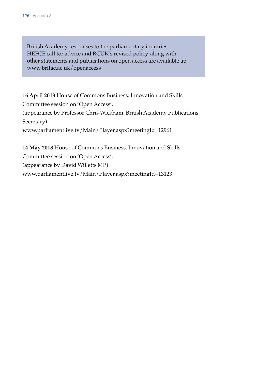British Academy responses to the parliamentary inquiries, HEFCE call for advice and RCUK's revised policy, along with other statements and publications on open access are available at: [www.britac.ac.uk/o](http://www.britac.ac.uk/policy/research_and_he_policy.cfm)penaccess

**16 April 2013** House of Commons Business, Innovation and Skills Committee session on 'Open Access'. (appearance by Professor Chris Wickham, British Academy Publications Secretary) [www.parliamentlive.tv/Main/Player.aspx?meetingId=12961](http://www.parliamentlive.tv/Main/Player.aspx?meetingId=12961)

**14 May 2013** House of Commons Business, Innovation and Skills Committee session on 'Open Access'. (appearance by David Willetts MP) [www.parliamentlive.tv/Main/Player.aspx?meetingId=13123](http://www.parliamentlive.tv/Main/Player.aspx?meetingId=13123)